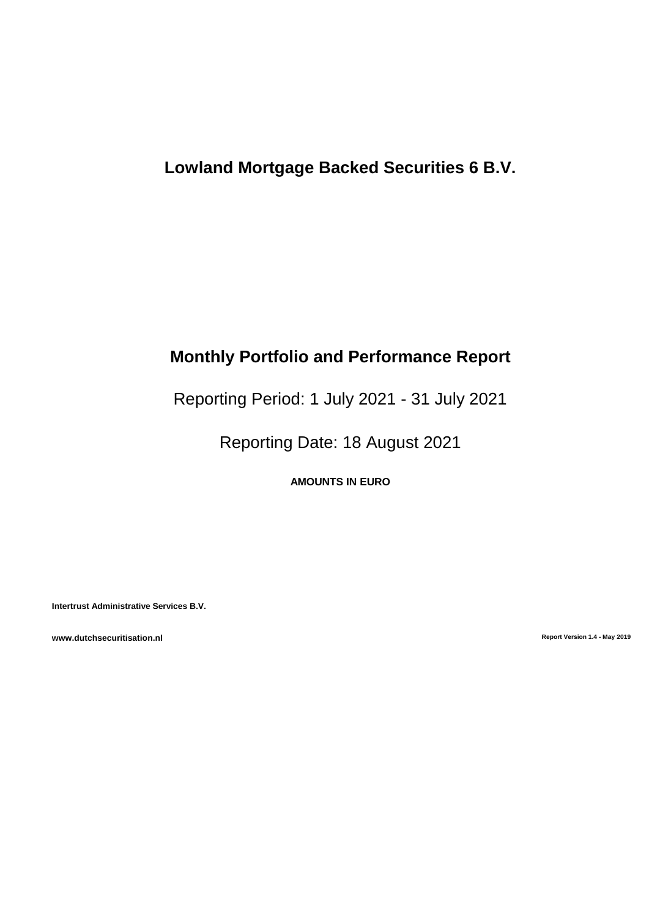# **Lowland Mortgage Backed Securities 6 B.V.**

# **Monthly Portfolio and Performance Report**

Reporting Period: 1 July 2021 - 31 July 2021

Reporting Date: 18 August 2021

**AMOUNTS IN EURO**

**Intertrust Administrative Services B.V.**

**www.dutchsecuritisation.nl Report Version 1.4 - May 2019**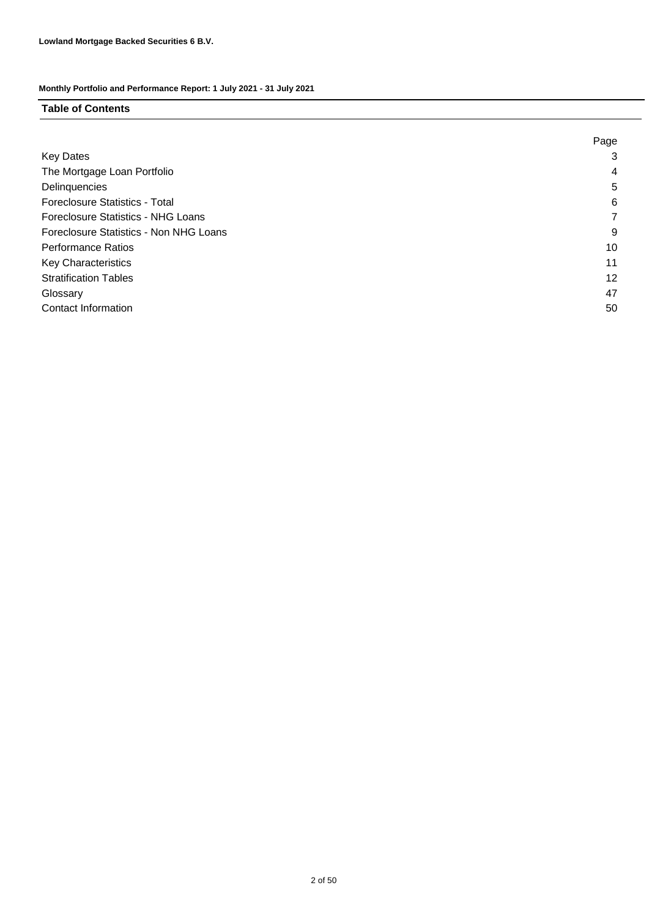## **Table of Contents**

|                                        | Page |
|----------------------------------------|------|
| <b>Key Dates</b>                       | 3    |
| The Mortgage Loan Portfolio            | 4    |
| Delinquencies                          | 5    |
| <b>Foreclosure Statistics - Total</b>  | 6    |
| Foreclosure Statistics - NHG Loans     |      |
| Foreclosure Statistics - Non NHG Loans | 9    |
| <b>Performance Ratios</b>              | 10   |
| Key Characteristics                    | 11   |
| <b>Stratification Tables</b>           | 12   |
| Glossary                               | 47   |
| <b>Contact Information</b>             | 50   |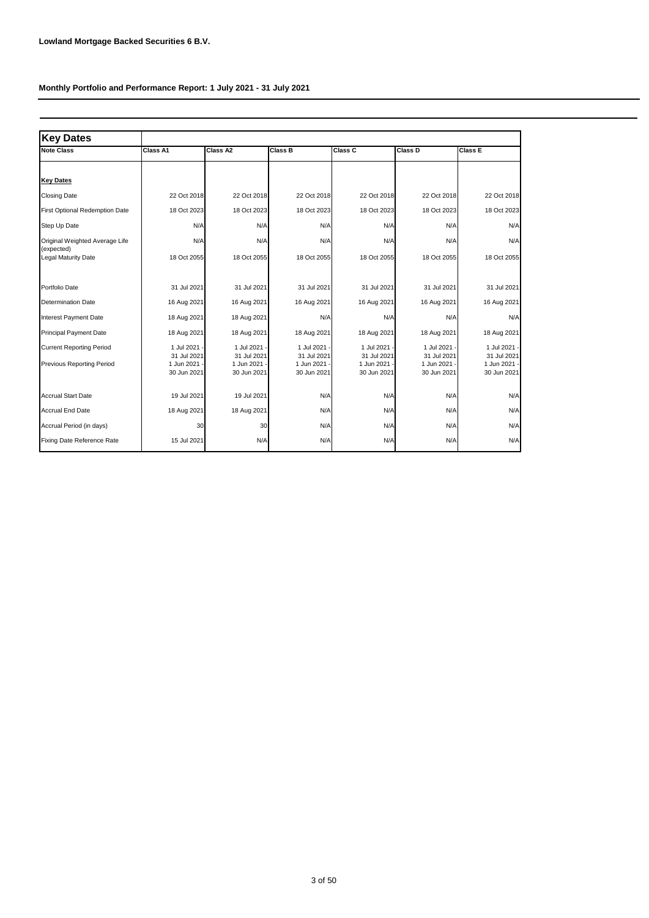| <b>Key Dates</b>                      |                             |                           |                             |                           |                           |                             |
|---------------------------------------|-----------------------------|---------------------------|-----------------------------|---------------------------|---------------------------|-----------------------------|
| <b>Note Class</b>                     | Class A1                    | Class A2                  | <b>Class B</b>              | Class C                   | Class D                   | Class E                     |
|                                       |                             |                           |                             |                           |                           |                             |
| <b>Key Dates</b>                      |                             |                           |                             |                           |                           |                             |
| <b>Closing Date</b>                   | 22 Oct 2018                 | 22 Oct 2018               | 22 Oct 2018                 | 22 Oct 2018               | 22 Oct 2018               | 22 Oct 2018                 |
| <b>First Optional Redemption Date</b> | 18 Oct 2023                 | 18 Oct 2023               | 18 Oct 2023                 | 18 Oct 2023               | 18 Oct 2023               | 18 Oct 2023                 |
| Step Up Date                          | N/A                         | N/A                       | N/A                         | N/A                       | N/A                       | N/A                         |
| Original Weighted Average Life        | N/A                         | N/A                       | N/A                         | N/A                       | N/A                       | N/A                         |
| (expected)<br>Legal Maturity Date     | 18 Oct 2055                 | 18 Oct 2055               | 18 Oct 2055                 | 18 Oct 2055               | 18 Oct 2055               | 18 Oct 2055                 |
|                                       |                             |                           |                             |                           |                           |                             |
| Portfolio Date                        | 31 Jul 2021                 | 31 Jul 2021               | 31 Jul 2021                 | 31 Jul 2021               | 31 Jul 2021               | 31 Jul 2021                 |
| <b>Determination Date</b>             | 16 Aug 2021                 | 16 Aug 2021               | 16 Aug 2021                 | 16 Aug 2021               | 16 Aug 2021               | 16 Aug 2021                 |
| <b>Interest Payment Date</b>          | 18 Aug 2021                 | 18 Aug 2021               | N/A                         | N/A                       | N/A                       | N/A                         |
| <b>Principal Payment Date</b>         | 18 Aug 2021                 | 18 Aug 2021               | 18 Aug 2021                 | 18 Aug 2021               | 18 Aug 2021               | 18 Aug 2021                 |
| <b>Current Reporting Period</b>       | 1 Jul 2021 -                | 1 Jul 2021                | 1 Jul 2021                  | 1 Jul 2021                | 1 Jul 2021                | 1 Jul 2021                  |
| <b>Previous Reporting Period</b>      | 31 Jul 2021<br>1 Jun 2021 - | 31 Jul 2021<br>1 Jun 2021 | 31 Jul 2021<br>1 Jun 2021 - | 31 Jul 2021<br>1 Jun 2021 | 31 Jul 2021<br>1 Jun 2021 | 31 Jul 2021<br>1 Jun 2021 - |
|                                       | 30 Jun 2021                 | 30 Jun 2021               | 30 Jun 2021                 | 30 Jun 2021               | 30 Jun 2021               | 30 Jun 2021                 |
| <b>Accrual Start Date</b>             | 19 Jul 2021                 | 19 Jul 2021               | N/A                         | N/A                       | N/A                       | N/A                         |
| <b>Accrual End Date</b>               | 18 Aug 2021                 | 18 Aug 2021               | N/A                         | N/A                       | N/A                       | N/A                         |
| Accrual Period (in days)              | 30                          | 30                        | N/A                         | N/A                       | N/A                       | N/A                         |
| Fixing Date Reference Rate            | 15 Jul 2021                 | N/A                       | N/A                         | N/A                       | N/A                       | N/A                         |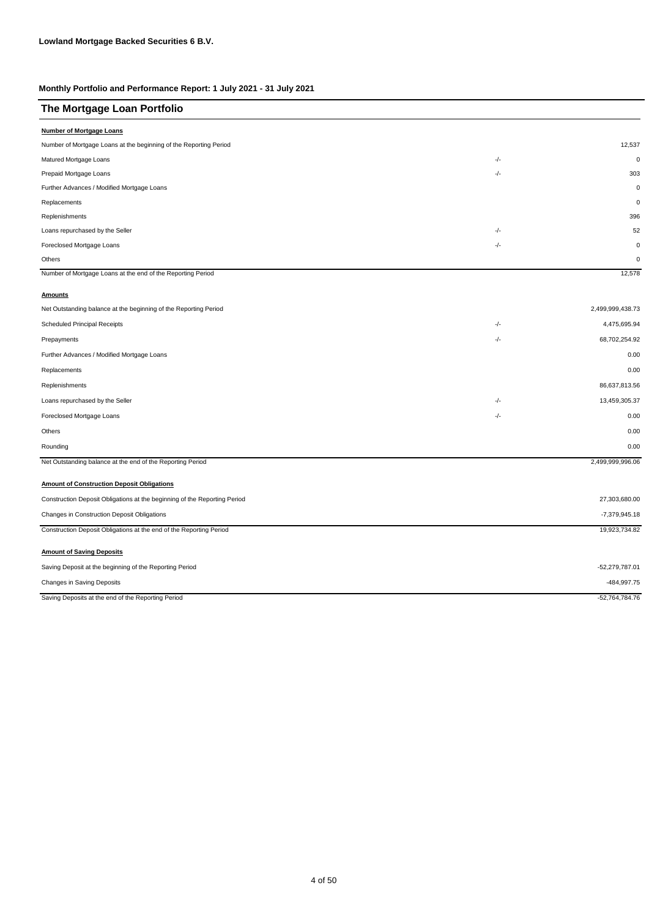| The Mortgage Loan Portfolio                                               |       |                  |
|---------------------------------------------------------------------------|-------|------------------|
| <b>Number of Mortgage Loans</b>                                           |       |                  |
| Number of Mortgage Loans at the beginning of the Reporting Period         |       | 12,537           |
| Matured Mortgage Loans                                                    | $-/-$ | $\mathbf 0$      |
| Prepaid Mortgage Loans                                                    | $-/-$ | 303              |
| Further Advances / Modified Mortgage Loans                                |       | $\mathbf 0$      |
| Replacements                                                              |       | $\mathbf 0$      |
| Replenishments                                                            |       | 396              |
| Loans repurchased by the Seller                                           | -/-   | 52               |
| Foreclosed Mortgage Loans                                                 | -/-   | $\mathbf 0$      |
| Others                                                                    |       | $\Omega$         |
| Number of Mortgage Loans at the end of the Reporting Period               |       | 12,578           |
| <b>Amounts</b>                                                            |       |                  |
| Net Outstanding balance at the beginning of the Reporting Period          |       | 2,499,999,438.73 |
| <b>Scheduled Principal Receipts</b>                                       | -/-   | 4,475,695.94     |
| Prepayments                                                               | -/-   | 68,702,254.92    |
| Further Advances / Modified Mortgage Loans                                |       | 0.00             |
| Replacements                                                              |       | 0.00             |
| Replenishments                                                            |       | 86,637,813.56    |
| Loans repurchased by the Seller                                           | -/-   | 13,459,305.37    |
| Foreclosed Mortgage Loans                                                 | $-/-$ | 0.00             |
| Others                                                                    |       | 0.00             |
| Rounding                                                                  |       | 0.00             |
| Net Outstanding balance at the end of the Reporting Period                |       | 2,499,999,996.06 |
| <b>Amount of Construction Deposit Obligations</b>                         |       |                  |
| Construction Deposit Obligations at the beginning of the Reporting Period |       | 27,303,680.00    |
| Changes in Construction Deposit Obligations                               |       | -7,379,945.18    |
| Construction Deposit Obligations at the end of the Reporting Period       |       | 19,923,734.82    |
| <b>Amount of Saving Deposits</b>                                          |       |                  |
| Saving Deposit at the beginning of the Reporting Period                   |       | -52,279,787.01   |
| Changes in Saving Deposits                                                |       | -484,997.75      |

Saving Deposits at the end of the Reporting Period **Accord 2016** -52,764,784.76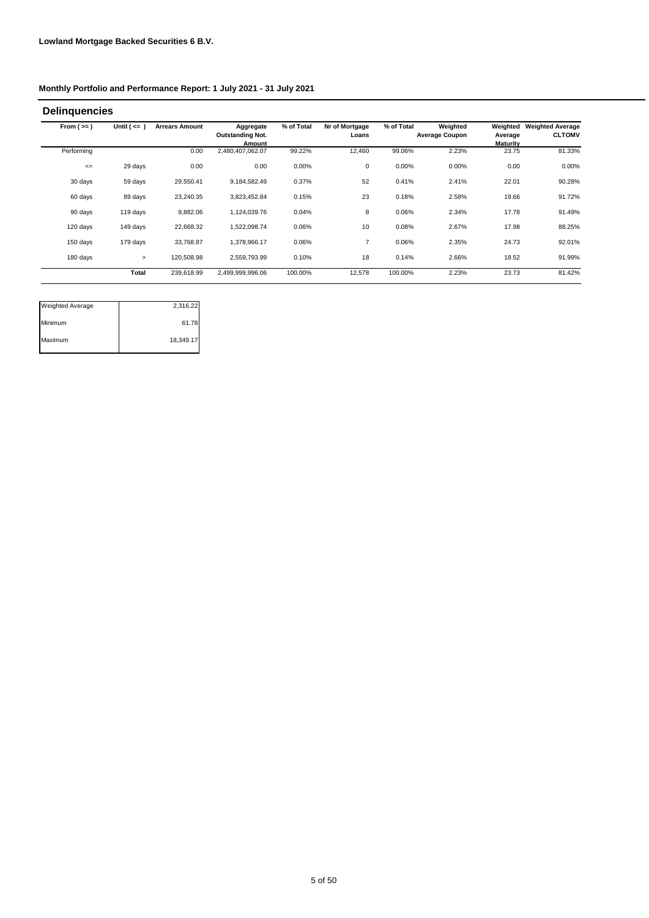| <b>Delinguencies</b> |                  |                       |                                                |            |                         |            |                                   |                                        |                                          |
|----------------------|------------------|-----------------------|------------------------------------------------|------------|-------------------------|------------|-----------------------------------|----------------------------------------|------------------------------------------|
| From $(>=)$          | Until $($ <= $)$ | <b>Arrears Amount</b> | Aggregate<br><b>Outstanding Not.</b><br>Amount | % of Total | Nr of Mortgage<br>Loans | % of Total | Weighted<br><b>Average Coupon</b> | Weighted<br>Average<br><b>Maturity</b> | <b>Weighted Average</b><br><b>CLTOMV</b> |
| Performing           |                  | 0.00                  | 2,480,407,062.07                               | 99.22%     | 12,460                  | 99.06%     | 2.23%                             | 23.75                                  | 81.33%                                   |
| $\leq$               | 29 days          | 0.00                  | 0.00                                           | 0.00%      | 0                       | 0.00%      | 0.00%                             | 0.00                                   | 0.00%                                    |
| 30 days              | 59 days          | 29.550.41             | 9,184,582.49                                   | 0.37%      | 52                      | 0.41%      | 2.41%                             | 22.01                                  | 90.28%                                   |
| 60 days              | 89 days          | 23,240.35             | 3,823,452.84                                   | 0.15%      | 23                      | 0.18%      | 2.58%                             | 19.66                                  | 91.72%                                   |
| 90 days              | 119 days         | 9,882.06              | 1,124,039.76                                   | 0.04%      | 8                       | 0.06%      | 2.34%                             | 17.78                                  | 91.49%                                   |
| 120 days             | 149 days         | 22,668.32             | 1,522,098.74                                   | 0.06%      | 10                      | 0.08%      | 2.67%                             | 17.98                                  | 88.25%                                   |
| 150 days             | 179 days         | 33,768.87             | 1,378,966.17                                   | 0.06%      | $\overline{7}$          | 0.06%      | 2.35%                             | 24.73                                  | 92.01%                                   |
| 180 days             | $\geq$           | 120,508.98            | 2,559,793.99                                   | 0.10%      | 18                      | 0.14%      | 2.66%                             | 18.52                                  | 91.99%                                   |
|                      | <b>Total</b>     | 239,618.99            | 2,499,999,996.06                               | 100.00%    | 12,578                  | 100.00%    | 2.23%                             | 23.73                                  | 81.42%                                   |

| <b>Weighted Average</b> | 2,316.22  |
|-------------------------|-----------|
| Minimum                 | 61.78     |
| Maximum                 | 18,349.17 |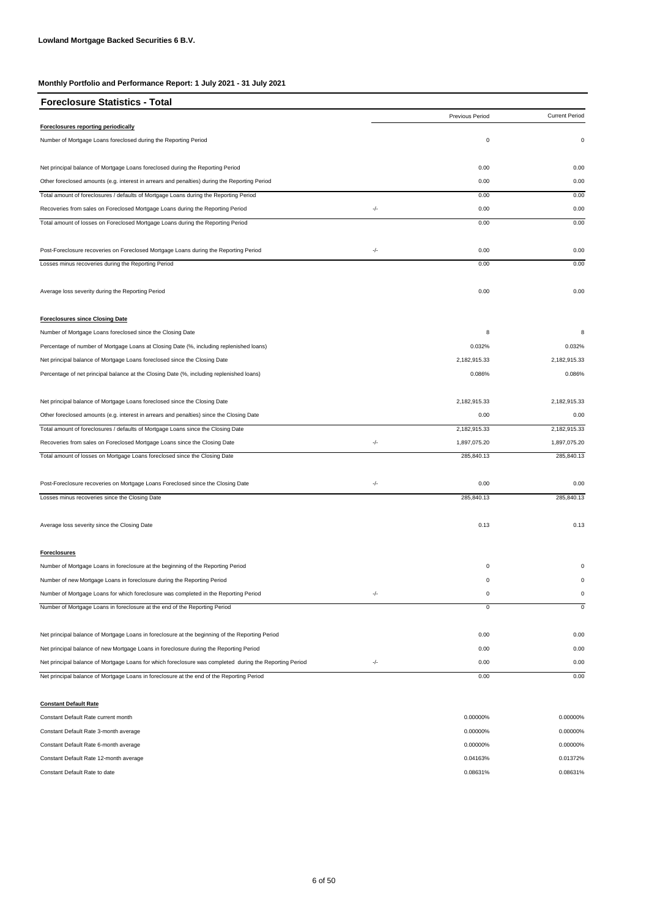| <b>Foreclosure Statistics - Total</b>                                                                   |       |                 |                       |
|---------------------------------------------------------------------------------------------------------|-------|-----------------|-----------------------|
|                                                                                                         |       | Previous Period | <b>Current Period</b> |
| Foreclosures reporting periodically                                                                     |       |                 |                       |
| Number of Mortgage Loans foreclosed during the Reporting Period                                         |       | $\mathbf 0$     | $\pmb{0}$             |
| Net principal balance of Mortgage Loans foreclosed during the Reporting Period                          |       | 0.00            | 0.00                  |
| Other foreclosed amounts (e.g. interest in arrears and penalties) during the Reporting Period           |       | 0.00            | 0.00                  |
| Total amount of foreclosures / defaults of Mortgage Loans during the Reporting Period                   |       | 0.00            | 0.00                  |
| Recoveries from sales on Foreclosed Mortgage Loans during the Reporting Period                          | $-/-$ | 0.00            | 0.00                  |
| Total amount of losses on Foreclosed Mortgage Loans during the Reporting Period                         |       | 0.00            | 0.00                  |
| Post-Foreclosure recoveries on Foreclosed Mortgage Loans during the Reporting Period                    | -/-   | 0.00            | 0.00                  |
| Losses minus recoveries during the Reporting Period                                                     |       | 0.00            | 0.00                  |
| Average loss severity during the Reporting Period                                                       |       | 0.00            | 0.00                  |
| <b>Foreclosures since Closing Date</b>                                                                  |       |                 |                       |
| Number of Mortgage Loans foreclosed since the Closing Date                                              |       | 8               | 8                     |
| Percentage of number of Mortgage Loans at Closing Date (%, including replenished loans)                 |       | 0.032%          | 0.032%                |
| Net principal balance of Mortgage Loans foreclosed since the Closing Date                               |       | 2,182,915.33    | 2,182,915.33          |
| Percentage of net principal balance at the Closing Date (%, including replenished loans)                |       | 0.086%          | 0.086%                |
| Net principal balance of Mortgage Loans foreclosed since the Closing Date                               |       | 2,182,915.33    | 2,182,915.33          |
| Other foreclosed amounts (e.g. interest in arrears and penalties) since the Closing Date                |       | 0.00            | 0.00                  |
| Total amount of foreclosures / defaults of Mortgage Loans since the Closing Date                        |       | 2,182,915.33    | 2,182,915.33          |
| Recoveries from sales on Foreclosed Mortgage Loans since the Closing Date                               | -/-   | 1,897,075.20    | 1,897,075.20          |
| Total amount of losses on Mortgage Loans foreclosed since the Closing Date                              |       | 285,840.13      | 285,840.13            |
| Post-Foreclosure recoveries on Mortgage Loans Foreclosed since the Closing Date                         | -/-   | 0.00            | 0.00                  |
| Losses minus recoveries since the Closing Date                                                          |       | 285,840.13      | 285,840.13            |
| Average loss severity since the Closing Date                                                            |       | 0.13            | 0.13                  |
| <b>Foreclosures</b>                                                                                     |       |                 |                       |
| Number of Mortgage Loans in foreclosure at the beginning of the Reporting Period                        |       | $\mathbf 0$     | 0                     |
| Number of new Mortgage Loans in foreclosure during the Reporting Period                                 |       | 0               | $\mathbf 0$           |
| Number of Mortgage Loans for which foreclosure was completed in the Reporting Period                    | $-/-$ | 0               | $\pmb{0}$             |
| Number of Mortgage Loans in foreclosure at the end of the Reporting Period                              |       | 0               | $\mathbf 0$           |
| Net principal balance of Mortgage Loans in foreclosure at the beginning of the Reporting Period         |       | 0.00            | 0.00                  |
| Net principal balance of new Mortgage Loans in foreclosure during the Reporting Period                  |       | 0.00            | 0.00                  |
| Net principal balance of Mortgage Loans for which foreclosure was completed during the Reporting Period | -/-   | 0.00            | 0.00                  |
| Net principal balance of Mortgage Loans in foreclosure at the end of the Reporting Period               |       | 0.00            | 0.00                  |

#### **Constant Default Rate**

| Constant Default Rate current month    | 0.00000% | 0.00000% |
|----------------------------------------|----------|----------|
| Constant Default Rate 3-month average  | 0.00000% | 0.00000% |
| Constant Default Rate 6-month average  | 0.00000% | 0.00000% |
| Constant Default Rate 12-month average | 0.04163% | 0.01372% |
| Constant Default Rate to date          | 0.08631% | 0.08631% |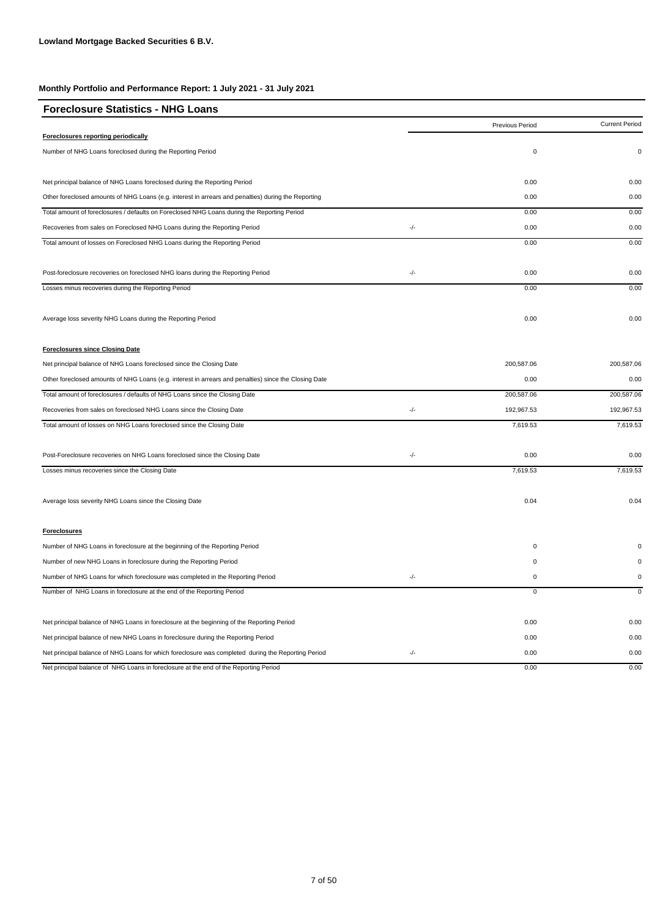| <b>Foreclosure Statistics - NHG Loans</b>                                                             |               |                 |                       |
|-------------------------------------------------------------------------------------------------------|---------------|-----------------|-----------------------|
|                                                                                                       |               | Previous Period | <b>Current Period</b> |
| Foreclosures reporting periodically                                                                   |               |                 |                       |
| Number of NHG Loans foreclosed during the Reporting Period                                            |               | $\mathsf 0$     | 0                     |
| Net principal balance of NHG Loans foreclosed during the Reporting Period                             |               | 0.00            | 0.00                  |
| Other foreclosed amounts of NHG Loans (e.g. interest in arrears and penalties) during the Reporting   |               | 0.00            | 0.00                  |
| Total amount of foreclosures / defaults on Foreclosed NHG Loans during the Reporting Period           |               | 0.00            | 0.00                  |
| Recoveries from sales on Foreclosed NHG Loans during the Reporting Period                             | -/-           | 0.00            | 0.00                  |
| Total amount of losses on Foreclosed NHG Loans during the Reporting Period                            |               | 0.00            | 0.00                  |
| Post-foreclosure recoveries on foreclosed NHG loans during the Reporting Period                       | -/-           | 0.00            | 0.00                  |
| Losses minus recoveries during the Reporting Period                                                   |               | 0.00            | 0.00                  |
| Average loss severity NHG Loans during the Reporting Period                                           |               | 0.00            | 0.00                  |
| <b>Foreclosures since Closing Date</b>                                                                |               |                 |                       |
| Net principal balance of NHG Loans foreclosed since the Closing Date                                  |               | 200,587.06      | 200,587.06            |
| Other foreclosed amounts of NHG Loans (e.g. interest in arrears and penalties) since the Closing Date |               | 0.00            | 0.00                  |
| Total amount of foreclosures / defaults of NHG Loans since the Closing Date                           |               | 200,587.06      | 200,587.06            |
| Recoveries from sales on foreclosed NHG Loans since the Closing Date                                  | $\frac{1}{2}$ | 192,967.53      | 192,967.53            |
| Total amount of losses on NHG Loans foreclosed since the Closing Date                                 |               | 7,619.53        | 7,619.53              |
| Post-Foreclosure recoveries on NHG Loans foreclosed since the Closing Date                            | -/-           | 0.00            | 0.00                  |
| Losses minus recoveries since the Closing Date                                                        |               | 7,619.53        | 7,619.53              |
| Average loss severity NHG Loans since the Closing Date                                                |               | 0.04            | 0.04                  |
| <b>Foreclosures</b>                                                                                   |               |                 |                       |
| Number of NHG Loans in foreclosure at the beginning of the Reporting Period                           |               | $\mathsf 0$     |                       |
| Number of new NHG Loans in foreclosure during the Reporting Period                                    |               | $\mathbf 0$     |                       |
| Number of NHG Loans for which foreclosure was completed in the Reporting Period                       | -/-           | $\mathsf 0$     | 0                     |
| Number of NHG Loans in foreclosure at the end of the Reporting Period                                 |               | $\overline{0}$  | $\mathbf 0$           |
| Net principal balance of NHG Loans in foreclosure at the beginning of the Reporting Period            |               | 0.00            | 0.00                  |
| Net principal balance of new NHG Loans in foreclosure during the Reporting Period                     |               | 0.00            | 0.00                  |
| Net principal balance of NHG Loans for which foreclosure was completed during the Reporting Period    | $-/-$         | 0.00            | 0.00                  |
| Net principal balance of NHG Loans in foreclosure at the end of the Reporting Period                  |               | 0.00            | 0.00                  |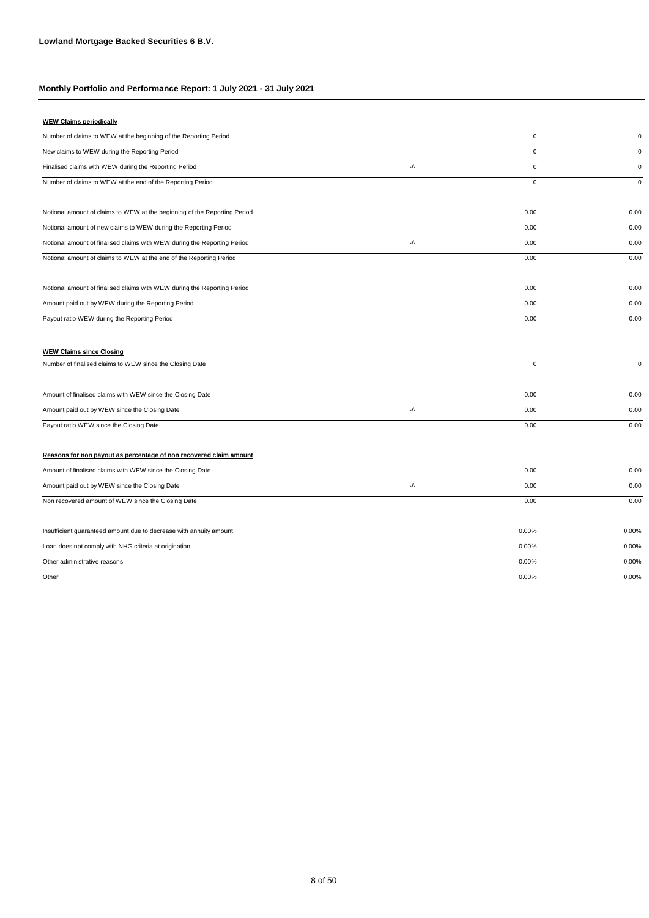| <b>WEW Claims periodically</b>                                            |               |             |             |
|---------------------------------------------------------------------------|---------------|-------------|-------------|
| Number of claims to WEW at the beginning of the Reporting Period          |               | $\mathsf 0$ | $\Omega$    |
| New claims to WEW during the Reporting Period                             |               | $\mathsf 0$ | $\Omega$    |
| Finalised claims with WEW during the Reporting Period                     | $-/-$         | $\mathsf 0$ | $\pmb{0}$   |
| Number of claims to WEW at the end of the Reporting Period                |               | $\mathsf 0$ | $\mathbf 0$ |
| Notional amount of claims to WEW at the beginning of the Reporting Period |               | 0.00        | 0.00        |
| Notional amount of new claims to WEW during the Reporting Period          |               | 0.00        | 0.00        |
| Notional amount of finalised claims with WEW during the Reporting Period  | $-/-$         | 0.00        | 0.00        |
| Notional amount of claims to WEW at the end of the Reporting Period       |               | 0.00        | 0.00        |
| Notional amount of finalised claims with WEW during the Reporting Period  |               | 0.00        | 0.00        |
| Amount paid out by WEW during the Reporting Period                        |               | 0.00        | 0.00        |
| Payout ratio WEW during the Reporting Period                              |               | 0.00        | 0.00        |
| <b>WEW Claims since Closing</b>                                           |               |             |             |
| Number of finalised claims to WEW since the Closing Date                  |               | $\pmb{0}$   | $\mathbf 0$ |
| Amount of finalised claims with WEW since the Closing Date                |               | 0.00        | 0.00        |
| Amount paid out by WEW since the Closing Date                             | $\frac{1}{2}$ | 0.00        | 0.00        |
| Payout ratio WEW since the Closing Date                                   |               | 0.00        | 0.00        |
| Reasons for non payout as percentage of non recovered claim amount        |               |             |             |
| Amount of finalised claims with WEW since the Closing Date                |               | 0.00        | 0.00        |
| Amount paid out by WEW since the Closing Date                             | $-/-$         | 0.00        | 0.00        |
| Non recovered amount of WEW since the Closing Date                        |               | 0.00        | 0.00        |
| Insufficient guaranteed amount due to decrease with annuity amount        |               | 0.00%       | 0.00%       |
| Loan does not comply with NHG criteria at origination                     |               | 0.00%       | 0.00%       |
| Other administrative reasons                                              |               | 0.00%       | 0.00%       |
| Other                                                                     |               | 0.00%       | 0.00%       |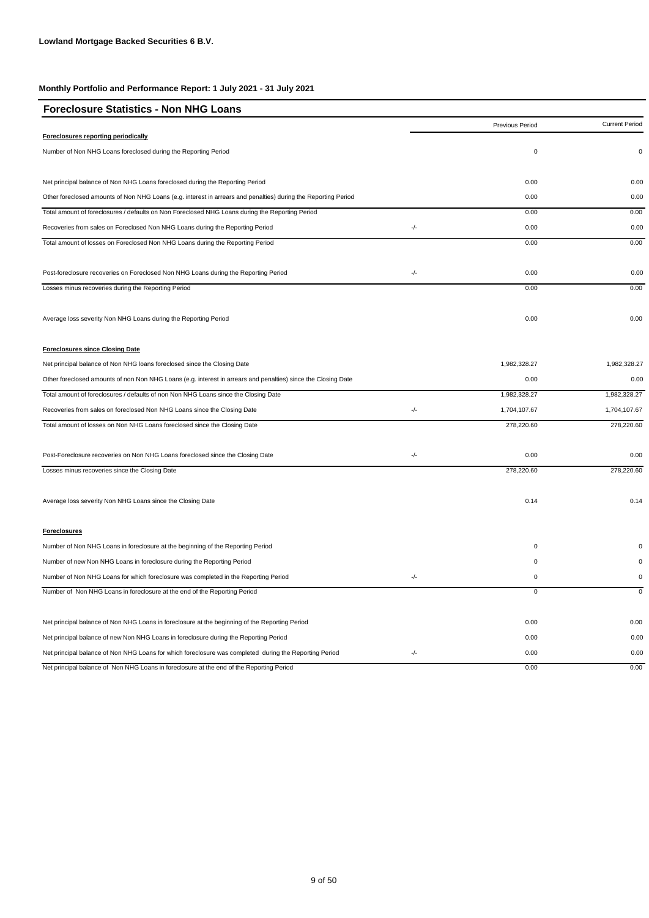| <b>Foreclosure Statistics - Non NHG Loans</b>                                                                  |       |                 |                       |
|----------------------------------------------------------------------------------------------------------------|-------|-----------------|-----------------------|
|                                                                                                                |       | Previous Period | <b>Current Period</b> |
| Foreclosures reporting periodically                                                                            |       |                 |                       |
| Number of Non NHG Loans foreclosed during the Reporting Period                                                 |       | $\pmb{0}$       | $\mathbf 0$           |
| Net principal balance of Non NHG Loans foreclosed during the Reporting Period                                  |       | 0.00            | 0.00                  |
| Other foreclosed amounts of Non NHG Loans (e.g. interest in arrears and penalties) during the Reporting Period |       | 0.00            | 0.00                  |
| Total amount of foreclosures / defaults on Non Foreclosed NHG Loans during the Reporting Period                |       | 0.00            | 0.00                  |
| Recoveries from sales on Foreclosed Non NHG Loans during the Reporting Period                                  | $-/-$ | 0.00            | 0.00                  |
| Total amount of losses on Foreclosed Non NHG Loans during the Reporting Period                                 |       | 0.00            | 0.00                  |
| Post-foreclosure recoveries on Foreclosed Non NHG Loans during the Reporting Period                            | -/-   | 0.00            | 0.00                  |
| Losses minus recoveries during the Reporting Period                                                            |       | 0.00            | 0.00                  |
| Average loss severity Non NHG Loans during the Reporting Period                                                |       | 0.00            | 0.00                  |
| <b>Foreclosures since Closing Date</b>                                                                         |       |                 |                       |
| Net principal balance of Non NHG loans foreclosed since the Closing Date                                       |       | 1,982,328.27    | 1,982,328.27          |
| Other foreclosed amounts of non Non NHG Loans (e.g. interest in arrears and penalties) since the Closing Date  |       | 0.00            | 0.00                  |
| Total amount of foreclosures / defaults of non Non NHG Loans since the Closing Date                            |       | 1,982,328.27    | 1,982,328.27          |
| Recoveries from sales on foreclosed Non NHG Loans since the Closing Date                                       | $-/-$ | 1,704,107.67    | 1,704,107.67          |
| Total amount of losses on Non NHG Loans foreclosed since the Closing Date                                      |       | 278,220.60      | 278,220.60            |
| Post-Foreclosure recoveries on Non NHG Loans foreclosed since the Closing Date                                 | $-/-$ | 0.00            | 0.00                  |
| Losses minus recoveries since the Closing Date                                                                 |       | 278,220.60      | 278,220.60            |
| Average loss severity Non NHG Loans since the Closing Date                                                     |       | 0.14            | 0.14                  |
| <b>Foreclosures</b>                                                                                            |       |                 |                       |
| Number of Non NHG Loans in foreclosure at the beginning of the Reporting Period                                |       | 0               |                       |
| Number of new Non NHG Loans in foreclosure during the Reporting Period                                         |       | 0               | $\Omega$              |
| Number of Non NHG Loans for which foreclosure was completed in the Reporting Period                            | $-/-$ | 0               | 0                     |
| Number of Non NHG Loans in foreclosure at the end of the Reporting Period                                      |       | $\overline{0}$  | $\mathbf 0$           |
| Net principal balance of Non NHG Loans in foreclosure at the beginning of the Reporting Period                 |       | 0.00            | 0.00                  |
| Net principal balance of new Non NHG Loans in foreclosure during the Reporting Period                          |       | 0.00            | 0.00                  |
| Net principal balance of Non NHG Loans for which foreclosure was completed during the Reporting Period         | -/-   | 0.00            | 0.00                  |
| Net principal balance of Non NHG Loans in foreclosure at the end of the Reporting Period                       |       | 0.00            | 0.00                  |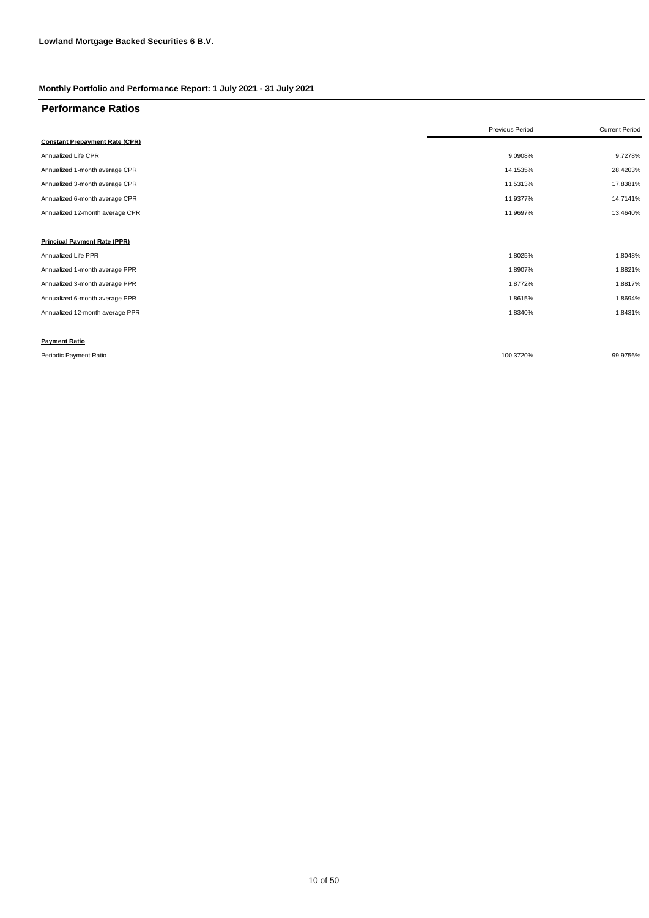| <b>Performance Ratios</b>             |                 |                       |
|---------------------------------------|-----------------|-----------------------|
|                                       | Previous Period | <b>Current Period</b> |
| <b>Constant Prepayment Rate (CPR)</b> |                 |                       |
| Annualized Life CPR                   | 9.0908%         | 9.7278%               |
| Annualized 1-month average CPR        | 14.1535%        | 28.4203%              |
| Annualized 3-month average CPR        | 11.5313%        | 17.8381%              |
| Annualized 6-month average CPR        | 11.9377%        | 14.7141%              |
| Annualized 12-month average CPR       | 11.9697%        | 13.4640%              |
|                                       |                 |                       |
| <b>Principal Payment Rate (PPR)</b>   |                 |                       |
| Annualized Life PPR                   | 1.8025%         | 1.8048%               |
| Annualized 1-month average PPR        | 1.8907%         | 1.8821%               |
| Annualized 3-month average PPR        | 1.8772%         | 1.8817%               |
| Annualized 6-month average PPR        | 1.8615%         | 1.8694%               |
| Annualized 12-month average PPR       | 1.8340%         | 1.8431%               |
|                                       |                 |                       |
| <b>Payment Ratio</b>                  |                 |                       |
| Periodic Payment Ratio                | 100.3720%       | 99.9756%              |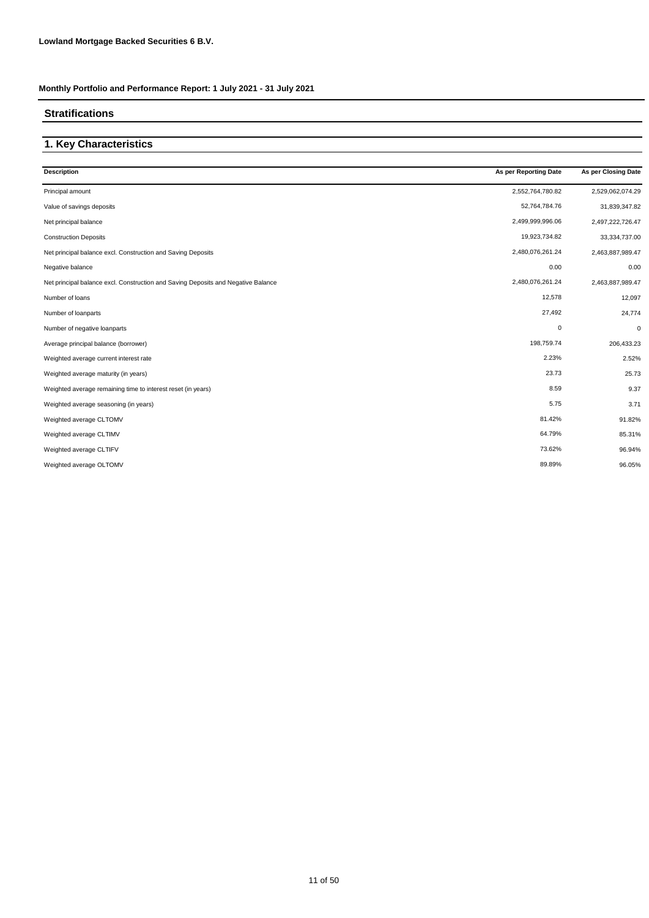#### **Stratifications**

# **1. Key Characteristics**

| <b>Description</b>                                                                | As per Reporting Date | As per Closing Date |
|-----------------------------------------------------------------------------------|-----------------------|---------------------|
| Principal amount                                                                  | 2,552,764,780.82      | 2,529,062,074.29    |
| Value of savings deposits                                                         | 52,764,784.76         | 31,839,347.82       |
| Net principal balance                                                             | 2,499,999,996.06      | 2,497,222,726.47    |
| <b>Construction Deposits</b>                                                      | 19,923,734.82         | 33,334,737.00       |
| Net principal balance excl. Construction and Saving Deposits                      | 2,480,076,261.24      | 2,463,887,989.47    |
| Negative balance                                                                  | 0.00                  | 0.00                |
| Net principal balance excl. Construction and Saving Deposits and Negative Balance | 2,480,076,261.24      | 2,463,887,989.47    |
| Number of loans                                                                   | 12,578                | 12,097              |
| Number of loanparts                                                               | 27,492                | 24,774              |
| Number of negative loanparts                                                      | 0                     | $\mathbf 0$         |
| Average principal balance (borrower)                                              | 198,759.74            | 206,433.23          |
| Weighted average current interest rate                                            | 2.23%                 | 2.52%               |
| Weighted average maturity (in years)                                              | 23.73                 | 25.73               |
| Weighted average remaining time to interest reset (in years)                      | 8.59                  | 9.37                |
| Weighted average seasoning (in years)                                             | 5.75                  | 3.71                |
| Weighted average CLTOMV                                                           | 81.42%                | 91.82%              |
| Weighted average CLTIMV                                                           | 64.79%                | 85.31%              |
| Weighted average CLTIFV                                                           | 73.62%                | 96.94%              |
| Weighted average OLTOMV                                                           | 89.89%                | 96.05%              |
|                                                                                   |                       |                     |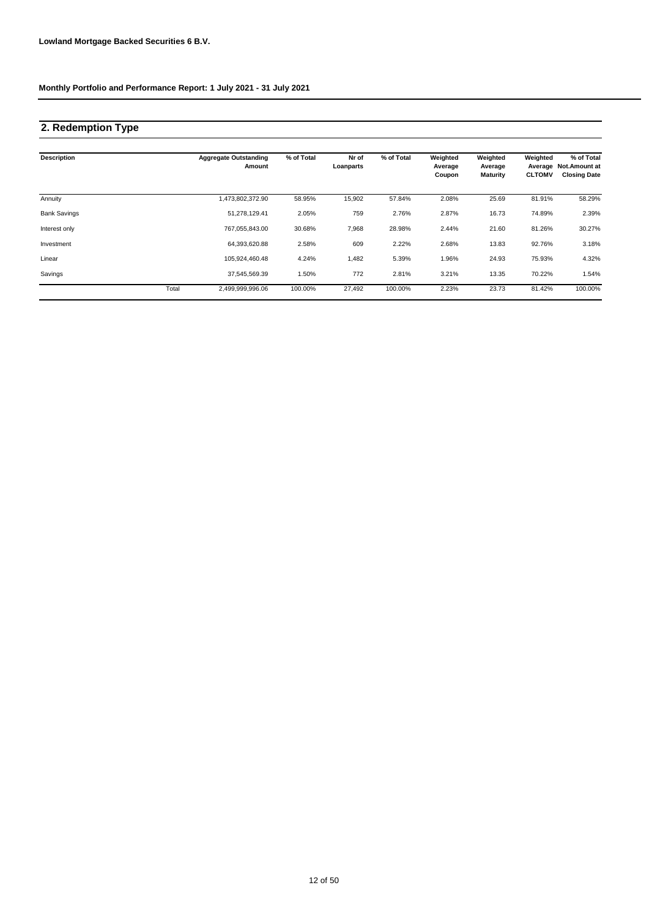# **2. Redemption Type**

| <b>Description</b>  |       | <b>Aggregate Outstanding</b><br>Amount | % of Total | Nr of<br>Loanparts | % of Total | Weighted<br>Average<br>Coupon | Weighted<br>Average<br><b>Maturity</b> | Weighted<br><b>CLTOMV</b> | % of Total<br>Average Not. Amount at<br><b>Closing Date</b> |
|---------------------|-------|----------------------------------------|------------|--------------------|------------|-------------------------------|----------------------------------------|---------------------------|-------------------------------------------------------------|
| Annuity             |       | 1,473,802,372.90                       | 58.95%     | 15,902             | 57.84%     | 2.08%                         | 25.69                                  | 81.91%                    | 58.29%                                                      |
| <b>Bank Savings</b> |       | 51,278,129.41                          | 2.05%      | 759                | 2.76%      | 2.87%                         | 16.73                                  | 74.89%                    | 2.39%                                                       |
| Interest only       |       | 767,055,843.00                         | 30.68%     | 7,968              | 28.98%     | 2.44%                         | 21.60                                  | 81.26%                    | 30.27%                                                      |
| Investment          |       | 64,393,620.88                          | 2.58%      | 609                | 2.22%      | 2.68%                         | 13.83                                  | 92.76%                    | 3.18%                                                       |
| Linear              |       | 105,924,460.48                         | 4.24%      | 1,482              | 5.39%      | 1.96%                         | 24.93                                  | 75.93%                    | 4.32%                                                       |
| Savings             |       | 37,545,569.39                          | 1.50%      | 772                | 2.81%      | 3.21%                         | 13.35                                  | 70.22%                    | 1.54%                                                       |
|                     | Total | 2,499,999,996.06                       | 100.00%    | 27,492             | 100.00%    | 2.23%                         | 23.73                                  | 81.42%                    | 100.00%                                                     |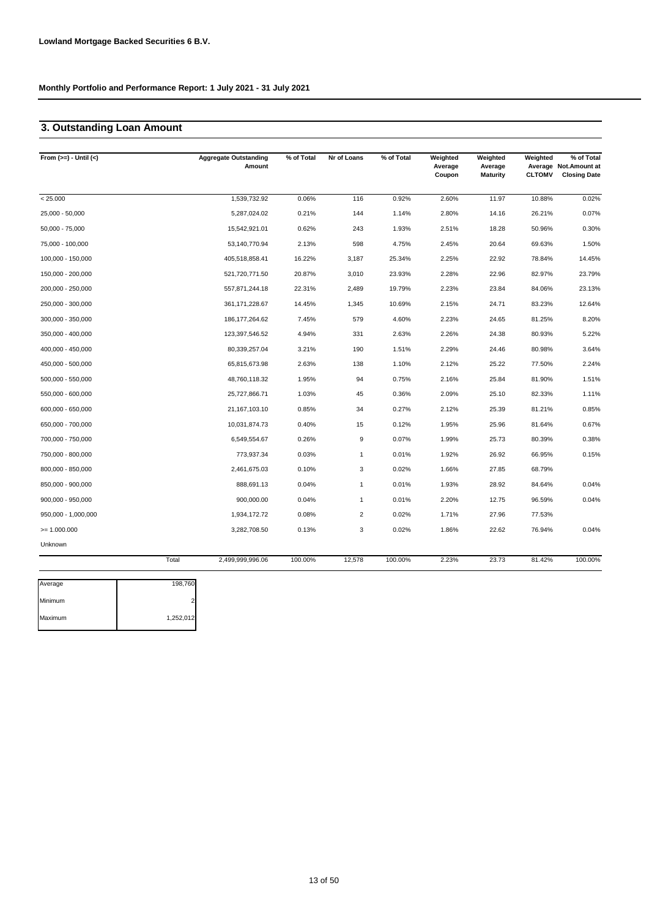# **3. Outstanding Loan Amount**

| From $(>=) -$ Until $(<)$ | <b>Aggregate Outstanding</b><br>Amount | % of Total | Nr of Loans    | % of Total | Weighted<br>Average<br>Coupon | Weighted<br>Average<br><b>Maturity</b> | Weighted<br><b>CLTOMV</b> | % of Total<br>Average Not. Amount at<br><b>Closing Date</b> |
|---------------------------|----------------------------------------|------------|----------------|------------|-------------------------------|----------------------------------------|---------------------------|-------------------------------------------------------------|
| < 25.000                  | 1,539,732.92                           | 0.06%      | 116            | 0.92%      | 2.60%                         | 11.97                                  | 10.88%                    | 0.02%                                                       |
| 25,000 - 50,000           | 5,287,024.02                           | 0.21%      | 144            | 1.14%      | 2.80%                         | 14.16                                  | 26.21%                    | 0.07%                                                       |
| $50,000 - 75,000$         | 15,542,921.01                          | 0.62%      | 243            | 1.93%      | 2.51%                         | 18.28                                  | 50.96%                    | 0.30%                                                       |
| 75,000 - 100,000          | 53,140,770.94                          | 2.13%      | 598            | 4.75%      | 2.45%                         | 20.64                                  | 69.63%                    | 1.50%                                                       |
| 100,000 - 150,000         | 405,518,858.41                         | 16.22%     | 3,187          | 25.34%     | 2.25%                         | 22.92                                  | 78.84%                    | 14.45%                                                      |
| 150,000 - 200,000         | 521,720,771.50                         | 20.87%     | 3,010          | 23.93%     | 2.28%                         | 22.96                                  | 82.97%                    | 23.79%                                                      |
| 200,000 - 250,000         | 557,871,244.18                         | 22.31%     | 2,489          | 19.79%     | 2.23%                         | 23.84                                  | 84.06%                    | 23.13%                                                      |
| 250,000 - 300,000         | 361, 171, 228.67                       | 14.45%     | 1,345          | 10.69%     | 2.15%                         | 24.71                                  | 83.23%                    | 12.64%                                                      |
| 300,000 - 350,000         | 186, 177, 264. 62                      | 7.45%      | 579            | 4.60%      | 2.23%                         | 24.65                                  | 81.25%                    | 8.20%                                                       |
| 350,000 - 400,000         | 123,397,546.52                         | 4.94%      | 331            | 2.63%      | 2.26%                         | 24.38                                  | 80.93%                    | 5.22%                                                       |
| 400,000 - 450,000         | 80,339,257.04                          | 3.21%      | 190            | 1.51%      | 2.29%                         | 24.46                                  | 80.98%                    | 3.64%                                                       |
| 450,000 - 500,000         | 65,815,673.98                          | 2.63%      | 138            | 1.10%      | 2.12%                         | 25.22                                  | 77.50%                    | 2.24%                                                       |
| 500,000 - 550,000         | 48,760,118.32                          | 1.95%      | 94             | 0.75%      | 2.16%                         | 25.84                                  | 81.90%                    | 1.51%                                                       |
| 550,000 - 600,000         | 25,727,866.71                          | 1.03%      | 45             | 0.36%      | 2.09%                         | 25.10                                  | 82.33%                    | 1.11%                                                       |
| 600,000 - 650,000         | 21, 167, 103. 10                       | 0.85%      | 34             | 0.27%      | 2.12%                         | 25.39                                  | 81.21%                    | 0.85%                                                       |
| 650,000 - 700,000         | 10,031,874.73                          | 0.40%      | 15             | 0.12%      | 1.95%                         | 25.96                                  | 81.64%                    | 0.67%                                                       |
| 700,000 - 750,000         | 6,549,554.67                           | 0.26%      | 9              | 0.07%      | 1.99%                         | 25.73                                  | 80.39%                    | 0.38%                                                       |
| 750,000 - 800,000         | 773,937.34                             | 0.03%      | $\overline{1}$ | 0.01%      | 1.92%                         | 26.92                                  | 66.95%                    | 0.15%                                                       |
| 800,000 - 850,000         | 2,461,675.03                           | 0.10%      | 3              | 0.02%      | 1.66%                         | 27.85                                  | 68.79%                    |                                                             |
| 850,000 - 900,000         | 888,691.13                             | 0.04%      | $\mathbf{1}$   | 0.01%      | 1.93%                         | 28.92                                  | 84.64%                    | 0.04%                                                       |
| 900,000 - 950,000         | 900,000.00                             | 0.04%      | $\mathbf{1}$   | 0.01%      | 2.20%                         | 12.75                                  | 96.59%                    | 0.04%                                                       |
| 950,000 - 1,000,000       | 1,934,172.72                           | 0.08%      | $\overline{2}$ | 0.02%      | 1.71%                         | 27.96                                  | 77.53%                    |                                                             |
| $= 1.000.000$             | 3,282,708.50                           | 0.13%      | 3              | 0.02%      | 1.86%                         | 22.62                                  | 76.94%                    | 0.04%                                                       |
| Unknown                   |                                        |            |                |            |                               |                                        |                           |                                                             |
|                           | 2,499,999,996.06<br>Total              | 100.00%    | 12,578         | 100.00%    | 2.23%                         | 23.73                                  | 81.42%                    | 100.00%                                                     |

| Average | 198,760   |
|---------|-----------|
| Minimum |           |
| Maximum | 1,252,012 |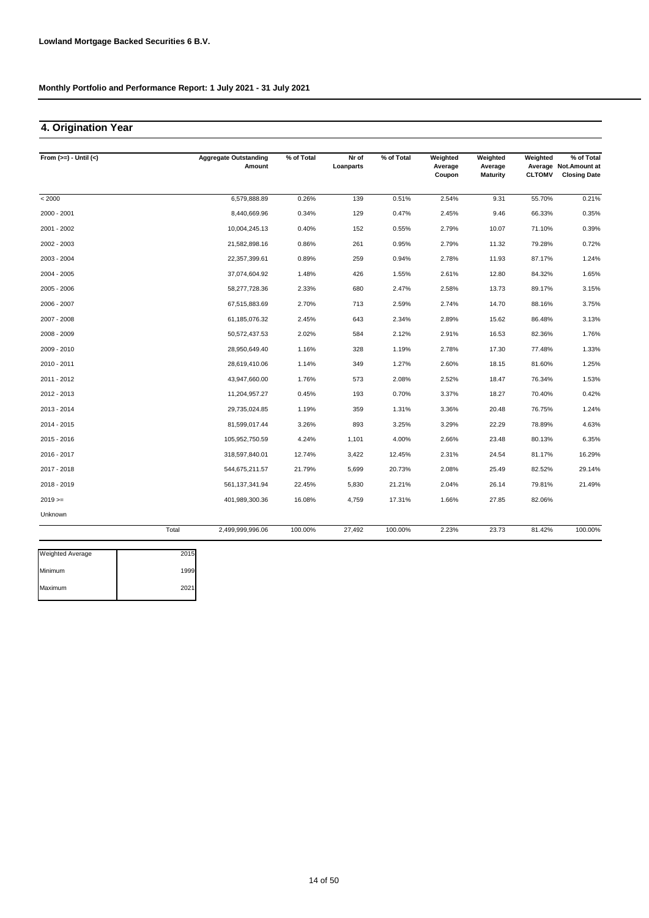## **4. Origination Year**

| From $(>=) -$ Until $(<)$ |       | <b>Aggregate Outstanding</b><br>Amount | % of Total | Nr of<br>Loanparts | % of Total | Weighted<br>Average<br>Coupon | Weighted<br>Average<br><b>Maturity</b> | Weighted<br><b>CLTOMV</b> | % of Total<br>Average Not. Amount at<br><b>Closing Date</b> |
|---------------------------|-------|----------------------------------------|------------|--------------------|------------|-------------------------------|----------------------------------------|---------------------------|-------------------------------------------------------------|
| < 2000                    |       | 6,579,888.89                           | 0.26%      | 139                | 0.51%      | 2.54%                         | 9.31                                   | 55.70%                    | 0.21%                                                       |
| 2000 - 2001               |       | 8,440,669.96                           | 0.34%      | 129                | 0.47%      | 2.45%                         | 9.46                                   | 66.33%                    | 0.35%                                                       |
| 2001 - 2002               |       | 10,004,245.13                          | 0.40%      | 152                | 0.55%      | 2.79%                         | 10.07                                  | 71.10%                    | 0.39%                                                       |
| 2002 - 2003               |       | 21,582,898.16                          | 0.86%      | 261                | 0.95%      | 2.79%                         | 11.32                                  | 79.28%                    | 0.72%                                                       |
| 2003 - 2004               |       | 22,357,399.61                          | 0.89%      | 259                | 0.94%      | 2.78%                         | 11.93                                  | 87.17%                    | 1.24%                                                       |
| 2004 - 2005               |       | 37,074,604.92                          | 1.48%      | 426                | 1.55%      | 2.61%                         | 12.80                                  | 84.32%                    | 1.65%                                                       |
| $2005 - 2006$             |       | 58,277,728.36                          | 2.33%      | 680                | 2.47%      | 2.58%                         | 13.73                                  | 89.17%                    | 3.15%                                                       |
| 2006 - 2007               |       | 67,515,883.69                          | 2.70%      | 713                | 2.59%      | 2.74%                         | 14.70                                  | 88.16%                    | 3.75%                                                       |
| 2007 - 2008               |       | 61,185,076.32                          | 2.45%      | 643                | 2.34%      | 2.89%                         | 15.62                                  | 86.48%                    | 3.13%                                                       |
| 2008 - 2009               |       | 50,572,437.53                          | 2.02%      | 584                | 2.12%      | 2.91%                         | 16.53                                  | 82.36%                    | 1.76%                                                       |
| 2009 - 2010               |       | 28,950,649.40                          | 1.16%      | 328                | 1.19%      | 2.78%                         | 17.30                                  | 77.48%                    | 1.33%                                                       |
| 2010 - 2011               |       | 28,619,410.06                          | 1.14%      | 349                | 1.27%      | 2.60%                         | 18.15                                  | 81.60%                    | 1.25%                                                       |
| 2011 - 2012               |       | 43,947,660.00                          | 1.76%      | 573                | 2.08%      | 2.52%                         | 18.47                                  | 76.34%                    | 1.53%                                                       |
| 2012 - 2013               |       | 11,204,957.27                          | 0.45%      | 193                | 0.70%      | 3.37%                         | 18.27                                  | 70.40%                    | 0.42%                                                       |
| 2013 - 2014               |       | 29,735,024.85                          | 1.19%      | 359                | 1.31%      | 3.36%                         | 20.48                                  | 76.75%                    | 1.24%                                                       |
| 2014 - 2015               |       | 81,599,017.44                          | 3.26%      | 893                | 3.25%      | 3.29%                         | 22.29                                  | 78.89%                    | 4.63%                                                       |
| $2015 - 2016$             |       | 105,952,750.59                         | 4.24%      | 1,101              | 4.00%      | 2.66%                         | 23.48                                  | 80.13%                    | 6.35%                                                       |
| 2016 - 2017               |       | 318,597,840.01                         | 12.74%     | 3,422              | 12.45%     | 2.31%                         | 24.54                                  | 81.17%                    | 16.29%                                                      |
| 2017 - 2018               |       | 544,675,211.57                         | 21.79%     | 5,699              | 20.73%     | 2.08%                         | 25.49                                  | 82.52%                    | 29.14%                                                      |
| 2018 - 2019               |       | 561,137,341.94                         | 22.45%     | 5,830              | 21.21%     | 2.04%                         | 26.14                                  | 79.81%                    | 21.49%                                                      |
| $2019 =$                  |       | 401,989,300.36                         | 16.08%     | 4,759              | 17.31%     | 1.66%                         | 27.85                                  | 82.06%                    |                                                             |
| <b>Unknown</b>            |       |                                        |            |                    |            |                               |                                        |                           |                                                             |
|                           | Total | 2,499,999,996.06                       | 100.00%    | 27,492             | 100.00%    | 2.23%                         | 23.73                                  | 81.42%                    | 100.00%                                                     |

| <b>Weighted Average</b> | 2015 |
|-------------------------|------|
| Minimum                 | 1999 |
| Maximum                 | 2021 |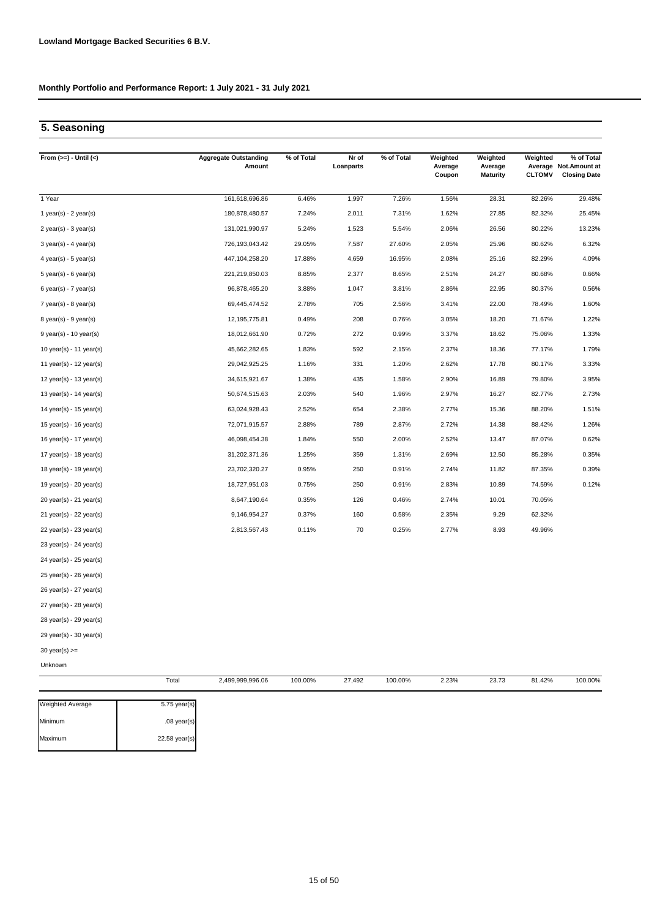# **5. Seasoning**

| From $(>=) -$ Until $(<)$   | <b>Aggregate Outstanding</b><br>Amount | % of Total | Nr of<br>Loanparts | % of Total | Weighted<br>Average<br>Coupon | Weighted<br>Average<br><b>Maturity</b> | Weighted<br><b>CLTOMV</b> | % of Total<br>Average Not. Amount at<br><b>Closing Date</b> |
|-----------------------------|----------------------------------------|------------|--------------------|------------|-------------------------------|----------------------------------------|---------------------------|-------------------------------------------------------------|
| 1 Year                      | 161,618,696.86                         | 6.46%      | 1,997              | 7.26%      | 1.56%                         | 28.31                                  | 82.26%                    | 29.48%                                                      |
| 1 year(s) - $2$ year(s)     | 180,878,480.57                         | 7.24%      | 2,011              | 7.31%      | 1.62%                         | 27.85                                  | 82.32%                    | 25.45%                                                      |
| $2$ year(s) - $3$ year(s)   | 131,021,990.97                         | 5.24%      | 1,523              | 5.54%      | 2.06%                         | 26.56                                  | 80.22%                    | 13.23%                                                      |
| $3$ year(s) - 4 year(s)     | 726,193,043.42                         | 29.05%     | 7,587              | 27.60%     | 2.05%                         | 25.96                                  | 80.62%                    | 6.32%                                                       |
| $4$ year(s) - 5 year(s)     | 447,104,258.20                         | 17.88%     | 4,659              | 16.95%     | 2.08%                         | 25.16                                  | 82.29%                    | 4.09%                                                       |
| $5$ year(s) - 6 year(s)     | 221,219,850.03                         | 8.85%      | 2,377              | 8.65%      | 2.51%                         | 24.27                                  | 80.68%                    | 0.66%                                                       |
| $6$ year(s) - 7 year(s)     | 96,878,465.20                          | 3.88%      | 1,047              | 3.81%      | 2.86%                         | 22.95                                  | 80.37%                    | 0.56%                                                       |
| $7$ year(s) - 8 year(s)     | 69,445,474.52                          | 2.78%      | 705                | 2.56%      | 3.41%                         | 22.00                                  | 78.49%                    | 1.60%                                                       |
| $8$ year(s) - $9$ year(s)   | 12,195,775.81                          | 0.49%      | 208                | 0.76%      | 3.05%                         | 18.20                                  | 71.67%                    | 1.22%                                                       |
| $9$ year(s) - 10 year(s)    | 18,012,661.90                          | 0.72%      | 272                | 0.99%      | 3.37%                         | 18.62                                  | 75.06%                    | 1.33%                                                       |
| 10 year(s) - 11 year(s)     | 45,662,282.65                          | 1.83%      | 592                | 2.15%      | 2.37%                         | 18.36                                  | 77.17%                    | 1.79%                                                       |
| 11 year(s) - 12 year(s)     | 29,042,925.25                          | 1.16%      | 331                | 1.20%      | 2.62%                         | 17.78                                  | 80.17%                    | 3.33%                                                       |
| 12 year(s) - 13 year(s)     | 34,615,921.67                          | 1.38%      | 435                | 1.58%      | 2.90%                         | 16.89                                  | 79.80%                    | 3.95%                                                       |
| 13 year(s) - 14 year(s)     | 50,674,515.63                          | 2.03%      | 540                | 1.96%      | 2.97%                         | 16.27                                  | 82.77%                    | 2.73%                                                       |
| 14 year(s) - 15 year(s)     | 63,024,928.43                          | 2.52%      | 654                | 2.38%      | 2.77%                         | 15.36                                  | 88.20%                    | 1.51%                                                       |
| 15 year(s) - 16 year(s)     | 72,071,915.57                          | 2.88%      | 789                | 2.87%      | 2.72%                         | 14.38                                  | 88.42%                    | 1.26%                                                       |
| 16 year(s) - 17 year(s)     | 46,098,454.38                          | 1.84%      | 550                | 2.00%      | 2.52%                         | 13.47                                  | 87.07%                    | 0.62%                                                       |
| 17 year(s) - 18 year(s)     | 31,202,371.36                          | 1.25%      | 359                | 1.31%      | 2.69%                         | 12.50                                  | 85.28%                    | 0.35%                                                       |
| 18 year(s) - 19 year(s)     | 23,702,320.27                          | 0.95%      | 250                | 0.91%      | 2.74%                         | 11.82                                  | 87.35%                    | 0.39%                                                       |
| 19 year(s) - 20 year(s)     | 18,727,951.03                          | 0.75%      | 250                | 0.91%      | 2.83%                         | 10.89                                  | 74.59%                    | 0.12%                                                       |
| 20 year(s) - 21 year(s)     | 8,647,190.64                           | 0.35%      | 126                | 0.46%      | 2.74%                         | 10.01                                  | 70.05%                    |                                                             |
| 21 year(s) - 22 year(s)     | 9,146,954.27                           | 0.37%      | 160                | 0.58%      | 2.35%                         | 9.29                                   | 62.32%                    |                                                             |
| $22$ year(s) - $23$ year(s) | 2,813,567.43                           | 0.11%      | 70                 | 0.25%      | 2.77%                         | 8.93                                   | 49.96%                    |                                                             |
| $23$ year(s) - 24 year(s)   |                                        |            |                    |            |                               |                                        |                           |                                                             |
| 24 year(s) - 25 year(s)     |                                        |            |                    |            |                               |                                        |                           |                                                             |
| 25 year(s) - 26 year(s)     |                                        |            |                    |            |                               |                                        |                           |                                                             |
| 26 year(s) - 27 year(s)     |                                        |            |                    |            |                               |                                        |                           |                                                             |
| $27$ year(s) - $28$ year(s) |                                        |            |                    |            |                               |                                        |                           |                                                             |
| $28$ year(s) - 29 year(s)   |                                        |            |                    |            |                               |                                        |                           |                                                             |
| $29$ year(s) - 30 year(s)   |                                        |            |                    |            |                               |                                        |                           |                                                             |

30 year(s) >=

Unknown

|                         | Total         | 2,499,999,996.06 | 100.00% | 27,492 | 100.00% | 2.23% | 23.73 | 81.42% | 100.00% |
|-------------------------|---------------|------------------|---------|--------|---------|-------|-------|--------|---------|
| <b>Weighted Average</b> | 5.75 year(s)  |                  |         |        |         |       |       |        |         |
| Minimum                 | $.08$ year(s) |                  |         |        |         |       |       |        |         |
| Maximum                 | 22.58 year(s) |                  |         |        |         |       |       |        |         |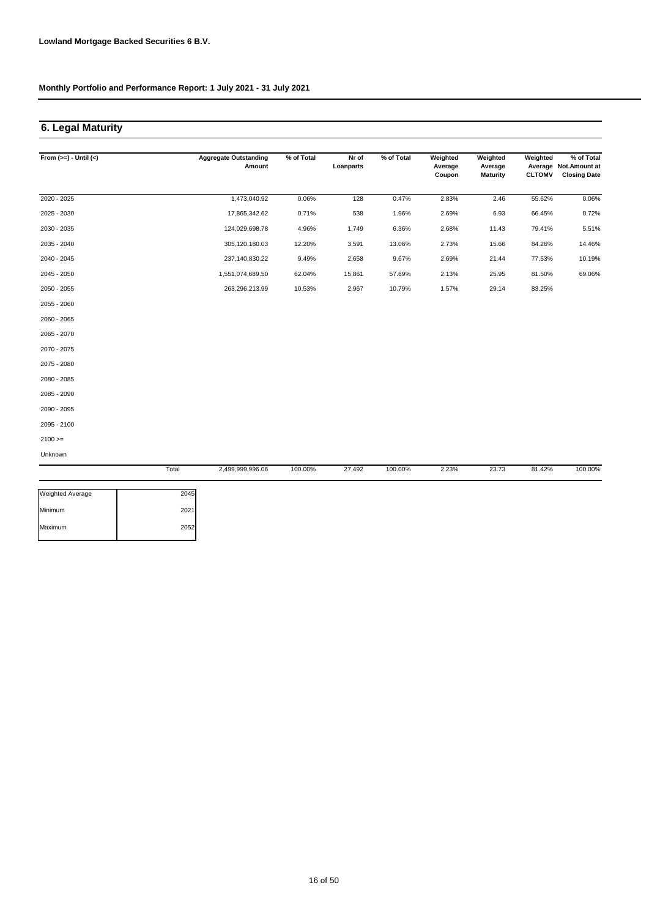## **6. Legal Maturity**

| From $(>=) -$ Until $(<)$ |       | <b>Aggregate Outstanding</b><br>Amount | % of Total | Nr of<br>Loanparts | % of Total | Weighted<br>Average<br>Coupon | Weighted<br>Average<br><b>Maturity</b> | Weighted<br><b>CLTOMV</b> | % of Total<br>Average Not. Amount at<br><b>Closing Date</b> |
|---------------------------|-------|----------------------------------------|------------|--------------------|------------|-------------------------------|----------------------------------------|---------------------------|-------------------------------------------------------------|
| 2020 - 2025               |       | 1,473,040.92                           | 0.06%      | 128                | 0.47%      | 2.83%                         | 2.46                                   | 55.62%                    | 0.06%                                                       |
| 2025 - 2030               |       | 17,865,342.62                          | 0.71%      | 538                | 1.96%      | 2.69%                         | 6.93                                   | 66.45%                    | 0.72%                                                       |
| 2030 - 2035               |       | 124,029,698.78                         | 4.96%      | 1,749              | 6.36%      | 2.68%                         | 11.43                                  | 79.41%                    | 5.51%                                                       |
| 2035 - 2040               |       | 305,120,180.03                         | 12.20%     | 3,591              | 13.06%     | 2.73%                         | 15.66                                  | 84.26%                    | 14.46%                                                      |
| 2040 - 2045               |       | 237,140,830.22                         | 9.49%      | 2,658              | 9.67%      | 2.69%                         | 21.44                                  | 77.53%                    | 10.19%                                                      |
| 2045 - 2050               |       | 1,551,074,689.50                       | 62.04%     | 15,861             | 57.69%     | 2.13%                         | 25.95                                  | 81.50%                    | 69.06%                                                      |
| 2050 - 2055               |       | 263,296,213.99                         | 10.53%     | 2,967              | 10.79%     | 1.57%                         | 29.14                                  | 83.25%                    |                                                             |
| 2055 - 2060               |       |                                        |            |                    |            |                               |                                        |                           |                                                             |
| 2060 - 2065               |       |                                        |            |                    |            |                               |                                        |                           |                                                             |
| 2065 - 2070               |       |                                        |            |                    |            |                               |                                        |                           |                                                             |
| 2070 - 2075               |       |                                        |            |                    |            |                               |                                        |                           |                                                             |
| 2075 - 2080               |       |                                        |            |                    |            |                               |                                        |                           |                                                             |
| 2080 - 2085               |       |                                        |            |                    |            |                               |                                        |                           |                                                             |
| 2085 - 2090               |       |                                        |            |                    |            |                               |                                        |                           |                                                             |
| 2090 - 2095               |       |                                        |            |                    |            |                               |                                        |                           |                                                             |
| 2095 - 2100               |       |                                        |            |                    |            |                               |                                        |                           |                                                             |
| $2100 >=$                 |       |                                        |            |                    |            |                               |                                        |                           |                                                             |
| Unknown                   |       |                                        |            |                    |            |                               |                                        |                           |                                                             |
|                           | Total | 2,499,999,996.06                       | 100.00%    | 27,492             | 100.00%    | 2.23%                         | 23.73                                  | 81.42%                    | 100.00%                                                     |
| Weighted Average          | 2045  |                                        |            |                    |            |                               |                                        |                           |                                                             |
| Minimum                   | 2021  |                                        |            |                    |            |                               |                                        |                           |                                                             |
| Maximum                   | 2052  |                                        |            |                    |            |                               |                                        |                           |                                                             |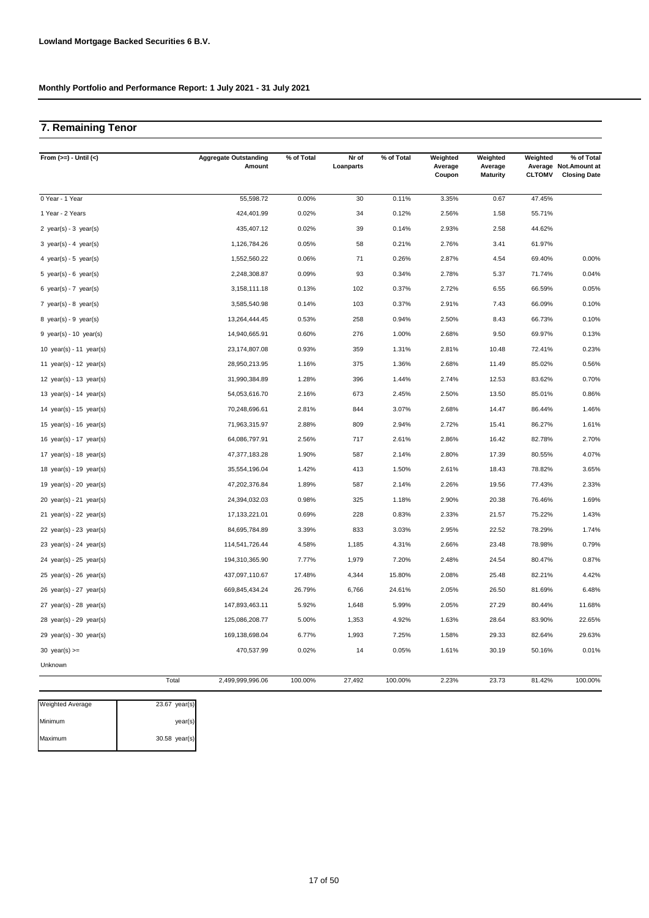## **7. Remaining Tenor**

| From $(>=) -$ Until $(<)$   |       | <b>Aggregate Outstanding</b><br>Amount | % of Total | Nr of<br>Loanparts | % of Total | Weighted<br>Average<br>Coupon | Weighted<br>Average<br><b>Maturity</b> | Weighted<br><b>CLTOMV</b> | % of Total<br>Average Not. Amount at<br><b>Closing Date</b> |
|-----------------------------|-------|----------------------------------------|------------|--------------------|------------|-------------------------------|----------------------------------------|---------------------------|-------------------------------------------------------------|
| 0 Year - 1 Year             |       | 55,598.72                              | 0.00%      | 30                 | 0.11%      | 3.35%                         | 0.67                                   | 47.45%                    |                                                             |
| 1 Year - 2 Years            |       | 424,401.99                             | 0.02%      | 34                 | 0.12%      | 2.56%                         | 1.58                                   | 55.71%                    |                                                             |
| 2 year(s) - $3$ year(s)     |       | 435,407.12                             | 0.02%      | 39                 | 0.14%      | 2.93%                         | 2.58                                   | 44.62%                    |                                                             |
| 3 year(s) - 4 year(s)       |       | 1,126,784.26                           | 0.05%      | 58                 | 0.21%      | 2.76%                         | 3.41                                   | 61.97%                    |                                                             |
| 4 year(s) - 5 year(s)       |       | 1,552,560.22                           | 0.06%      | 71                 | 0.26%      | 2.87%                         | 4.54                                   | 69.40%                    | 0.00%                                                       |
| 5 year(s) - 6 year(s)       |       | 2,248,308.87                           | 0.09%      | 93                 | 0.34%      | 2.78%                         | 5.37                                   | 71.74%                    | 0.04%                                                       |
| 6 year(s) - 7 year(s)       |       | 3,158,111.18                           | 0.13%      | 102                | 0.37%      | 2.72%                         | 6.55                                   | 66.59%                    | 0.05%                                                       |
| 7 year(s) - 8 year(s)       |       | 3,585,540.98                           | 0.14%      | 103                | 0.37%      | 2.91%                         | 7.43                                   | 66.09%                    | 0.10%                                                       |
| 8 year(s) - $9$ year(s)     |       | 13,264,444.45                          | 0.53%      | 258                | 0.94%      | 2.50%                         | 8.43                                   | 66.73%                    | 0.10%                                                       |
| $9$ year(s) - 10 year(s)    |       | 14,940,665.91                          | 0.60%      | 276                | 1.00%      | 2.68%                         | 9.50                                   | 69.97%                    | 0.13%                                                       |
| 10 $year(s) - 11$ $year(s)$ |       | 23,174,807.08                          | 0.93%      | 359                | 1.31%      | 2.81%                         | 10.48                                  | 72.41%                    | 0.23%                                                       |
| 11 year(s) - 12 year(s)     |       | 28,950,213.95                          | 1.16%      | 375                | 1.36%      | 2.68%                         | 11.49                                  | 85.02%                    | 0.56%                                                       |
| 12 $year(s) - 13 year(s)$   |       | 31,990,384.89                          | 1.28%      | 396                | 1.44%      | 2.74%                         | 12.53                                  | 83.62%                    | 0.70%                                                       |
| 13 year(s) - 14 year(s)     |       | 54,053,616.70                          | 2.16%      | 673                | 2.45%      | 2.50%                         | 13.50                                  | 85.01%                    | 0.86%                                                       |
| 14 $year(s) - 15$ $year(s)$ |       | 70,248,696.61                          | 2.81%      | 844                | 3.07%      | 2.68%                         | 14.47                                  | 86.44%                    | 1.46%                                                       |
| 15 year(s) - 16 year(s)     |       | 71,963,315.97                          | 2.88%      | 809                | 2.94%      | 2.72%                         | 15.41                                  | 86.27%                    | 1.61%                                                       |
| 16 year(s) - 17 year(s)     |       | 64,086,797.91                          | 2.56%      | 717                | 2.61%      | 2.86%                         | 16.42                                  | 82.78%                    | 2.70%                                                       |
| 17 $year(s) - 18$ $year(s)$ |       | 47,377,183.28                          | 1.90%      | 587                | 2.14%      | 2.80%                         | 17.39                                  | 80.55%                    | 4.07%                                                       |
| 18 year(s) - 19 year(s)     |       | 35,554,196.04                          | 1.42%      | 413                | 1.50%      | 2.61%                         | 18.43                                  | 78.82%                    | 3.65%                                                       |
| 19 year(s) - 20 year(s)     |       | 47,202,376.84                          | 1.89%      | 587                | 2.14%      | 2.26%                         | 19.56                                  | 77.43%                    | 2.33%                                                       |
| $20$ year(s) - $21$ year(s) |       | 24,394,032.03                          | 0.98%      | 325                | 1.18%      | 2.90%                         | 20.38                                  | 76.46%                    | 1.69%                                                       |
| $21$ year(s) - 22 year(s)   |       | 17,133,221.01                          | 0.69%      | 228                | 0.83%      | 2.33%                         | 21.57                                  | 75.22%                    | 1.43%                                                       |
| 22 year(s) - 23 year(s)     |       | 84,695,784.89                          | 3.39%      | 833                | 3.03%      | 2.95%                         | 22.52                                  | 78.29%                    | 1.74%                                                       |
| 23 year(s) - 24 year(s)     |       | 114,541,726.44                         | 4.58%      | 1,185              | 4.31%      | 2.66%                         | 23.48                                  | 78.98%                    | 0.79%                                                       |
| $24$ year(s) - $25$ year(s) |       | 194,310,365.90                         | 7.77%      | 1,979              | 7.20%      | 2.48%                         | 24.54                                  | 80.47%                    | 0.87%                                                       |
| $25$ year(s) - $26$ year(s) |       | 437,097,110.67                         | 17.48%     | 4,344              | 15.80%     | 2.08%                         | 25.48                                  | 82.21%                    | 4.42%                                                       |
| $26$ year(s) - 27 year(s)   |       | 669,845,434.24                         | 26.79%     | 6,766              | 24.61%     | 2.05%                         | 26.50                                  | 81.69%                    | 6.48%                                                       |
| $27$ year(s) - $28$ year(s) |       | 147,893,463.11                         | 5.92%      | 1,648              | 5.99%      | 2.05%                         | 27.29                                  | 80.44%                    | 11.68%                                                      |
| $28$ year(s) - $29$ year(s) |       | 125,086,208.77                         | 5.00%      | 1,353              | 4.92%      | 1.63%                         | 28.64                                  | 83.90%                    | 22.65%                                                      |
| 29 year(s) - 30 year(s)     |       | 169,138,698.04                         | 6.77%      | 1,993              | 7.25%      | 1.58%                         | 29.33                                  | 82.64%                    | 29.63%                                                      |
| 30 year(s) $>=$             |       | 470,537.99                             | 0.02%      | 14                 | 0.05%      | 1.61%                         | 30.19                                  | 50.16%                    | 0.01%                                                       |
| Unknown                     |       |                                        |            |                    |            |                               |                                        |                           |                                                             |
|                             | Total | 2,499,999,996.06                       | 100.00%    | 27,492             | 100.00%    | 2.23%                         | 23.73                                  | 81.42%                    | 100.00%                                                     |

| Weighted Average | $23.67$ year(s) |
|------------------|-----------------|
| Minimum          | year(s)         |
| Maximum          | 30.58 year(s)   |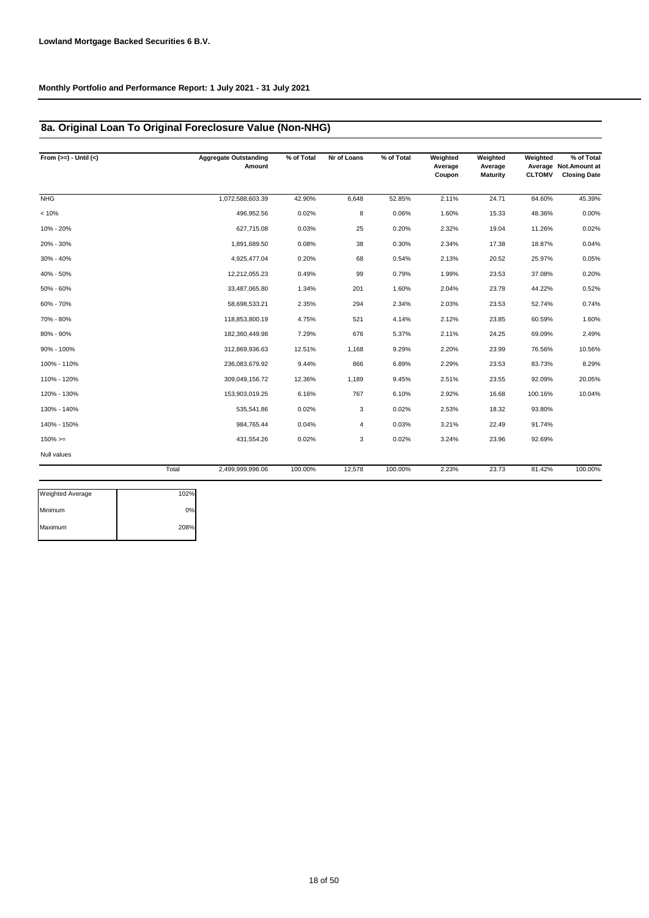## **8a. Original Loan To Original Foreclosure Value (Non-NHG)**

| From $(>=) -$ Until $(<)$ |       | <b>Aggregate Outstanding</b><br>Amount | % of Total | Nr of Loans | % of Total | Weighted<br>Average<br>Coupon | Weighted<br>Average<br><b>Maturity</b> | Weighted<br><b>CLTOMV</b> | % of Total<br>Average Not. Amount at<br><b>Closing Date</b> |
|---------------------------|-------|----------------------------------------|------------|-------------|------------|-------------------------------|----------------------------------------|---------------------------|-------------------------------------------------------------|
| <b>NHG</b>                |       | 1,072,588,603.39                       | 42.90%     | 6,648       | 52.85%     | 2.11%                         | 24.71                                  | 84.60%                    | 45.39%                                                      |
| < 10%                     |       | 496,952.56                             | 0.02%      | 8           | 0.06%      | 1.60%                         | 15.33                                  | 48.36%                    | 0.00%                                                       |
| 10% - 20%                 |       | 627,715.08                             | 0.03%      | 25          | 0.20%      | 2.32%                         | 19.04                                  | 11.26%                    | 0.02%                                                       |
| 20% - 30%                 |       | 1,891,689.50                           | 0.08%      | 38          | 0.30%      | 2.34%                         | 17.38                                  | 18.87%                    | 0.04%                                                       |
| 30% - 40%                 |       | 4,925,477.04                           | 0.20%      | 68          | 0.54%      | 2.13%                         | 20.52                                  | 25.97%                    | 0.05%                                                       |
| 40% - 50%                 |       | 12,212,055.23                          | 0.49%      | 99          | 0.79%      | 1.99%                         | 23.53                                  | 37.08%                    | 0.20%                                                       |
| 50% - 60%                 |       | 33,487,065.80                          | 1.34%      | 201         | 1.60%      | 2.04%                         | 23.78                                  | 44.22%                    | 0.52%                                                       |
| 60% - 70%                 |       | 58,698,533.21                          | 2.35%      | 294         | 2.34%      | 2.03%                         | 23.53                                  | 52.74%                    | 0.74%                                                       |
| 70% - 80%                 |       | 118,853,800.19                         | 4.75%      | 521         | 4.14%      | 2.12%                         | 23.85                                  | 60.59%                    | 1.60%                                                       |
| 80% - 90%                 |       | 182,360,449.98                         | 7.29%      | 676         | 5.37%      | 2.11%                         | 24.25                                  | 69.09%                    | 2.49%                                                       |
| 90% - 100%                |       | 312,869,936.63                         | 12.51%     | 1,168       | 9.29%      | 2.20%                         | 23.99                                  | 76.56%                    | 10.56%                                                      |
| 100% - 110%               |       | 236,083,679.92                         | 9.44%      | 866         | 6.89%      | 2.29%                         | 23.53                                  | 83.73%                    | 8.29%                                                       |
| 110% - 120%               |       | 309,049,156.72                         | 12.36%     | 1,189       | 9.45%      | 2.51%                         | 23.55                                  | 92.09%                    | 20.05%                                                      |
| 120% - 130%               |       | 153,903,019.25                         | 6.16%      | 767         | 6.10%      | 2.92%                         | 16.68                                  | 100.16%                   | 10.04%                                                      |
| 130% - 140%               |       | 535,541.86                             | 0.02%      | 3           | 0.02%      | 2.53%                         | 18.32                                  | 93.80%                    |                                                             |
| 140% - 150%               |       | 984,765.44                             | 0.04%      | 4           | 0.03%      | 3.21%                         | 22.49                                  | 91.74%                    |                                                             |
| $150\%>=$                 |       | 431,554.26                             | 0.02%      | 3           | 0.02%      | 3.24%                         | 23.96                                  | 92.69%                    |                                                             |
| Null values               |       |                                        |            |             |            |                               |                                        |                           |                                                             |
|                           | Total | 2,499,999,996.06                       | 100.00%    | 12,578      | 100.00%    | 2.23%                         | 23.73                                  | 81.42%                    | 100.00%                                                     |
| <b>Weighted Average</b>   | 102%  |                                        |            |             |            |                               |                                        |                           |                                                             |

| <b>Weighted Average</b> | 102% |
|-------------------------|------|
| Minimum                 | 0%   |
| Maximum                 | 208% |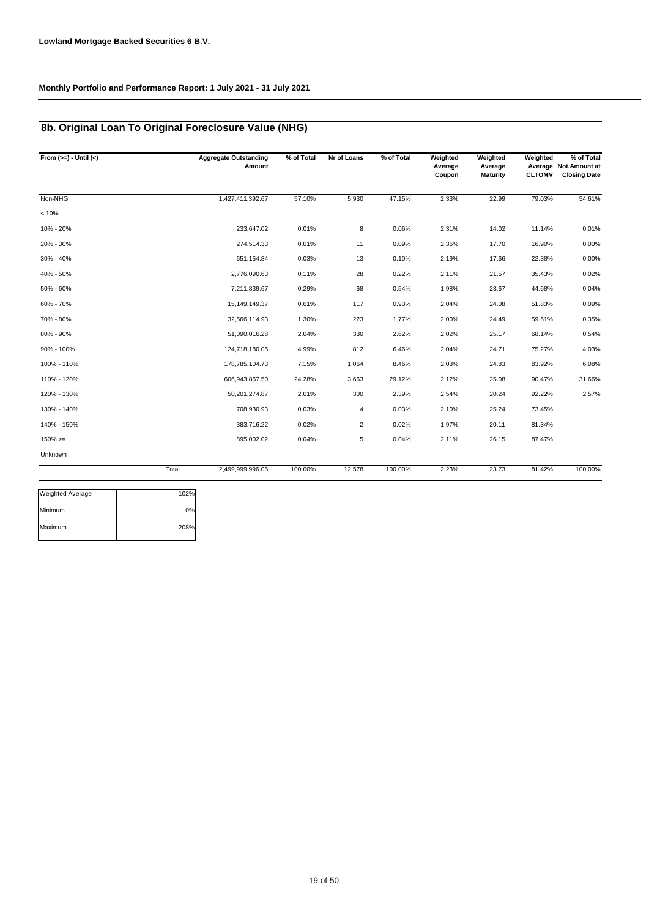# **8b. Original Loan To Original Foreclosure Value (NHG)**

| From $(>=) -$ Until $(<)$ |       | <b>Aggregate Outstanding</b><br>Amount | % of Total | Nr of Loans    | % of Total | Weighted<br>Average<br>Coupon | Weighted<br>Average<br><b>Maturity</b> | Weighted<br><b>CLTOMV</b> | % of Total<br>Average Not. Amount at<br><b>Closing Date</b> |
|---------------------------|-------|----------------------------------------|------------|----------------|------------|-------------------------------|----------------------------------------|---------------------------|-------------------------------------------------------------|
| Non-NHG                   |       | 1,427,411,392.67                       | 57.10%     | 5,930          | 47.15%     | 2.33%                         | 22.99                                  | 79.03%                    | 54.61%                                                      |
| < 10%                     |       |                                        |            |                |            |                               |                                        |                           |                                                             |
| 10% - 20%                 |       | 233,647.02                             | 0.01%      | 8              | 0.06%      | 2.31%                         | 14.02                                  | 11.14%                    | 0.01%                                                       |
| 20% - 30%                 |       | 274.514.33                             | 0.01%      | 11             | 0.09%      | 2.36%                         | 17.70                                  | 16.90%                    | 0.00%                                                       |
| 30% - 40%                 |       | 651,154.84                             | 0.03%      | 13             | 0.10%      | 2.19%                         | 17.66                                  | 22.38%                    | 0.00%                                                       |
| 40% - 50%                 |       | 2,776,090.63                           | 0.11%      | 28             | 0.22%      | 2.11%                         | 21.57                                  | 35.43%                    | 0.02%                                                       |
| 50% - 60%                 |       | 7,211,839.67                           | 0.29%      | 68             | 0.54%      | 1.98%                         | 23.67                                  | 44.68%                    | 0.04%                                                       |
| 60% - 70%                 |       | 15,149,149.37                          | 0.61%      | 117            | 0.93%      | 2.04%                         | 24.08                                  | 51.83%                    | 0.09%                                                       |
| 70% - 80%                 |       | 32,566,114.93                          | 1.30%      | 223            | 1.77%      | 2.00%                         | 24.49                                  | 59.61%                    | 0.35%                                                       |
| 80% - 90%                 |       | 51,090,016.28                          | 2.04%      | 330            | 2.62%      | 2.02%                         | 25.17                                  | 68.14%                    | 0.54%                                                       |
| 90% - 100%                |       | 124,718,180.05                         | 4.99%      | 812            | 6.46%      | 2.04%                         | 24.71                                  | 75.27%                    | 4.03%                                                       |
| 100% - 110%               |       | 178,785,104.73                         | 7.15%      | 1,064          | 8.46%      | 2.03%                         | 24.83                                  | 83.92%                    | 6.08%                                                       |
| 110% - 120%               |       | 606,943,867.50                         | 24.28%     | 3,663          | 29.12%     | 2.12%                         | 25.08                                  | 90.47%                    | 31.66%                                                      |
| 120% - 130%               |       | 50,201,274.87                          | 2.01%      | 300            | 2.39%      | 2.54%                         | 20.24                                  | 92.22%                    | 2.57%                                                       |
| 130% - 140%               |       | 708,930.93                             | 0.03%      | 4              | 0.03%      | 2.10%                         | 25.24                                  | 73.45%                    |                                                             |
| 140% - 150%               |       | 383,716.22                             | 0.02%      | $\overline{2}$ | 0.02%      | 1.97%                         | 20.11                                  | 81.34%                    |                                                             |
| $150\%>=$                 |       | 895,002.02                             | 0.04%      | 5              | 0.04%      | 2.11%                         | 26.15                                  | 87.47%                    |                                                             |
| Unknown                   |       |                                        |            |                |            |                               |                                        |                           |                                                             |
|                           | Total | 2,499,999,996.06                       | 100.00%    | 12,578         | 100.00%    | 2.23%                         | 23.73                                  | 81.42%                    | 100.00%                                                     |
| Weighted Average          | 102%  |                                        |            |                |            |                               |                                        |                           |                                                             |

| <b>Weighted Average</b> | 102% |
|-------------------------|------|
| Minimum                 | 0%   |
| Maximum                 | 208% |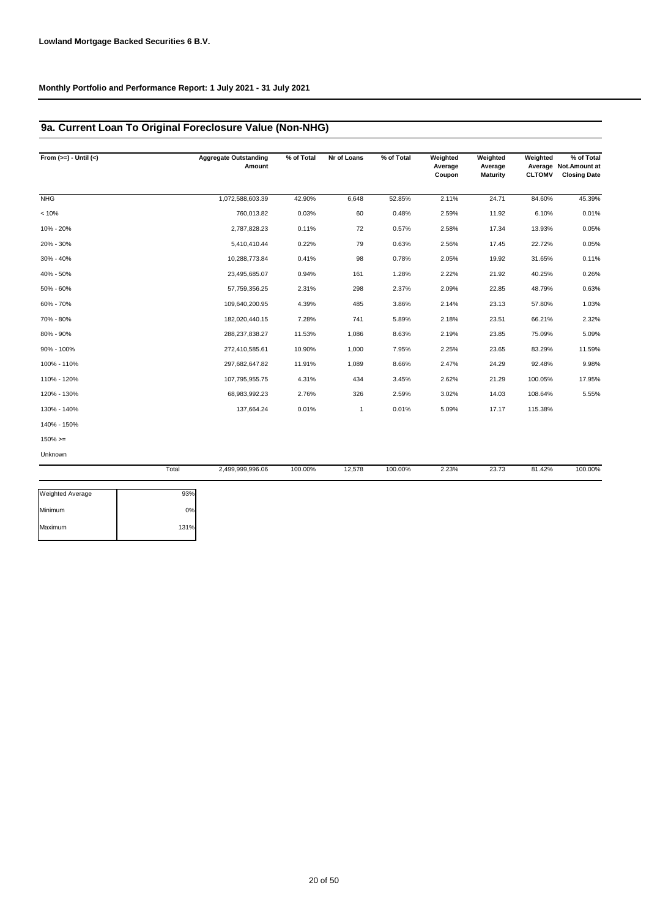## **9a. Current Loan To Original Foreclosure Value (Non-NHG)**

| From $(>=) -$ Until $(<)$ |       | <b>Aggregate Outstanding</b><br>Amount | % of Total | Nr of Loans | % of Total | Weighted<br>Average<br>Coupon | Weighted<br>Average<br><b>Maturity</b> | Weighted<br><b>CLTOMV</b> | % of Total<br>Average Not. Amount at<br><b>Closing Date</b> |
|---------------------------|-------|----------------------------------------|------------|-------------|------------|-------------------------------|----------------------------------------|---------------------------|-------------------------------------------------------------|
| <b>NHG</b>                |       | 1,072,588,603.39                       | 42.90%     | 6,648       | 52.85%     | 2.11%                         | 24.71                                  | 84.60%                    | 45.39%                                                      |
| < 10%                     |       | 760,013.82                             | 0.03%      | 60          | 0.48%      | 2.59%                         | 11.92                                  | 6.10%                     | 0.01%                                                       |
| 10% - 20%                 |       | 2,787,828.23                           | 0.11%      | 72          | 0.57%      | 2.58%                         | 17.34                                  | 13.93%                    | 0.05%                                                       |
| 20% - 30%                 |       | 5,410,410.44                           | 0.22%      | 79          | 0.63%      | 2.56%                         | 17.45                                  | 22.72%                    | 0.05%                                                       |
| 30% - 40%                 |       | 10,288,773.84                          | 0.41%      | 98          | 0.78%      | 2.05%                         | 19.92                                  | 31.65%                    | 0.11%                                                       |
| 40% - 50%                 |       | 23,495,685.07                          | 0.94%      | 161         | 1.28%      | 2.22%                         | 21.92                                  | 40.25%                    | 0.26%                                                       |
| 50% - 60%                 |       | 57,759,356.25                          | 2.31%      | 298         | 2.37%      | 2.09%                         | 22.85                                  | 48.79%                    | 0.63%                                                       |
| 60% - 70%                 |       | 109,640,200.95                         | 4.39%      | 485         | 3.86%      | 2.14%                         | 23.13                                  | 57.80%                    | 1.03%                                                       |
| 70% - 80%                 |       | 182,020,440.15                         | 7.28%      | 741         | 5.89%      | 2.18%                         | 23.51                                  | 66.21%                    | 2.32%                                                       |
| 80% - 90%                 |       | 288,237,838.27                         | 11.53%     | 1,086       | 8.63%      | 2.19%                         | 23.85                                  | 75.09%                    | 5.09%                                                       |
| 90% - 100%                |       | 272,410,585.61                         | 10.90%     | 1,000       | 7.95%      | 2.25%                         | 23.65                                  | 83.29%                    | 11.59%                                                      |
| 100% - 110%               |       | 297,682,647.82                         | 11.91%     | 1,089       | 8.66%      | 2.47%                         | 24.29                                  | 92.48%                    | 9.98%                                                       |
| 110% - 120%               |       | 107,795,955.75                         | 4.31%      | 434         | 3.45%      | 2.62%                         | 21.29                                  | 100.05%                   | 17.95%                                                      |
| 120% - 130%               |       | 68,983,992.23                          | 2.76%      | 326         | 2.59%      | 3.02%                         | 14.03                                  | 108.64%                   | 5.55%                                                       |
| 130% - 140%               |       | 137,664.24                             | 0.01%      | 1           | 0.01%      | 5.09%                         | 17.17                                  | 115.38%                   |                                                             |
| 140% - 150%               |       |                                        |            |             |            |                               |                                        |                           |                                                             |
| $150\%>=$                 |       |                                        |            |             |            |                               |                                        |                           |                                                             |
| Unknown                   |       |                                        |            |             |            |                               |                                        |                           |                                                             |
|                           | Total | 2,499,999,996.06                       | 100.00%    | 12,578      | 100.00%    | 2.23%                         | 23.73                                  | 81.42%                    | 100.00%                                                     |
| <b>Weighted Average</b>   | 93%   |                                        |            |             |            |                               |                                        |                           |                                                             |

| weighted Average | 93%  |
|------------------|------|
| Minimum          | 0%   |
| Maximum          | 131% |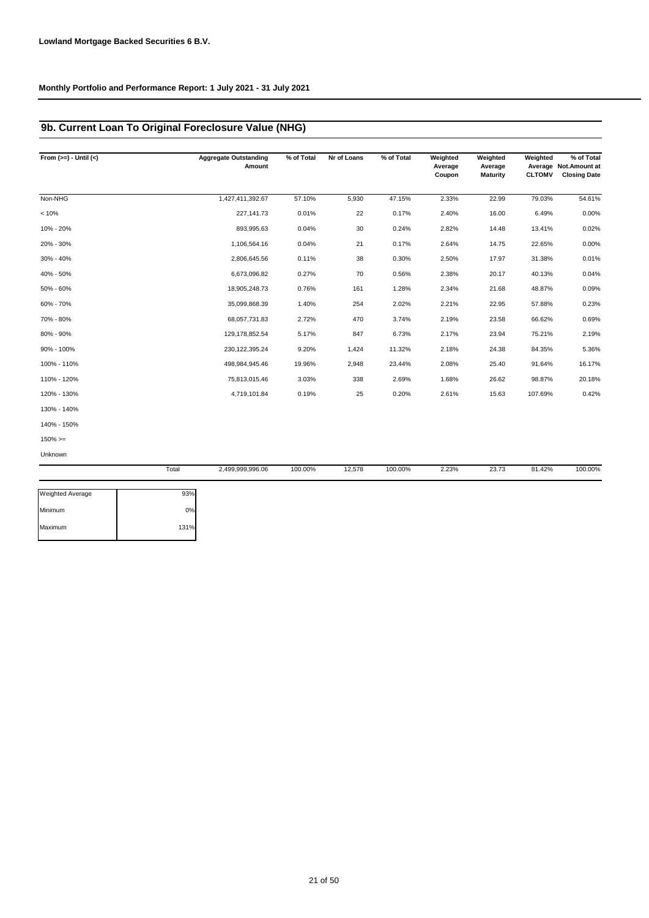## **9b. Current Loan To Original Foreclosure Value (NHG)**

| From $(>=) -$ Until $(<)$ |       | <b>Aggregate Outstanding</b><br>Amount | % of Total | Nr of Loans | % of Total | Weighted<br>Average<br>Coupon | Weighted<br>Average<br><b>Maturity</b> | Weighted<br><b>CLTOMV</b> | % of Total<br>Average Not. Amount at<br><b>Closing Date</b> |
|---------------------------|-------|----------------------------------------|------------|-------------|------------|-------------------------------|----------------------------------------|---------------------------|-------------------------------------------------------------|
| Non-NHG                   |       | 1,427,411,392.67                       | 57.10%     | 5,930       | 47.15%     | 2.33%                         | 22.99                                  | 79.03%                    | 54.61%                                                      |
| < 10%                     |       | 227,141.73                             | 0.01%      | 22          | 0.17%      | 2.40%                         | 16.00                                  | 6.49%                     | 0.00%                                                       |
| 10% - 20%                 |       | 893,995.63                             | 0.04%      | 30          | 0.24%      | 2.82%                         | 14.48                                  | 13.41%                    | 0.02%                                                       |
| 20% - 30%                 |       | 1,106,564.16                           | 0.04%      | 21          | 0.17%      | 2.64%                         | 14.75                                  | 22.65%                    | 0.00%                                                       |
| 30% - 40%                 |       | 2,806,645.56                           | 0.11%      | 38          | 0.30%      | 2.50%                         | 17.97                                  | 31.38%                    | 0.01%                                                       |
| 40% - 50%                 |       | 6,673,096.82                           | 0.27%      | 70          | 0.56%      | 2.38%                         | 20.17                                  | 40.13%                    | 0.04%                                                       |
| 50% - 60%                 |       | 18,905,248.73                          | 0.76%      | 161         | 1.28%      | 2.34%                         | 21.68                                  | 48.87%                    | 0.09%                                                       |
| 60% - 70%                 |       | 35,099,868.39                          | 1.40%      | 254         | 2.02%      | 2.21%                         | 22.95                                  | 57.88%                    | 0.23%                                                       |
| 70% - 80%                 |       | 68,057,731.83                          | 2.72%      | 470         | 3.74%      | 2.19%                         | 23.58                                  | 66.62%                    | 0.69%                                                       |
| 80% - 90%                 |       | 129,178,852.54                         | 5.17%      | 847         | 6.73%      | 2.17%                         | 23.94                                  | 75.21%                    | 2.19%                                                       |
| 90% - 100%                |       | 230, 122, 395. 24                      | 9.20%      | 1,424       | 11.32%     | 2.18%                         | 24.38                                  | 84.35%                    | 5.36%                                                       |
| 100% - 110%               |       | 498,984,945.46                         | 19.96%     | 2,948       | 23.44%     | 2.08%                         | 25.40                                  | 91.64%                    | 16.17%                                                      |
| 110% - 120%               |       | 75,813,015.46                          | 3.03%      | 338         | 2.69%      | 1.68%                         | 26.62                                  | 98.87%                    | 20.18%                                                      |
| 120% - 130%               |       | 4,719,101.84                           | 0.19%      | 25          | 0.20%      | 2.61%                         | 15.63                                  | 107.69%                   | 0.42%                                                       |
| 130% - 140%               |       |                                        |            |             |            |                               |                                        |                           |                                                             |
| 140% - 150%               |       |                                        |            |             |            |                               |                                        |                           |                                                             |
| $150\%>=$                 |       |                                        |            |             |            |                               |                                        |                           |                                                             |
| Unknown                   |       |                                        |            |             |            |                               |                                        |                           |                                                             |
|                           | Total | 2,499,999,996.06                       | 100.00%    | 12,578      | 100.00%    | 2.23%                         | 23.73                                  | 81.42%                    | 100.00%                                                     |
| Weighted Average          | 93%   |                                        |            |             |            |                               |                                        |                           |                                                             |

| <b>Weighted Average</b> | 93%  |
|-------------------------|------|
| Minimum                 | 0%   |
| Maximum                 | 131% |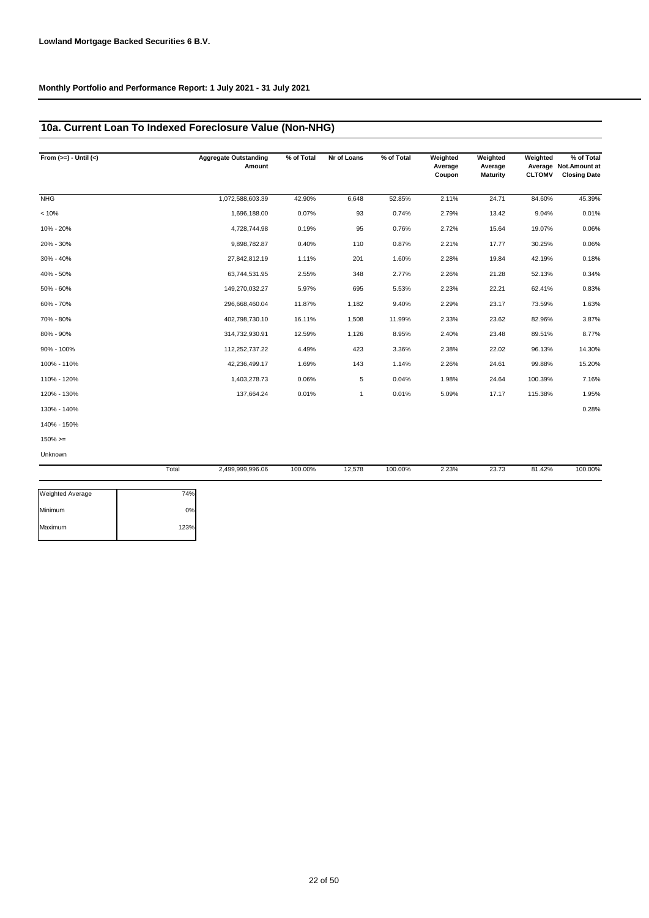## **10a. Current Loan To Indexed Foreclosure Value (Non-NHG)**

| From $(>=) -$ Until $(<)$ |       | <b>Aggregate Outstanding</b><br>Amount | % of Total | Nr of Loans | % of Total | Weighted<br>Average<br>Coupon | Weighted<br>Average<br><b>Maturity</b> | Weighted<br><b>CLTOMV</b> | % of Total<br>Average Not.Amount at<br><b>Closing Date</b> |
|---------------------------|-------|----------------------------------------|------------|-------------|------------|-------------------------------|----------------------------------------|---------------------------|------------------------------------------------------------|
| <b>NHG</b>                |       | 1,072,588,603.39                       | 42.90%     | 6,648       | 52.85%     | 2.11%                         | 24.71                                  | 84.60%                    | 45.39%                                                     |
| < 10%                     |       | 1,696,188.00                           | 0.07%      | 93          | 0.74%      | 2.79%                         | 13.42                                  | 9.04%                     | 0.01%                                                      |
| 10% - 20%                 |       | 4,728,744.98                           | 0.19%      | 95          | 0.76%      | 2.72%                         | 15.64                                  | 19.07%                    | 0.06%                                                      |
| 20% - 30%                 |       | 9,898,782.87                           | 0.40%      | 110         | 0.87%      | 2.21%                         | 17.77                                  | 30.25%                    | 0.06%                                                      |
| $30\% - 40\%$             |       | 27,842,812.19                          | 1.11%      | 201         | 1.60%      | 2.28%                         | 19.84                                  | 42.19%                    | 0.18%                                                      |
| 40% - 50%                 |       | 63,744,531.95                          | 2.55%      | 348         | 2.77%      | 2.26%                         | 21.28                                  | 52.13%                    | 0.34%                                                      |
| 50% - 60%                 |       | 149,270,032.27                         | 5.97%      | 695         | 5.53%      | 2.23%                         | 22.21                                  | 62.41%                    | 0.83%                                                      |
| 60% - 70%                 |       | 296,668,460.04                         | 11.87%     | 1,182       | 9.40%      | 2.29%                         | 23.17                                  | 73.59%                    | 1.63%                                                      |
| 70% - 80%                 |       | 402,798,730.10                         | 16.11%     | 1,508       | 11.99%     | 2.33%                         | 23.62                                  | 82.96%                    | 3.87%                                                      |
| 80% - 90%                 |       | 314,732,930.91                         | 12.59%     | 1,126       | 8.95%      | 2.40%                         | 23.48                                  | 89.51%                    | 8.77%                                                      |
| 90% - 100%                |       | 112,252,737.22                         | 4.49%      | 423         | 3.36%      | 2.38%                         | 22.02                                  | 96.13%                    | 14.30%                                                     |
| 100% - 110%               |       | 42,236,499.17                          | 1.69%      | 143         | 1.14%      | 2.26%                         | 24.61                                  | 99.88%                    | 15.20%                                                     |
| 110% - 120%               |       | 1,403,278.73                           | 0.06%      | 5           | 0.04%      | 1.98%                         | 24.64                                  | 100.39%                   | 7.16%                                                      |
| 120% - 130%               |       | 137,664.24                             | 0.01%      | 1           | 0.01%      | 5.09%                         | 17.17                                  | 115.38%                   | 1.95%                                                      |
| 130% - 140%               |       |                                        |            |             |            |                               |                                        |                           | 0.28%                                                      |
| 140% - 150%               |       |                                        |            |             |            |                               |                                        |                           |                                                            |
| $150\%>=$                 |       |                                        |            |             |            |                               |                                        |                           |                                                            |
| Unknown                   |       |                                        |            |             |            |                               |                                        |                           |                                                            |
|                           | Total | 2,499,999,996.06                       | 100.00%    | 12,578      | 100.00%    | 2.23%                         | 23.73                                  | 81.42%                    | 100.00%                                                    |

| <b>Weighted Average</b> | 74%  |
|-------------------------|------|
| Minimum                 | 0%   |
| Maximum                 | 123% |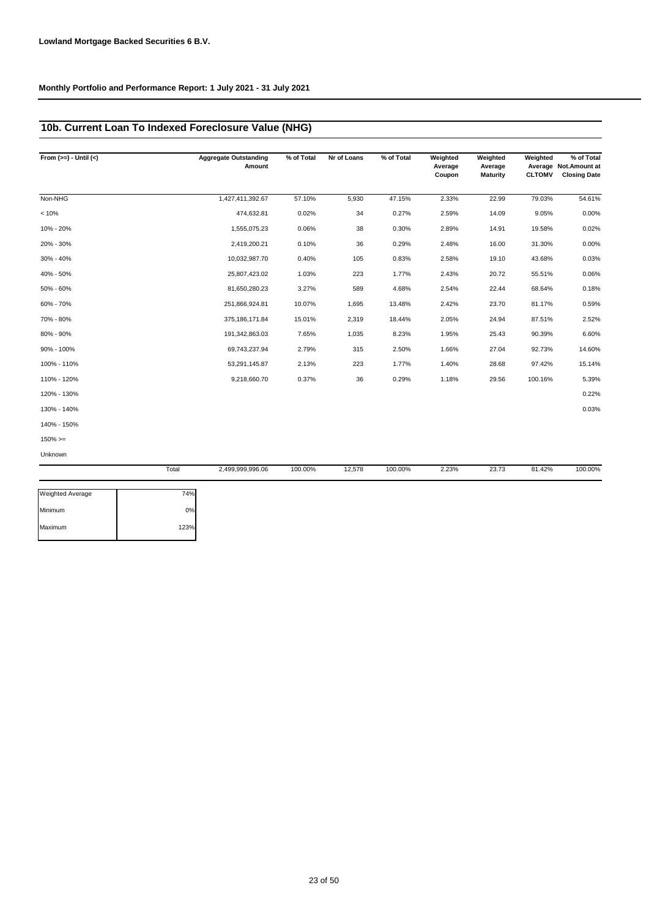## **10b. Current Loan To Indexed Foreclosure Value (NHG)**

| From $(>=) -$ Until $(<)$ |       | <b>Aggregate Outstanding</b><br>Amount | % of Total | Nr of Loans | % of Total | Weighted<br>Average<br>Coupon | Weighted<br>Average<br><b>Maturity</b> | Weighted<br><b>CLTOMV</b> | % of Total<br>Average Not. Amount at<br><b>Closing Date</b> |
|---------------------------|-------|----------------------------------------|------------|-------------|------------|-------------------------------|----------------------------------------|---------------------------|-------------------------------------------------------------|
| Non-NHG                   |       | 1,427,411,392.67                       | 57.10%     | 5,930       | 47.15%     | 2.33%                         | 22.99                                  | 79.03%                    | 54.61%                                                      |
| < 10%                     |       | 474,632.81                             | 0.02%      | 34          | 0.27%      | 2.59%                         | 14.09                                  | 9.05%                     | 0.00%                                                       |
| 10% - 20%                 |       | 1,555,075.23                           | 0.06%      | 38          | 0.30%      | 2.89%                         | 14.91                                  | 19.58%                    | 0.02%                                                       |
| 20% - 30%                 |       | 2,419,200.21                           | 0.10%      | 36          | 0.29%      | 2.48%                         | 16.00                                  | 31.30%                    | 0.00%                                                       |
| 30% - 40%                 |       | 10,032,987.70                          | 0.40%      | 105         | 0.83%      | 2.58%                         | 19.10                                  | 43.68%                    | 0.03%                                                       |
| 40% - 50%                 |       | 25,807,423.02                          | 1.03%      | 223         | 1.77%      | 2.43%                         | 20.72                                  | 55.51%                    | 0.06%                                                       |
| 50% - 60%                 |       | 81,650,280.23                          | 3.27%      | 589         | 4.68%      | 2.54%                         | 22.44                                  | 68.64%                    | 0.18%                                                       |
| 60% - 70%                 |       | 251,866,924.81                         | 10.07%     | 1,695       | 13.48%     | 2.42%                         | 23.70                                  | 81.17%                    | 0.59%                                                       |
| 70% - 80%                 |       | 375,186,171.84                         | 15.01%     | 2,319       | 18.44%     | 2.05%                         | 24.94                                  | 87.51%                    | 2.52%                                                       |
| 80% - 90%                 |       | 191,342,863.03                         | 7.65%      | 1,035       | 8.23%      | 1.95%                         | 25.43                                  | 90.39%                    | 6.60%                                                       |
| 90% - 100%                |       | 69,743,237.94                          | 2.79%      | 315         | 2.50%      | 1.66%                         | 27.04                                  | 92.73%                    | 14.60%                                                      |
| 100% - 110%               |       | 53,291,145.87                          | 2.13%      | 223         | 1.77%      | 1.40%                         | 28.68                                  | 97.42%                    | 15.14%                                                      |
| 110% - 120%               |       | 9,218,660.70                           | 0.37%      | 36          | 0.29%      | 1.18%                         | 29.56                                  | 100.16%                   | 5.39%                                                       |
| 120% - 130%               |       |                                        |            |             |            |                               |                                        |                           | 0.22%                                                       |
| 130% - 140%               |       |                                        |            |             |            |                               |                                        |                           | 0.03%                                                       |
| 140% - 150%               |       |                                        |            |             |            |                               |                                        |                           |                                                             |
| $150\%>=$                 |       |                                        |            |             |            |                               |                                        |                           |                                                             |
| Unknown                   |       |                                        |            |             |            |                               |                                        |                           |                                                             |
|                           | Total | 2,499,999,996.06                       | 100.00%    | 12,578      | 100.00%    | 2.23%                         | 23.73                                  | 81.42%                    | 100.00%                                                     |

| Weighted Average | 74%  |
|------------------|------|
| Minimum          | 0%   |
| Maximum          | 123% |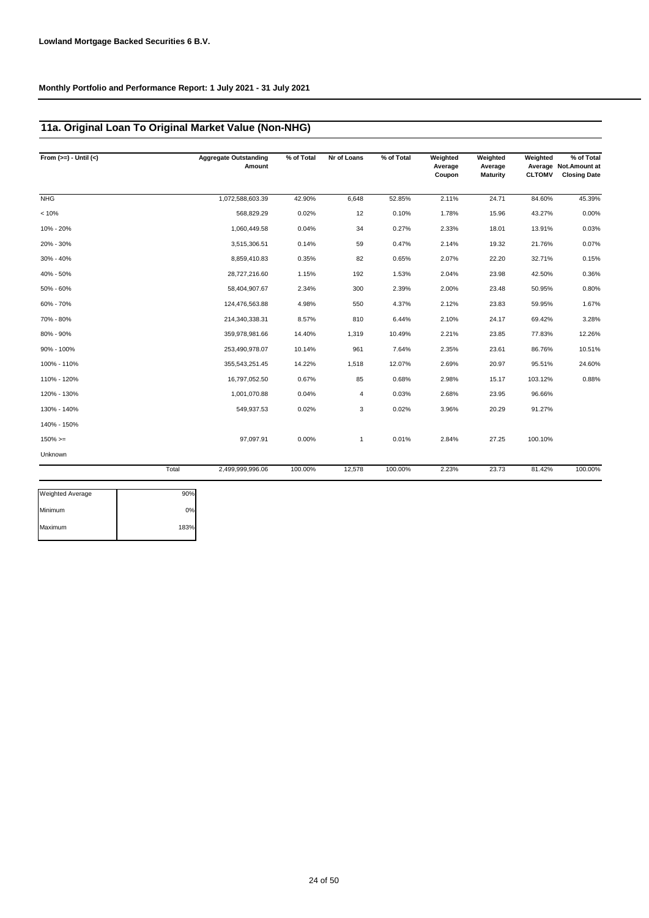# **11a. Original Loan To Original Market Value (Non-NHG)**

| From $(>=) -$ Until $(<)$ |       | <b>Aggregate Outstanding</b><br>Amount | % of Total | Nr of Loans | % of Total | Weighted<br>Average<br>Coupon | Weighted<br>Average<br><b>Maturity</b> | Weighted<br><b>CLTOMV</b> | % of Total<br>Average Not. Amount at<br><b>Closing Date</b> |
|---------------------------|-------|----------------------------------------|------------|-------------|------------|-------------------------------|----------------------------------------|---------------------------|-------------------------------------------------------------|
| <b>NHG</b>                |       | 1,072,588,603.39                       | 42.90%     | 6,648       | 52.85%     | 2.11%                         | 24.71                                  | 84.60%                    | 45.39%                                                      |
| < 10%                     |       | 568,829.29                             | 0.02%      | 12          | 0.10%      | 1.78%                         | 15.96                                  | 43.27%                    | 0.00%                                                       |
| 10% - 20%                 |       | 1,060,449.58                           | 0.04%      | 34          | 0.27%      | 2.33%                         | 18.01                                  | 13.91%                    | 0.03%                                                       |
| 20% - 30%                 |       | 3,515,306.51                           | 0.14%      | 59          | 0.47%      | 2.14%                         | 19.32                                  | 21.76%                    | 0.07%                                                       |
| 30% - 40%                 |       | 8,859,410.83                           | 0.35%      | 82          | 0.65%      | 2.07%                         | 22.20                                  | 32.71%                    | 0.15%                                                       |
| 40% - 50%                 |       | 28,727,216.60                          | 1.15%      | 192         | 1.53%      | 2.04%                         | 23.98                                  | 42.50%                    | 0.36%                                                       |
| 50% - 60%                 |       | 58,404,907.67                          | 2.34%      | 300         | 2.39%      | 2.00%                         | 23.48                                  | 50.95%                    | 0.80%                                                       |
| 60% - 70%                 |       | 124,476,563.88                         | 4.98%      | 550         | 4.37%      | 2.12%                         | 23.83                                  | 59.95%                    | 1.67%                                                       |
| 70% - 80%                 |       | 214,340,338.31                         | 8.57%      | 810         | 6.44%      | 2.10%                         | 24.17                                  | 69.42%                    | 3.28%                                                       |
| 80% - 90%                 |       | 359,978,981.66                         | 14.40%     | 1,319       | 10.49%     | 2.21%                         | 23.85                                  | 77.83%                    | 12.26%                                                      |
| 90% - 100%                |       | 253,490,978.07                         | 10.14%     | 961         | 7.64%      | 2.35%                         | 23.61                                  | 86.76%                    | 10.51%                                                      |
| 100% - 110%               |       | 355,543,251.45                         | 14.22%     | 1,518       | 12.07%     | 2.69%                         | 20.97                                  | 95.51%                    | 24.60%                                                      |
| 110% - 120%               |       | 16,797,052.50                          | 0.67%      | 85          | 0.68%      | 2.98%                         | 15.17                                  | 103.12%                   | 0.88%                                                       |
| 120% - 130%               |       | 1,001,070.88                           | 0.04%      | 4           | 0.03%      | 2.68%                         | 23.95                                  | 96.66%                    |                                                             |
| 130% - 140%               |       | 549,937.53                             | 0.02%      | 3           | 0.02%      | 3.96%                         | 20.29                                  | 91.27%                    |                                                             |
| 140% - 150%               |       |                                        |            |             |            |                               |                                        |                           |                                                             |
| $150\%>=$                 |       | 97,097.91                              | 0.00%      | 1           | 0.01%      | 2.84%                         | 27.25                                  | 100.10%                   |                                                             |
| Unknown                   |       |                                        |            |             |            |                               |                                        |                           |                                                             |
|                           | Total | 2,499,999,996.06                       | 100.00%    | 12,578      | 100.00%    | 2.23%                         | 23.73                                  | 81.42%                    | 100.00%                                                     |

| <b>Weighted Average</b> | 90%  |
|-------------------------|------|
| Minimum                 | 0%   |
| Maximum                 | 183% |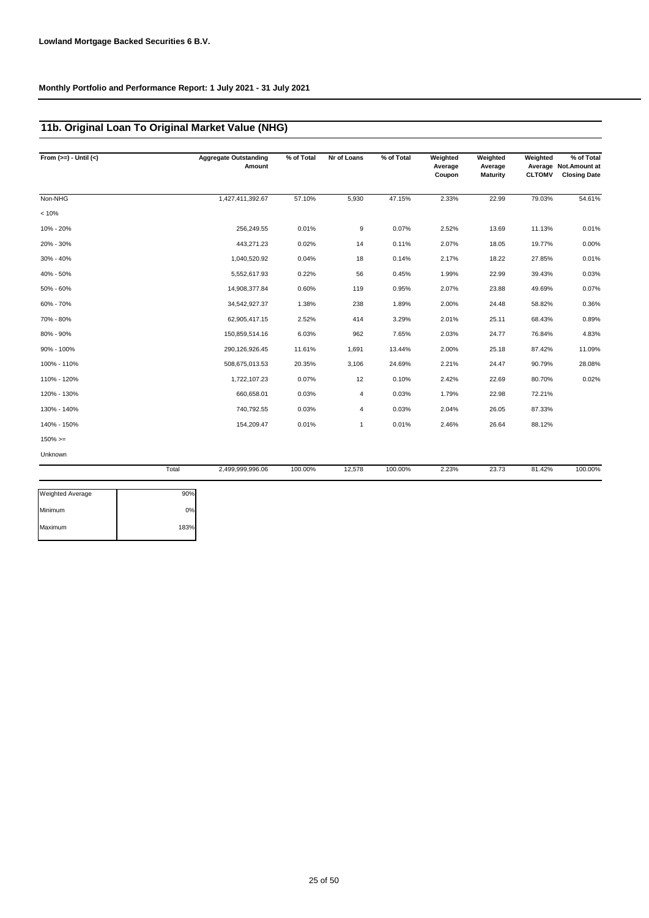# **11b. Original Loan To Original Market Value (NHG)**

| From $(>=) -$ Until $(<)$ |       | <b>Aggregate Outstanding</b><br>Amount | % of Total | Nr of Loans  | % of Total | Weighted<br>Average<br>Coupon | Weighted<br>Average<br><b>Maturity</b> | Weighted<br><b>CLTOMV</b> | % of Total<br>Average Not. Amount at<br><b>Closing Date</b> |
|---------------------------|-------|----------------------------------------|------------|--------------|------------|-------------------------------|----------------------------------------|---------------------------|-------------------------------------------------------------|
| Non-NHG                   |       | 1,427,411,392.67                       | 57.10%     | 5,930        | 47.15%     | 2.33%                         | 22.99                                  | 79.03%                    | 54.61%                                                      |
| < 10%                     |       |                                        |            |              |            |                               |                                        |                           |                                                             |
| 10% - 20%                 |       | 256,249.55                             | 0.01%      | 9            | 0.07%      | 2.52%                         | 13.69                                  | 11.13%                    | 0.01%                                                       |
| 20% - 30%                 |       | 443,271.23                             | 0.02%      | 14           | 0.11%      | 2.07%                         | 18.05                                  | 19.77%                    | 0.00%                                                       |
| 30% - 40%                 |       | 1,040,520.92                           | 0.04%      | 18           | 0.14%      | 2.17%                         | 18.22                                  | 27.85%                    | 0.01%                                                       |
| 40% - 50%                 |       | 5,552,617.93                           | 0.22%      | 56           | 0.45%      | 1.99%                         | 22.99                                  | 39.43%                    | 0.03%                                                       |
| 50% - 60%                 |       | 14,908,377.84                          | 0.60%      | 119          | 0.95%      | 2.07%                         | 23.88                                  | 49.69%                    | 0.07%                                                       |
| 60% - 70%                 |       | 34,542,927.37                          | 1.38%      | 238          | 1.89%      | 2.00%                         | 24.48                                  | 58.82%                    | 0.36%                                                       |
| 70% - 80%                 |       | 62,905,417.15                          | 2.52%      | 414          | 3.29%      | 2.01%                         | 25.11                                  | 68.43%                    | 0.89%                                                       |
| 80% - 90%                 |       | 150,859,514.16                         | 6.03%      | 962          | 7.65%      | 2.03%                         | 24.77                                  | 76.84%                    | 4.83%                                                       |
| 90% - 100%                |       | 290,126,926.45                         | 11.61%     | 1,691        | 13.44%     | 2.00%                         | 25.18                                  | 87.42%                    | 11.09%                                                      |
| 100% - 110%               |       | 508,675,013.53                         | 20.35%     | 3,106        | 24.69%     | 2.21%                         | 24.47                                  | 90.79%                    | 28.08%                                                      |
| 110% - 120%               |       | 1,722,107.23                           | 0.07%      | 12           | 0.10%      | 2.42%                         | 22.69                                  | 80.70%                    | 0.02%                                                       |
| 120% - 130%               |       | 660,658.01                             | 0.03%      | 4            | 0.03%      | 1.79%                         | 22.98                                  | 72.21%                    |                                                             |
| 130% - 140%               |       | 740,792.55                             | 0.03%      | 4            | 0.03%      | 2.04%                         | 26.05                                  | 87.33%                    |                                                             |
| 140% - 150%               |       | 154,209.47                             | 0.01%      | $\mathbf{1}$ | 0.01%      | 2.46%                         | 26.64                                  | 88.12%                    |                                                             |
| $150\%>=$                 |       |                                        |            |              |            |                               |                                        |                           |                                                             |
| Unknown                   |       |                                        |            |              |            |                               |                                        |                           |                                                             |
|                           | Total | 2,499,999,996.06                       | 100.00%    | 12,578       | 100.00%    | 2.23%                         | 23.73                                  | 81.42%                    | 100.00%                                                     |
| Weighted Average          | 90%   |                                        |            |              |            |                               |                                        |                           |                                                             |
| Minimum                   | 0%    |                                        |            |              |            |                               |                                        |                           |                                                             |
| Maximum                   | 183%  |                                        |            |              |            |                               |                                        |                           |                                                             |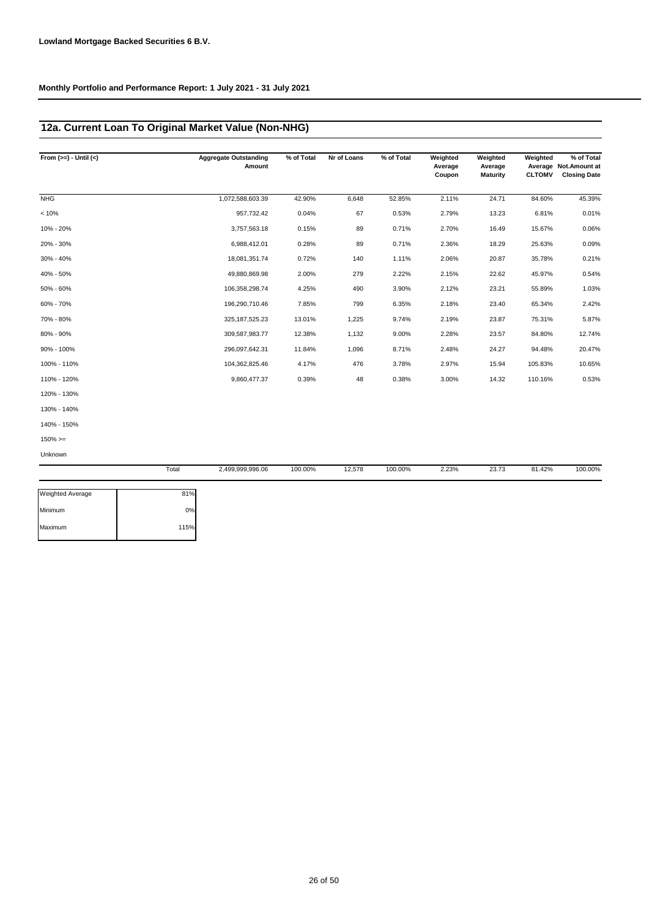Maximum 115%

## **12a. Current Loan To Original Market Value (Non-NHG)**

| From $(>=) -$ Until $(<)$ |       | <b>Aggregate Outstanding</b><br>Amount | % of Total | Nr of Loans | % of Total | Weighted<br>Average<br>Coupon | Weighted<br>Average<br><b>Maturity</b> | Weighted<br><b>CLTOMV</b> | % of Total<br>Average Not. Amount at<br><b>Closing Date</b> |
|---------------------------|-------|----------------------------------------|------------|-------------|------------|-------------------------------|----------------------------------------|---------------------------|-------------------------------------------------------------|
| <b>NHG</b>                |       | 1,072,588,603.39                       | 42.90%     | 6,648       | 52.85%     | 2.11%                         | 24.71                                  | 84.60%                    | 45.39%                                                      |
| < 10%                     |       | 957,732.42                             | 0.04%      | 67          | 0.53%      | 2.79%                         | 13.23                                  | 6.81%                     | 0.01%                                                       |
| 10% - 20%                 |       | 3,757,563.18                           | 0.15%      | 89          | 0.71%      | 2.70%                         | 16.49                                  | 15.67%                    | 0.06%                                                       |
| 20% - 30%                 |       | 6,988,412.01                           | 0.28%      | 89          | 0.71%      | 2.36%                         | 18.29                                  | 25.63%                    | 0.09%                                                       |
| 30% - 40%                 |       | 18,081,351.74                          | 0.72%      | 140         | 1.11%      | 2.06%                         | 20.87                                  | 35.78%                    | 0.21%                                                       |
| 40% - 50%                 |       | 49,880,869.98                          | 2.00%      | 279         | 2.22%      | 2.15%                         | 22.62                                  | 45.97%                    | 0.54%                                                       |
| 50% - 60%                 |       | 106,358,298.74                         | 4.25%      | 490         | 3.90%      | 2.12%                         | 23.21                                  | 55.89%                    | 1.03%                                                       |
| 60% - 70%                 |       | 196,290,710.46                         | 7.85%      | 799         | 6.35%      | 2.18%                         | 23.40                                  | 65.34%                    | 2.42%                                                       |
| 70% - 80%                 |       | 325, 187, 525. 23                      | 13.01%     | 1,225       | 9.74%      | 2.19%                         | 23.87                                  | 75.31%                    | 5.87%                                                       |
| 80% - 90%                 |       | 309,587,983.77                         | 12.38%     | 1,132       | 9.00%      | 2.28%                         | 23.57                                  | 84.80%                    | 12.74%                                                      |
| 90% - 100%                |       | 296,097,642.31                         | 11.84%     | 1,096       | 8.71%      | 2.48%                         | 24.27                                  | 94.48%                    | 20.47%                                                      |
| 100% - 110%               |       | 104,362,825.46                         | 4.17%      | 476         | 3.78%      | 2.97%                         | 15.94                                  | 105.83%                   | 10.65%                                                      |
| 110% - 120%               |       | 9,860,477.37                           | 0.39%      | 48          | 0.38%      | 3.00%                         | 14.32                                  | 110.16%                   | 0.53%                                                       |
| 120% - 130%               |       |                                        |            |             |            |                               |                                        |                           |                                                             |
| 130% - 140%               |       |                                        |            |             |            |                               |                                        |                           |                                                             |
| 140% - 150%               |       |                                        |            |             |            |                               |                                        |                           |                                                             |
| $150\%>=$                 |       |                                        |            |             |            |                               |                                        |                           |                                                             |
| Unknown                   |       |                                        |            |             |            |                               |                                        |                           |                                                             |
|                           | Total | 2,499,999,996.06                       | 100.00%    | 12,578      | 100.00%    | 2.23%                         | 23.73                                  | 81.42%                    | 100.00%                                                     |
| Weighted Average          | 81%   |                                        |            |             |            |                               |                                        |                           |                                                             |
| Minimum                   | 0%    |                                        |            |             |            |                               |                                        |                           |                                                             |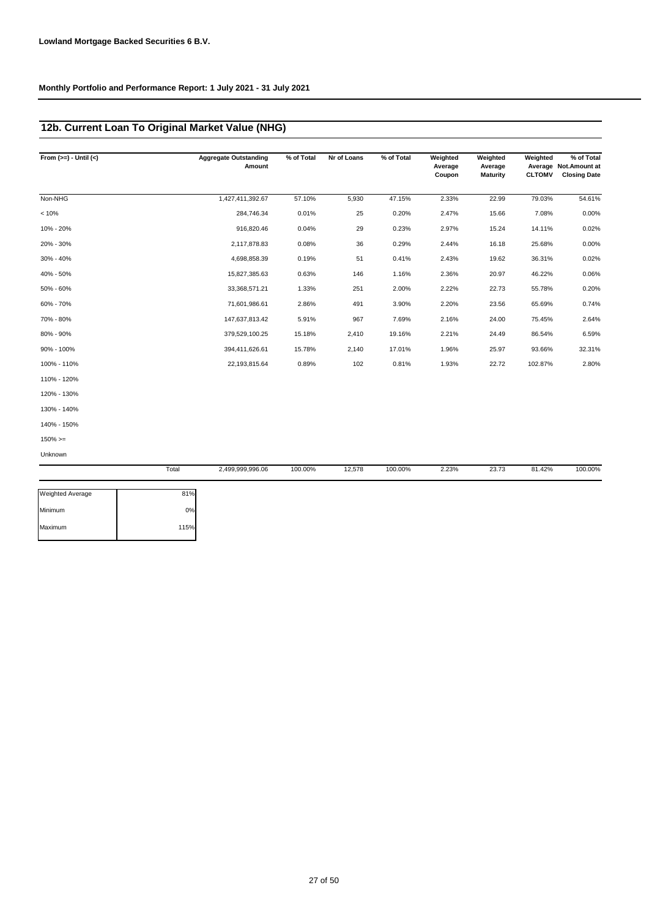# **12b. Current Loan To Original Market Value (NHG)**

| From $(>=) -$ Until $(<)$ |       | <b>Aggregate Outstanding</b><br>Amount | % of Total | Nr of Loans | % of Total | Weighted<br>Average<br>Coupon | Weighted<br>Average<br><b>Maturity</b> | Weighted<br><b>CLTOMV</b> | % of Total<br>Average Not. Amount at<br><b>Closing Date</b> |
|---------------------------|-------|----------------------------------------|------------|-------------|------------|-------------------------------|----------------------------------------|---------------------------|-------------------------------------------------------------|
| Non-NHG                   |       | 1,427,411,392.67                       | 57.10%     | 5,930       | 47.15%     | 2.33%                         | 22.99                                  | 79.03%                    | 54.61%                                                      |
| < 10%                     |       | 284,746.34                             | 0.01%      | 25          | 0.20%      | 2.47%                         | 15.66                                  | 7.08%                     | 0.00%                                                       |
| 10% - 20%                 |       | 916,820.46                             | 0.04%      | 29          | 0.23%      | 2.97%                         | 15.24                                  | 14.11%                    | 0.02%                                                       |
| 20% - 30%                 |       | 2,117,878.83                           | 0.08%      | 36          | 0.29%      | 2.44%                         | 16.18                                  | 25.68%                    | 0.00%                                                       |
| 30% - 40%                 |       | 4,698,858.39                           | 0.19%      | 51          | 0.41%      | 2.43%                         | 19.62                                  | 36.31%                    | 0.02%                                                       |
| 40% - 50%                 |       | 15,827,385.63                          | 0.63%      | 146         | 1.16%      | 2.36%                         | 20.97                                  | 46.22%                    | 0.06%                                                       |
| 50% - 60%                 |       | 33,368,571.21                          | 1.33%      | 251         | 2.00%      | 2.22%                         | 22.73                                  | 55.78%                    | 0.20%                                                       |
| 60% - 70%                 |       | 71,601,986.61                          | 2.86%      | 491         | 3.90%      | 2.20%                         | 23.56                                  | 65.69%                    | 0.74%                                                       |
| 70% - 80%                 |       | 147,637,813.42                         | 5.91%      | 967         | 7.69%      | 2.16%                         | 24.00                                  | 75.45%                    | 2.64%                                                       |
| 80% - 90%                 |       | 379,529,100.25                         | 15.18%     | 2,410       | 19.16%     | 2.21%                         | 24.49                                  | 86.54%                    | 6.59%                                                       |
| 90% - 100%                |       | 394,411,626.61                         | 15.78%     | 2,140       | 17.01%     | 1.96%                         | 25.97                                  | 93.66%                    | 32.31%                                                      |
| 100% - 110%               |       | 22,193,815.64                          | 0.89%      | 102         | 0.81%      | 1.93%                         | 22.72                                  | 102.87%                   | 2.80%                                                       |
| 110% - 120%               |       |                                        |            |             |            |                               |                                        |                           |                                                             |
| 120% - 130%               |       |                                        |            |             |            |                               |                                        |                           |                                                             |
| 130% - 140%               |       |                                        |            |             |            |                               |                                        |                           |                                                             |
| 140% - 150%               |       |                                        |            |             |            |                               |                                        |                           |                                                             |
| $150\%>=$                 |       |                                        |            |             |            |                               |                                        |                           |                                                             |
| Unknown                   |       |                                        |            |             |            |                               |                                        |                           |                                                             |
|                           | Total | 2,499,999,996.06                       | 100.00%    | 12,578      | 100.00%    | 2.23%                         | 23.73                                  | 81.42%                    | 100.00%                                                     |
| <b>Weighted Average</b>   | 81%   |                                        |            |             |            |                               |                                        |                           |                                                             |

| weighted Average | $O1$ 70 |
|------------------|---------|
| Minimum          | 0%      |
| Maximum          | 115%    |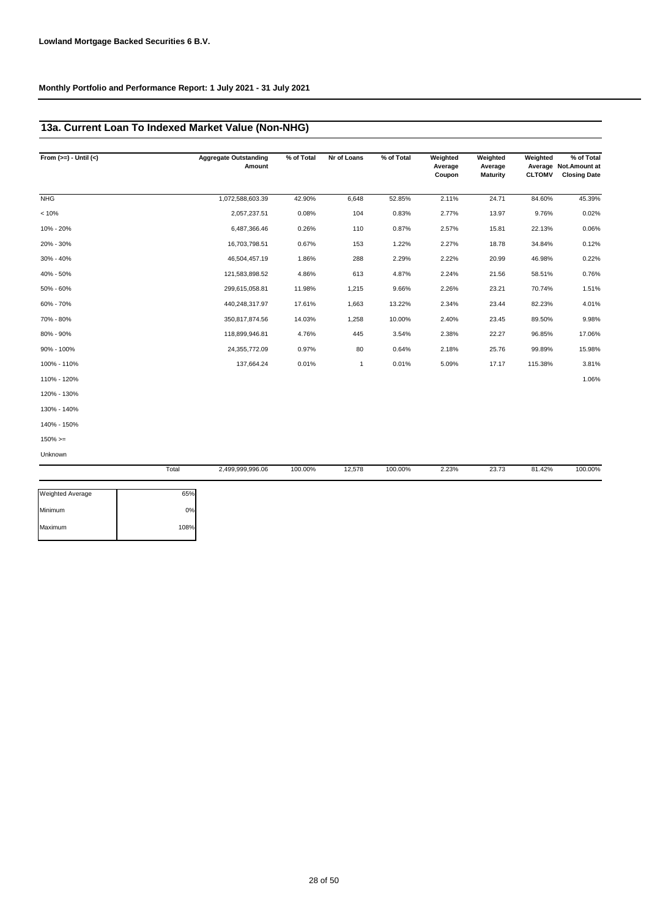## **13a. Current Loan To Indexed Market Value (Non-NHG)**

| From $(>=) -$ Until $(<)$ |       | <b>Aggregate Outstanding</b><br>Amount | % of Total | Nr of Loans | % of Total | Weighted<br>Average<br>Coupon | Weighted<br>Average<br><b>Maturity</b> | Weighted<br><b>CLTOMV</b> | % of Total<br>Average Not. Amount at<br><b>Closing Date</b> |
|---------------------------|-------|----------------------------------------|------------|-------------|------------|-------------------------------|----------------------------------------|---------------------------|-------------------------------------------------------------|
| <b>NHG</b>                |       | 1,072,588,603.39                       | 42.90%     | 6,648       | 52.85%     | 2.11%                         | 24.71                                  | 84.60%                    | 45.39%                                                      |
| < 10%                     |       | 2,057,237.51                           | 0.08%      | 104         | 0.83%      | 2.77%                         | 13.97                                  | 9.76%                     | 0.02%                                                       |
| 10% - 20%                 |       | 6,487,366.46                           | 0.26%      | 110         | 0.87%      | 2.57%                         | 15.81                                  | 22.13%                    | 0.06%                                                       |
| 20% - 30%                 |       | 16,703,798.51                          | 0.67%      | 153         | 1.22%      | 2.27%                         | 18.78                                  | 34.84%                    | 0.12%                                                       |
| 30% - 40%                 |       | 46,504,457.19                          | 1.86%      | 288         | 2.29%      | 2.22%                         | 20.99                                  | 46.98%                    | 0.22%                                                       |
| 40% - 50%                 |       | 121,583,898.52                         | 4.86%      | 613         | 4.87%      | 2.24%                         | 21.56                                  | 58.51%                    | 0.76%                                                       |
| 50% - 60%                 |       | 299,615,058.81                         | 11.98%     | 1,215       | 9.66%      | 2.26%                         | 23.21                                  | 70.74%                    | 1.51%                                                       |
| 60% - 70%                 |       | 440,248,317.97                         | 17.61%     | 1,663       | 13.22%     | 2.34%                         | 23.44                                  | 82.23%                    | 4.01%                                                       |
| 70% - 80%                 |       | 350,817,874.56                         | 14.03%     | 1,258       | 10.00%     | 2.40%                         | 23.45                                  | 89.50%                    | 9.98%                                                       |
| 80% - 90%                 |       | 118,899,946.81                         | 4.76%      | 445         | 3.54%      | 2.38%                         | 22.27                                  | 96.85%                    | 17.06%                                                      |
| 90% - 100%                |       | 24,355,772.09                          | 0.97%      | 80          | 0.64%      | 2.18%                         | 25.76                                  | 99.89%                    | 15.98%                                                      |
| 100% - 110%               |       | 137,664.24                             | 0.01%      | 1           | 0.01%      | 5.09%                         | 17.17                                  | 115.38%                   | 3.81%                                                       |
| 110% - 120%               |       |                                        |            |             |            |                               |                                        |                           | 1.06%                                                       |
| 120% - 130%               |       |                                        |            |             |            |                               |                                        |                           |                                                             |
| 130% - 140%               |       |                                        |            |             |            |                               |                                        |                           |                                                             |
| 140% - 150%               |       |                                        |            |             |            |                               |                                        |                           |                                                             |
| $150\%>=$                 |       |                                        |            |             |            |                               |                                        |                           |                                                             |
| Unknown                   |       |                                        |            |             |            |                               |                                        |                           |                                                             |
|                           | Total | 2,499,999,996.06                       | 100.00%    | 12,578      | 100.00%    | 2.23%                         | 23.73                                  | 81.42%                    | 100.00%                                                     |

| 65%  |
|------|
| 0%   |
| 108% |
|      |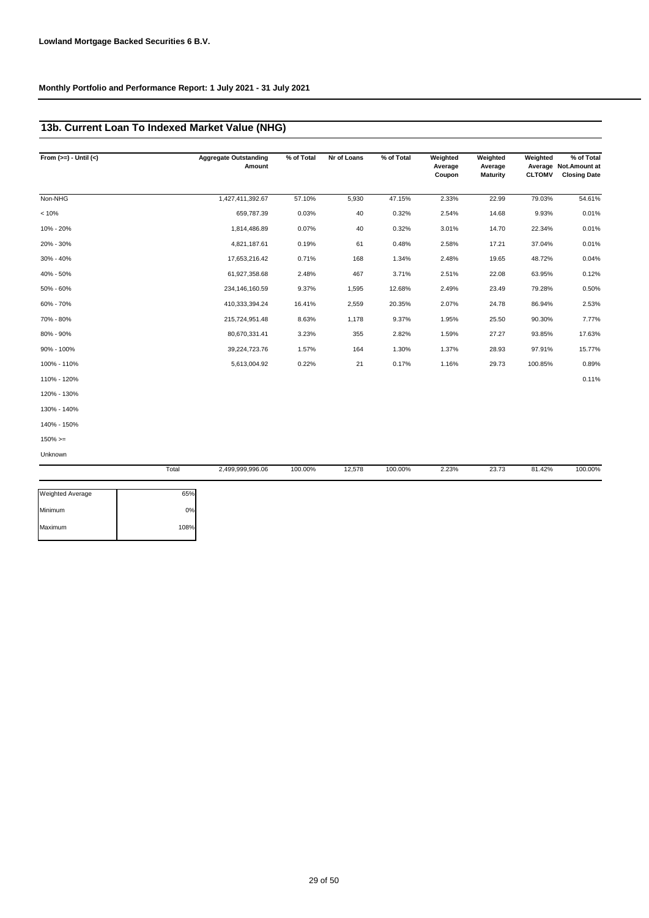## **13b. Current Loan To Indexed Market Value (NHG)**

| From $(>=) -$ Until $(<)$ | <b>Aggregate Outstanding</b><br>Amount | % of Total | Nr of Loans | % of Total | Weighted<br>Average<br>Coupon | Weighted<br>Average<br><b>Maturity</b> | Weighted<br><b>CLTOMV</b> | % of Total<br>Average Not. Amount at<br><b>Closing Date</b> |
|---------------------------|----------------------------------------|------------|-------------|------------|-------------------------------|----------------------------------------|---------------------------|-------------------------------------------------------------|
| Non-NHG                   | 1,427,411,392.67                       | 57.10%     | 5,930       | 47.15%     | 2.33%                         | 22.99                                  | 79.03%                    | 54.61%                                                      |
| < 10%                     | 659,787.39                             | 0.03%      | 40          | 0.32%      | 2.54%                         | 14.68                                  | 9.93%                     | 0.01%                                                       |
| 10% - 20%                 | 1,814,486.89                           | 0.07%      | 40          | 0.32%      | 3.01%                         | 14.70                                  | 22.34%                    | 0.01%                                                       |
| 20% - 30%                 | 4,821,187.61                           | 0.19%      | 61          | 0.48%      | 2.58%                         | 17.21                                  | 37.04%                    | 0.01%                                                       |
| 30% - 40%                 | 17,653,216.42                          | 0.71%      | 168         | 1.34%      | 2.48%                         | 19.65                                  | 48.72%                    | 0.04%                                                       |
| 40% - 50%                 | 61,927,358.68                          | 2.48%      | 467         | 3.71%      | 2.51%                         | 22.08                                  | 63.95%                    | 0.12%                                                       |
| 50% - 60%                 | 234,146,160.59                         | 9.37%      | 1,595       | 12.68%     | 2.49%                         | 23.49                                  | 79.28%                    | 0.50%                                                       |
| 60% - 70%                 | 410,333,394.24                         | 16.41%     | 2,559       | 20.35%     | 2.07%                         | 24.78                                  | 86.94%                    | 2.53%                                                       |
| 70% - 80%                 | 215,724,951.48                         | 8.63%      | 1,178       | 9.37%      | 1.95%                         | 25.50                                  | 90.30%                    | 7.77%                                                       |
| 80% - 90%                 | 80,670,331.41                          | 3.23%      | 355         | 2.82%      | 1.59%                         | 27.27                                  | 93.85%                    | 17.63%                                                      |
| 90% - 100%                | 39,224,723.76                          | 1.57%      | 164         | 1.30%      | 1.37%                         | 28.93                                  | 97.91%                    | 15.77%                                                      |
| 100% - 110%               | 5,613,004.92                           | 0.22%      | 21          | 0.17%      | 1.16%                         | 29.73                                  | 100.85%                   | 0.89%                                                       |
| 110% - 120%               |                                        |            |             |            |                               |                                        |                           | 0.11%                                                       |
| 120% - 130%               |                                        |            |             |            |                               |                                        |                           |                                                             |
| 130% - 140%               |                                        |            |             |            |                               |                                        |                           |                                                             |
| 140% - 150%               |                                        |            |             |            |                               |                                        |                           |                                                             |
| $150\% >=$                |                                        |            |             |            |                               |                                        |                           |                                                             |
| Unknown                   |                                        |            |             |            |                               |                                        |                           |                                                             |
|                           | Total<br>2,499,999,996.06              | 100.00%    | 12,578      | 100.00%    | 2.23%                         | 23.73                                  | 81.42%                    | 100.00%                                                     |

| <b>Weighted Average</b> | 65%  |
|-------------------------|------|
| Minimum                 | 0%   |
| Maximum                 | 108% |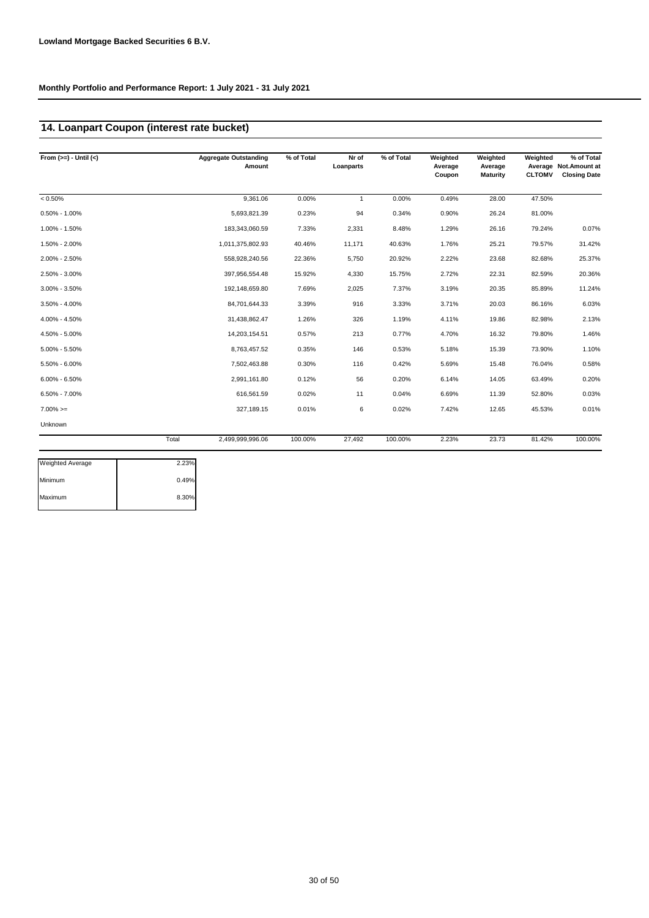## **14. Loanpart Coupon (interest rate bucket)**

| From $(>=) -$ Until $(<)$ |       | <b>Aggregate Outstanding</b><br>Amount | % of Total | Nr of<br>Loanparts | % of Total | Weighted<br>Average<br>Coupon | Weighted<br>Average<br><b>Maturity</b> | Weighted<br><b>CLTOMV</b> | % of Total<br>Average Not. Amount at<br><b>Closing Date</b> |
|---------------------------|-------|----------------------------------------|------------|--------------------|------------|-------------------------------|----------------------------------------|---------------------------|-------------------------------------------------------------|
| $< 0.50\%$                |       | 9,361.06                               | 0.00%      | $\mathbf{1}$       | 0.00%      | 0.49%                         | 28.00                                  | 47.50%                    |                                                             |
| $0.50\% - 1.00\%$         |       | 5,693,821.39                           | 0.23%      | 94                 | 0.34%      | 0.90%                         | 26.24                                  | 81.00%                    |                                                             |
| 1.00% - 1.50%             |       | 183,343,060.59                         | 7.33%      | 2,331              | 8.48%      | 1.29%                         | 26.16                                  | 79.24%                    | 0.07%                                                       |
| 1.50% - 2.00%             |       | 1,011,375,802.93                       | 40.46%     | 11,171             | 40.63%     | 1.76%                         | 25.21                                  | 79.57%                    | 31.42%                                                      |
| 2.00% - 2.50%             |       | 558,928,240.56                         | 22.36%     | 5,750              | 20.92%     | 2.22%                         | 23.68                                  | 82.68%                    | 25.37%                                                      |
| 2.50% - 3.00%             |       | 397,956,554.48                         | 15.92%     | 4,330              | 15.75%     | 2.72%                         | 22.31                                  | 82.59%                    | 20.36%                                                      |
| 3.00% - 3.50%             |       | 192,148,659.80                         | 7.69%      | 2,025              | 7.37%      | 3.19%                         | 20.35                                  | 85.89%                    | 11.24%                                                      |
| $3.50\% - 4.00\%$         |       | 84,701,644.33                          | 3.39%      | 916                | 3.33%      | 3.71%                         | 20.03                                  | 86.16%                    | 6.03%                                                       |
| 4.00% - 4.50%             |       | 31,438,862.47                          | 1.26%      | 326                | 1.19%      | 4.11%                         | 19.86                                  | 82.98%                    | 2.13%                                                       |
| 4.50% - 5.00%             |       | 14,203,154.51                          | 0.57%      | 213                | 0.77%      | 4.70%                         | 16.32                                  | 79.80%                    | 1.46%                                                       |
| $5.00\% - 5.50\%$         |       | 8,763,457.52                           | 0.35%      | 146                | 0.53%      | 5.18%                         | 15.39                                  | 73.90%                    | 1.10%                                                       |
| 5.50% - 6.00%             |       | 7,502,463.88                           | 0.30%      | 116                | 0.42%      | 5.69%                         | 15.48                                  | 76.04%                    | 0.58%                                                       |
| $6.00\% - 6.50\%$         |       | 2,991,161.80                           | 0.12%      | 56                 | 0.20%      | 6.14%                         | 14.05                                  | 63.49%                    | 0.20%                                                       |
| $6.50\% - 7.00\%$         |       | 616,561.59                             | 0.02%      | 11                 | 0.04%      | 6.69%                         | 11.39                                  | 52.80%                    | 0.03%                                                       |
| $7.00\%>=$                |       | 327,189.15                             | 0.01%      | 6                  | 0.02%      | 7.42%                         | 12.65                                  | 45.53%                    | 0.01%                                                       |
| Unknown                   |       |                                        |            |                    |            |                               |                                        |                           |                                                             |
|                           | Total | 2,499,999,996.06                       | 100.00%    | 27,492             | 100.00%    | 2.23%                         | 23.73                                  | 81.42%                    | 100.00%                                                     |

| Weighted Average | 2.23% |
|------------------|-------|
| Minimum          | 0.49% |
| Maximum          | 8.30% |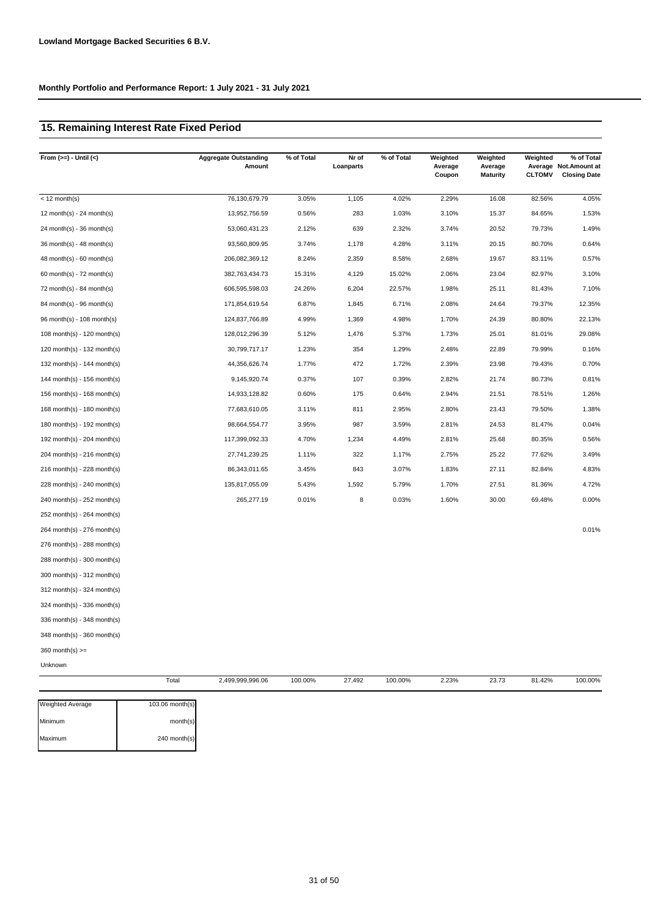# **15. Remaining Interest Rate Fixed Period**

| From $(>=) -$ Until $(<)$   |       | <b>Aggregate Outstanding</b><br>Amount | % of Total | Nr of<br>Loanparts | % of Total | Weighted<br>Average<br>Coupon | Weighted<br>Average<br><b>Maturity</b> | Weighted<br><b>CLTOMV</b> | % of Total<br>Average Not. Amount at<br><b>Closing Date</b> |
|-----------------------------|-------|----------------------------------------|------------|--------------------|------------|-------------------------------|----------------------------------------|---------------------------|-------------------------------------------------------------|
| $<$ 12 month(s)             |       | 76,130,679.79                          | 3.05%      | 1,105              | 4.02%      | 2.29%                         | 16.08                                  | 82.56%                    | 4.05%                                                       |
| 12 month(s) - 24 month(s)   |       | 13,952,756.59                          | 0.56%      | 283                | 1.03%      | 3.10%                         | 15.37                                  | 84.65%                    | 1.53%                                                       |
| 24 month(s) - $36$ month(s) |       | 53,060,431.23                          | 2.12%      | 639                | 2.32%      | 3.74%                         | 20.52                                  | 79.73%                    | 1.49%                                                       |
| 36 month(s) - 48 month(s)   |       | 93,560,809.95                          | 3.74%      | 1,178              | 4.28%      | 3.11%                         | 20.15                                  | 80.70%                    | 0.64%                                                       |
| $48$ month(s) - 60 month(s) |       | 206,082,369.12                         | 8.24%      | 2,359              | 8.58%      | 2.68%                         | 19.67                                  | 83.11%                    | 0.57%                                                       |
| 60 month(s) - $72$ month(s) |       | 382,763,434.73                         | 15.31%     | 4,129              | 15.02%     | 2.06%                         | 23.04                                  | 82.97%                    | 3.10%                                                       |
| 72 month(s) - 84 month(s)   |       | 606,595,598.03                         | 24.26%     | 6,204              | 22.57%     | 1.98%                         | 25.11                                  | 81.43%                    | 7.10%                                                       |
| 84 month(s) - 96 month(s)   |       | 171,854,619.54                         | 6.87%      | 1,845              | 6.71%      | 2.08%                         | 24.64                                  | 79.37%                    | 12.35%                                                      |
| 96 month(s) - 108 month(s)  |       | 124,837,766.89                         | 4.99%      | 1,369              | 4.98%      | 1.70%                         | 24.39                                  | 80.80%                    | 22.13%                                                      |
| 108 month(s) - 120 month(s) |       | 128,012,296.39                         | 5.12%      | 1,476              | 5.37%      | 1.73%                         | 25.01                                  | 81.01%                    | 29.08%                                                      |
| 120 month(s) - 132 month(s) |       | 30,799,717.17                          | 1.23%      | 354                | 1.29%      | 2.48%                         | 22.89                                  | 79.99%                    | 0.16%                                                       |
| 132 month(s) - 144 month(s) |       | 44,356,626.74                          | 1.77%      | 472                | 1.72%      | 2.39%                         | 23.98                                  | 79.43%                    | 0.70%                                                       |
| 144 month(s) - 156 month(s) |       | 9,145,920.74                           | 0.37%      | 107                | 0.39%      | 2.82%                         | 21.74                                  | 80.73%                    | 0.81%                                                       |
| 156 month(s) - 168 month(s) |       | 14,933,128.82                          | 0.60%      | 175                | 0.64%      | 2.94%                         | 21.51                                  | 78.51%                    | 1.26%                                                       |
| 168 month(s) - 180 month(s) |       | 77,683,610.05                          | 3.11%      | 811                | 2.95%      | 2.80%                         | 23.43                                  | 79.50%                    | 1.38%                                                       |
| 180 month(s) - 192 month(s) |       | 98,664,554.77                          | 3.95%      | 987                | 3.59%      | 2.81%                         | 24.53                                  | 81.47%                    | 0.04%                                                       |
| 192 month(s) - 204 month(s) |       | 117,399,092.33                         | 4.70%      | 1,234              | 4.49%      | 2.81%                         | 25.68                                  | 80.35%                    | 0.56%                                                       |
| 204 month(s) - 216 month(s) |       | 27,741,239.25                          | 1.11%      | 322                | 1.17%      | 2.75%                         | 25.22                                  | 77.62%                    | 3.49%                                                       |
| 216 month(s) - 228 month(s) |       | 86,343,011.65                          | 3.45%      | 843                | 3.07%      | 1.83%                         | 27.11                                  | 82.84%                    | 4.83%                                                       |
| 228 month(s) - 240 month(s) |       | 135,817,055.09                         | 5.43%      | 1,592              | 5.79%      | 1.70%                         | 27.51                                  | 81.36%                    | 4.72%                                                       |
| 240 month(s) - 252 month(s) |       | 265,277.19                             | 0.01%      | 8                  | 0.03%      | 1.60%                         | 30.00                                  | 69.48%                    | 0.00%                                                       |
| 252 month(s) - 264 month(s) |       |                                        |            |                    |            |                               |                                        |                           |                                                             |
| 264 month(s) - 276 month(s) |       |                                        |            |                    |            |                               |                                        |                           | 0.01%                                                       |
| 276 month(s) - 288 month(s) |       |                                        |            |                    |            |                               |                                        |                           |                                                             |
| 288 month(s) - 300 month(s) |       |                                        |            |                    |            |                               |                                        |                           |                                                             |
| 300 month(s) - 312 month(s) |       |                                        |            |                    |            |                               |                                        |                           |                                                             |
| 312 month(s) - 324 month(s) |       |                                        |            |                    |            |                               |                                        |                           |                                                             |
| 324 month(s) - 336 month(s) |       |                                        |            |                    |            |                               |                                        |                           |                                                             |
| 336 month(s) - 348 month(s) |       |                                        |            |                    |            |                               |                                        |                           |                                                             |
| 348 month(s) - 360 month(s) |       |                                        |            |                    |            |                               |                                        |                           |                                                             |
| 360 month(s) $>=$           |       |                                        |            |                    |            |                               |                                        |                           |                                                             |
| Unknown                     |       |                                        |            |                    |            |                               |                                        |                           |                                                             |
|                             | Total | 2,499,999,996.06                       | 100.00%    | 27,492             | 100.00%    | 2.23%                         | 23.73                                  | 81.42%                    | 100.00%                                                     |

| <b>Weighted Average</b> | 103.06 month(s) |
|-------------------------|-----------------|
| <i>A</i> inimum         | month(s)        |
| Maximum                 | 240 month(s)    |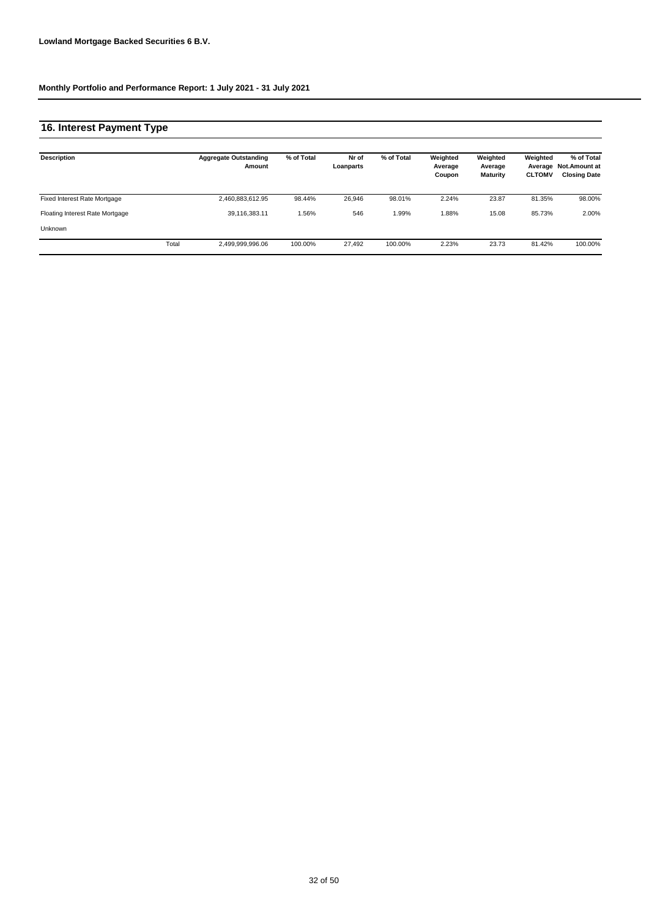# **16. Interest Payment Type**

| <b>Description</b>                  |       | <b>Aggregate Outstanding</b><br>Amount | % of Total | Nr of<br>Loanparts | % of Total | Weighted<br>Average<br>Coupon | Weighted<br>Average<br>Maturity | Weighted<br>Average<br><b>CLTOMV</b> | % of Total<br><b>Not.Amount at</b><br><b>Closing Date</b> |
|-------------------------------------|-------|----------------------------------------|------------|--------------------|------------|-------------------------------|---------------------------------|--------------------------------------|-----------------------------------------------------------|
| <b>Fixed Interest Rate Mortgage</b> |       | 2,460,883,612.95                       | 98.44%     | 26.946             | 98.01%     | 2.24%                         | 23.87                           | 81.35%                               | 98.00%                                                    |
| Floating Interest Rate Mortgage     |       | 39,116,383.11                          | .56%       | 546                | 1.99%      | 1.88%                         | 15.08                           | 85.73%                               | 2.00%                                                     |
| <b>Unknown</b>                      |       |                                        |            |                    |            |                               |                                 |                                      |                                                           |
|                                     | Total | 2,499,999,996.06                       | 100.00%    | 27.492             | 100.00%    | 2.23%                         | 23.73                           | 81.42%                               | 100.00%                                                   |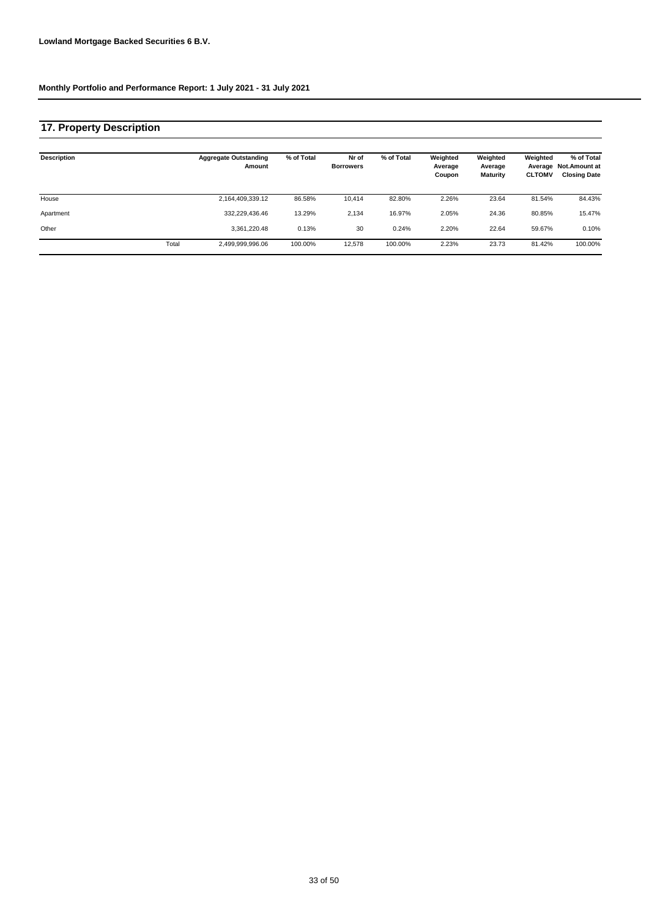## **17. Property Description**

| <b>Description</b> |       | <b>Aggregate Outstanding</b><br>Amount | % of Total | Nr of<br><b>Borrowers</b> | % of Total | Weighted<br>Average<br>Coupon | Weighted<br>Average<br>Maturity | Weighted<br><b>CLTOMV</b> | % of Total<br>Average Not. Amount at<br><b>Closing Date</b> |
|--------------------|-------|----------------------------------------|------------|---------------------------|------------|-------------------------------|---------------------------------|---------------------------|-------------------------------------------------------------|
| House              |       | 2,164,409,339.12                       | 86.58%     | 10.414                    | 82.80%     | 2.26%                         | 23.64                           | 81.54%                    | 84.43%                                                      |
| Apartment          |       | 332,229,436.46                         | 13.29%     | 2,134                     | 16.97%     | 2.05%                         | 24.36                           | 80.85%                    | 15.47%                                                      |
| Other              |       | 3,361,220.48                           | 0.13%      | 30                        | 0.24%      | 2.20%                         | 22.64                           | 59.67%                    | 0.10%                                                       |
|                    | Total | 2,499,999,996.06                       | 100.00%    | 12.578                    | 100.00%    | 2.23%                         | 23.73                           | 81.42%                    | 100.00%                                                     |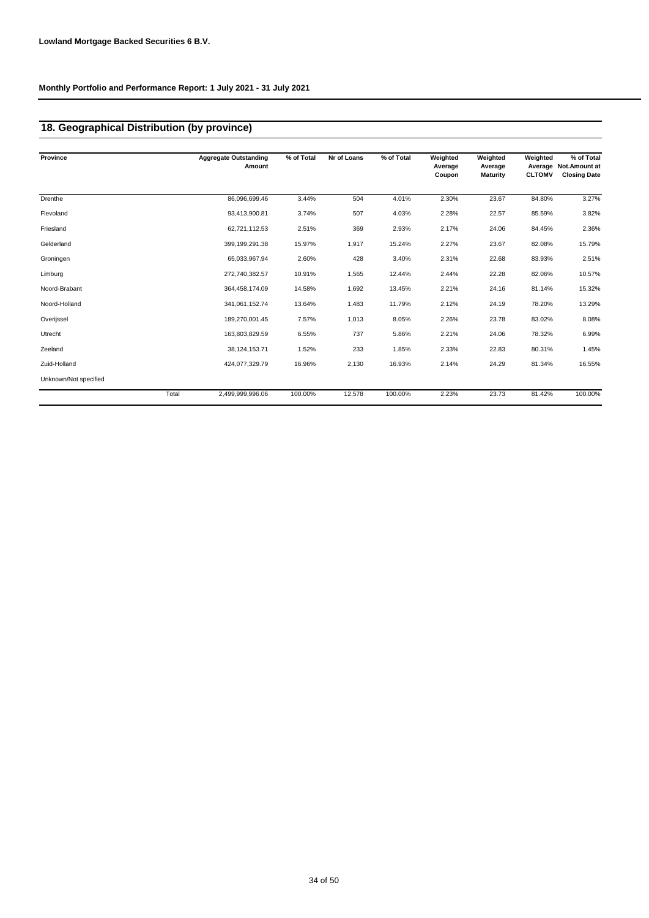## **18. Geographical Distribution (by province)**

| Province              |       | <b>Aggregate Outstanding</b><br>Amount | % of Total | Nr of Loans | % of Total | Weighted<br>Average<br>Coupon | Weighted<br>Average<br><b>Maturity</b> | Weighted<br><b>CLTOMV</b> | % of Total<br>Average Not. Amount at<br><b>Closing Date</b> |
|-----------------------|-------|----------------------------------------|------------|-------------|------------|-------------------------------|----------------------------------------|---------------------------|-------------------------------------------------------------|
| Drenthe               |       | 86,096,699.46                          | 3.44%      | 504         | 4.01%      | 2.30%                         | 23.67                                  | 84.80%                    | 3.27%                                                       |
| Flevoland             |       | 93,413,900.81                          | 3.74%      | 507         | 4.03%      | 2.28%                         | 22.57                                  | 85.59%                    | 3.82%                                                       |
| Friesland             |       | 62,721,112.53                          | 2.51%      | 369         | 2.93%      | 2.17%                         | 24.06                                  | 84.45%                    | 2.36%                                                       |
| Gelderland            |       | 399,199,291.38                         | 15.97%     | 1,917       | 15.24%     | 2.27%                         | 23.67                                  | 82.08%                    | 15.79%                                                      |
| Groningen             |       | 65,033,967.94                          | 2.60%      | 428         | 3.40%      | 2.31%                         | 22.68                                  | 83.93%                    | 2.51%                                                       |
| Limburg               |       | 272,740,382.57                         | 10.91%     | 1,565       | 12.44%     | 2.44%                         | 22.28                                  | 82.06%                    | 10.57%                                                      |
| Noord-Brabant         |       | 364,458,174.09                         | 14.58%     | 1,692       | 13.45%     | 2.21%                         | 24.16                                  | 81.14%                    | 15.32%                                                      |
| Noord-Holland         |       | 341,061,152.74                         | 13.64%     | 1,483       | 11.79%     | 2.12%                         | 24.19                                  | 78.20%                    | 13.29%                                                      |
| Overijssel            |       | 189,270,001.45                         | 7.57%      | 1,013       | 8.05%      | 2.26%                         | 23.78                                  | 83.02%                    | 8.08%                                                       |
| Utrecht               |       | 163,803,829.59                         | 6.55%      | 737         | 5.86%      | 2.21%                         | 24.06                                  | 78.32%                    | 6.99%                                                       |
| Zeeland               |       | 38,124,153.71                          | 1.52%      | 233         | 1.85%      | 2.33%                         | 22.83                                  | 80.31%                    | 1.45%                                                       |
| Zuid-Holland          |       | 424,077,329.79                         | 16.96%     | 2,130       | 16.93%     | 2.14%                         | 24.29                                  | 81.34%                    | 16.55%                                                      |
| Unknown/Not specified |       |                                        |            |             |            |                               |                                        |                           |                                                             |
|                       | Total | 2,499,999,996.06                       | 100.00%    | 12,578      | 100.00%    | 2.23%                         | 23.73                                  | 81.42%                    | 100.00%                                                     |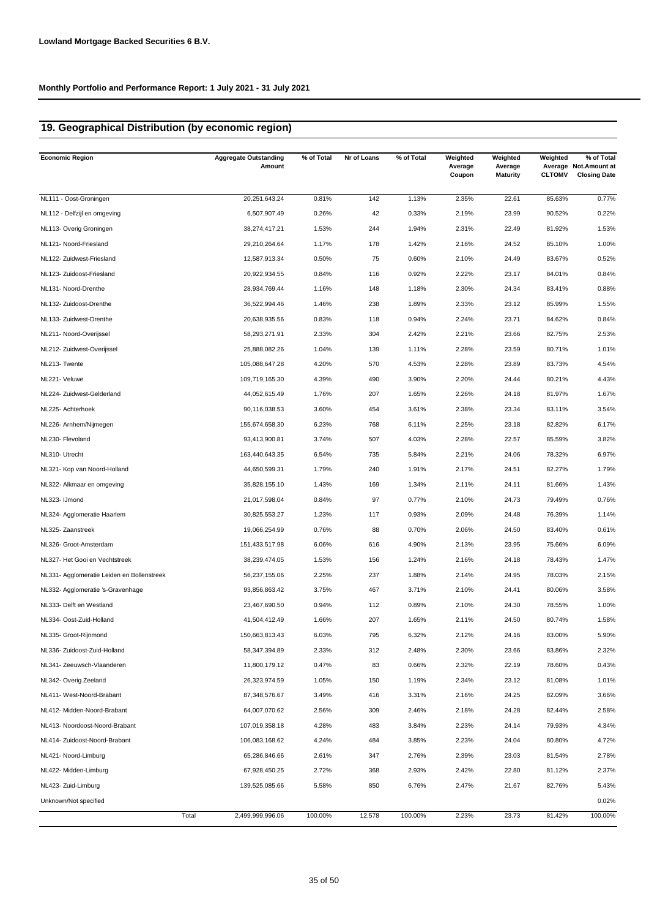## **19. Geographical Distribution (by economic region)**

| <b>Economic Region</b>                     | <b>Aggregate Outstanding</b><br>Amount | % of Total | Nr of Loans | % of Total | Weighted<br>Average<br>Coupon | Weighted<br>Average<br><b>Maturity</b> | Weighted<br><b>CLTOMV</b> | % of Total<br>Average Not. Amount at<br><b>Closing Date</b> |
|--------------------------------------------|----------------------------------------|------------|-------------|------------|-------------------------------|----------------------------------------|---------------------------|-------------------------------------------------------------|
| NL111 - Oost-Groningen                     | 20,251,643.24                          | 0.81%      | 142         | 1.13%      | 2.35%                         | 22.61                                  | 85.63%                    | 0.77%                                                       |
| NL112 - Delfzijl en omgeving               | 6,507,907.49                           | 0.26%      | 42          | 0.33%      | 2.19%                         | 23.99                                  | 90.52%                    | 0.22%                                                       |
| NL113- Overig Groningen                    | 38,274,417.21                          | 1.53%      | 244         | 1.94%      | 2.31%                         | 22.49                                  | 81.92%                    | 1.53%                                                       |
| NL121- Noord-Friesland                     | 29,210,264.64                          | 1.17%      | 178         | 1.42%      | 2.16%                         | 24.52                                  | 85.10%                    | 1.00%                                                       |
| NL122- Zuidwest-Friesland                  | 12,587,913.34                          | 0.50%      | 75          | 0.60%      | 2.10%                         | 24.49                                  | 83.67%                    | 0.52%                                                       |
| NL123- Zuidoost-Friesland                  | 20,922,934.55                          | 0.84%      | 116         | 0.92%      | 2.22%                         | 23.17                                  | 84.01%                    | 0.84%                                                       |
| NL131- Noord-Drenthe                       | 28,934,769.44                          | 1.16%      | 148         | 1.18%      | 2.30%                         | 24.34                                  | 83.41%                    | 0.88%                                                       |
| NL132- Zuidoost-Drenthe                    | 36,522,994.46                          | 1.46%      | 238         | 1.89%      | 2.33%                         | 23.12                                  | 85.99%                    | 1.55%                                                       |
| NL133- Zuidwest-Drenthe                    | 20,638,935.56                          | 0.83%      | 118         | 0.94%      | 2.24%                         | 23.71                                  | 84.62%                    | 0.84%                                                       |
| NL211- Noord-Overijssel                    | 58,293,271.91                          | 2.33%      | 304         | 2.42%      | 2.21%                         | 23.66                                  | 82.75%                    | 2.53%                                                       |
| NL212- Zuidwest-Overijssel                 | 25,888,082.26                          | 1.04%      | 139         | 1.11%      | 2.28%                         | 23.59                                  | 80.71%                    | 1.01%                                                       |
| NL213- Twente                              | 105,088,647.28                         | 4.20%      | 570         | 4.53%      | 2.28%                         | 23.89                                  | 83.73%                    | 4.54%                                                       |
| NL221- Veluwe                              | 109,719,165.30                         | 4.39%      | 490         | 3.90%      | 2.20%                         | 24.44                                  | 80.21%                    | 4.43%                                                       |
| NL224- Zuidwest-Gelderland                 | 44,052,615.49                          | 1.76%      | 207         | 1.65%      | 2.26%                         | 24.18                                  | 81.97%                    | 1.67%                                                       |
| NL225- Achterhoek                          | 90,116,038.53                          | 3.60%      | 454         | 3.61%      | 2.38%                         | 23.34                                  | 83.11%                    | 3.54%                                                       |
| NL226- Arnhem/Nijmegen                     | 155,674,658.30                         | 6.23%      | 768         | 6.11%      | 2.25%                         | 23.18                                  | 82.82%                    | 6.17%                                                       |
| NL230- Flevoland                           | 93,413,900.81                          | 3.74%      | 507         | 4.03%      | 2.28%                         | 22.57                                  | 85.59%                    | 3.82%                                                       |
| NL310- Utrecht                             | 163,440,643.35                         | 6.54%      | 735         | 5.84%      | 2.21%                         | 24.06                                  | 78.32%                    | 6.97%                                                       |
| NL321- Kop van Noord-Holland               | 44,650,599.31                          | 1.79%      | 240         | 1.91%      | 2.17%                         | 24.51                                  | 82.27%                    | 1.79%                                                       |
| NL322- Alkmaar en omgeving                 | 35,828,155.10                          | 1.43%      | 169         | 1.34%      | 2.11%                         | 24.11                                  | 81.66%                    | 1.43%                                                       |
| NL323- IJmond                              | 21,017,598.04                          | 0.84%      | 97          | 0.77%      | 2.10%                         | 24.73                                  | 79.49%                    | 0.76%                                                       |
| NL324- Agglomeratie Haarlem                | 30,825,553.27                          | 1.23%      | 117         | 0.93%      | 2.09%                         | 24.48                                  | 76.39%                    | 1.14%                                                       |
| NL325- Zaanstreek                          | 19,066,254.99                          | 0.76%      | 88          | 0.70%      | 2.06%                         | 24.50                                  | 83.40%                    | 0.61%                                                       |
| NL326- Groot-Amsterdam                     | 151,433,517.98                         | 6.06%      | 616         | 4.90%      | 2.13%                         | 23.95                                  | 75.66%                    | 6.09%                                                       |
| NL327- Het Gooi en Vechtstreek             | 38,239,474.05                          | 1.53%      | 156         | 1.24%      | 2.16%                         | 24.18                                  | 78.43%                    | 1.47%                                                       |
| NL331- Agglomeratie Leiden en Bollenstreek | 56,237,155.06                          | 2.25%      | 237         | 1.88%      | 2.14%                         | 24.95                                  | 78.03%                    | 2.15%                                                       |
| NL332- Agglomeratie 's-Gravenhage          | 93,856,863.42                          | 3.75%      | 467         | 3.71%      | 2.10%                         | 24.41                                  | 80.06%                    | 3.58%                                                       |
| NL333- Delft en Westland                   | 23,467,690.50                          | 0.94%      | 112         | 0.89%      | 2.10%                         | 24.30                                  | 78.55%                    | 1.00%                                                       |
| NL334- Oost-Zuid-Holland                   | 41,504,412.49                          | 1.66%      | 207         | 1.65%      | 2.11%                         | 24.50                                  | 80.74%                    | 1.58%                                                       |
| NL335- Groot-Rijnmond                      | 150,663,813.43                         | 6.03%      | 795         | 6.32%      | 2.12%                         | 24.16                                  | 83.00%                    | 5.90%                                                       |
| NL336- Zuidoost-Zuid-Holland               | 58,347,394.89                          | 2.33%      | 312         | 2.48%      | 2.30%                         | 23.66                                  | 83.86%                    | 2.32%                                                       |
| NL341- Zeeuwsch-Vlaanderen                 | 11,800,179.12                          | 0.47%      | 83          | 0.66%      | 2.32%                         | 22.19                                  | 78.60%                    | 0.43%                                                       |
| NL342- Overig Zeeland                      | 26,323,974.59                          | 1.05%      | 150         | 1.19%      | 2.34%                         | 23.12                                  | 81.08%                    | 1.01%                                                       |
| NL411- West-Noord-Brabant                  | 87,348,576.67                          | 3.49%      | 416         | 3.31%      | 2.16%                         | 24.25                                  | 82.09%                    | 3.66%                                                       |
| NL412- Midden-Noord-Brabant                | 64,007,070.62                          | 2.56%      | 309         | 2.46%      | 2.18%                         | 24.28                                  | 82.44%                    | 2.58%                                                       |
| NL413- Noordoost-Noord-Brabant             | 107,019,358.18                         | 4.28%      | 483         | 3.84%      | 2.23%                         | 24.14                                  | 79.93%                    | 4.34%                                                       |
| NL414- Zuidoost-Noord-Brabant              | 106,083,168.62                         | 4.24%      | 484         | 3.85%      | 2.23%                         | 24.04                                  | 80.80%                    | 4.72%                                                       |
| NL421- Noord-Limburg                       | 65,286,846.66                          | 2.61%      | 347         | 2.76%      | 2.39%                         | 23.03                                  | 81.54%                    | 2.78%                                                       |
| NL422- Midden-Limburg                      | 67,928,450.25                          | 2.72%      | 368         | 2.93%      | 2.42%                         | 22.80                                  | 81.12%                    | 2.37%                                                       |
| NL423- Zuid-Limburg                        | 139,525,085.66                         | 5.58%      | 850         | 6.76%      | 2.47%                         | 21.67                                  | 82.76%                    | 5.43%                                                       |
| Unknown/Not specified                      |                                        |            |             |            |                               |                                        |                           | 0.02%                                                       |
|                                            | Total<br>2,499,999,996.06              | 100.00%    | 12,578      | 100.00%    | 2.23%                         | 23.73                                  | 81.42%                    | 100.00%                                                     |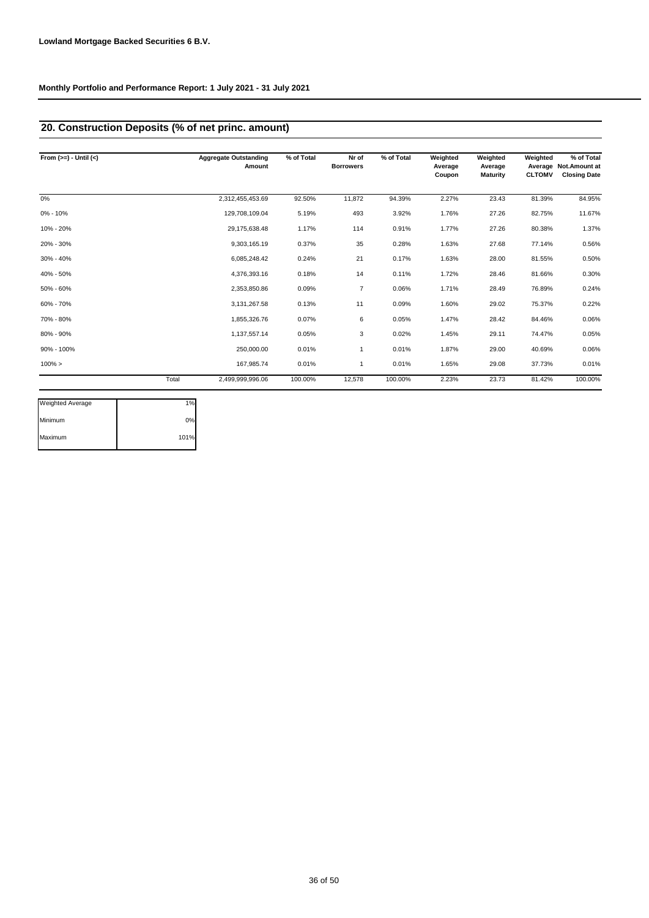# **20. Construction Deposits (% of net princ. amount)**

| From $(>=) -$ Until $(<)$ |       | <b>Aggregate Outstanding</b><br>Amount | % of Total | Nr of<br><b>Borrowers</b> | % of Total | Weighted<br>Average<br>Coupon | Weighted<br>Average<br><b>Maturity</b> | Weighted<br><b>CLTOMV</b> | % of Total<br>Average Not. Amount at<br><b>Closing Date</b> |
|---------------------------|-------|----------------------------------------|------------|---------------------------|------------|-------------------------------|----------------------------------------|---------------------------|-------------------------------------------------------------|
| 0%                        |       | 2,312,455,453.69                       | 92.50%     | 11,872                    | 94.39%     | 2.27%                         | 23.43                                  | 81.39%                    | 84.95%                                                      |
| $0\% - 10\%$              |       | 129,708,109.04                         | 5.19%      | 493                       | 3.92%      | 1.76%                         | 27.26                                  | 82.75%                    | 11.67%                                                      |
| 10% - 20%                 |       | 29,175,638.48                          | 1.17%      | 114                       | 0.91%      | 1.77%                         | 27.26                                  | 80.38%                    | 1.37%                                                       |
| 20% - 30%                 |       | 9,303,165.19                           | 0.37%      | 35                        | 0.28%      | 1.63%                         | 27.68                                  | 77.14%                    | 0.56%                                                       |
| $30\% - 40\%$             |       | 6,085,248.42                           | 0.24%      | 21                        | 0.17%      | 1.63%                         | 28.00                                  | 81.55%                    | 0.50%                                                       |
| 40% - 50%                 |       | 4,376,393.16                           | 0.18%      | 14                        | 0.11%      | 1.72%                         | 28.46                                  | 81.66%                    | 0.30%                                                       |
| 50% - 60%                 |       | 2,353,850.86                           | 0.09%      | $\overline{7}$            | 0.06%      | 1.71%                         | 28.49                                  | 76.89%                    | 0.24%                                                       |
| 60% - 70%                 |       | 3,131,267.58                           | 0.13%      | 11                        | 0.09%      | 1.60%                         | 29.02                                  | 75.37%                    | 0.22%                                                       |
| 70% - 80%                 |       | 1,855,326.76                           | 0.07%      | 6                         | 0.05%      | 1.47%                         | 28.42                                  | 84.46%                    | 0.06%                                                       |
| 80% - 90%                 |       | 1,137,557.14                           | 0.05%      | 3                         | 0.02%      | 1.45%                         | 29.11                                  | 74.47%                    | 0.05%                                                       |
| 90% - 100%                |       | 250,000.00                             | 0.01%      | 1                         | 0.01%      | 1.87%                         | 29.00                                  | 40.69%                    | 0.06%                                                       |
| $100\% >$                 |       | 167,985.74                             | 0.01%      |                           | 0.01%      | 1.65%                         | 29.08                                  | 37.73%                    | 0.01%                                                       |
|                           | Total | 2,499,999,996.06                       | 100.00%    | 12,578                    | 100.00%    | 2.23%                         | 23.73                                  | 81.42%                    | 100.00%                                                     |

| Weighted Average | 1%   |
|------------------|------|
| Minimum          | 0%   |
| Maximum          | 101% |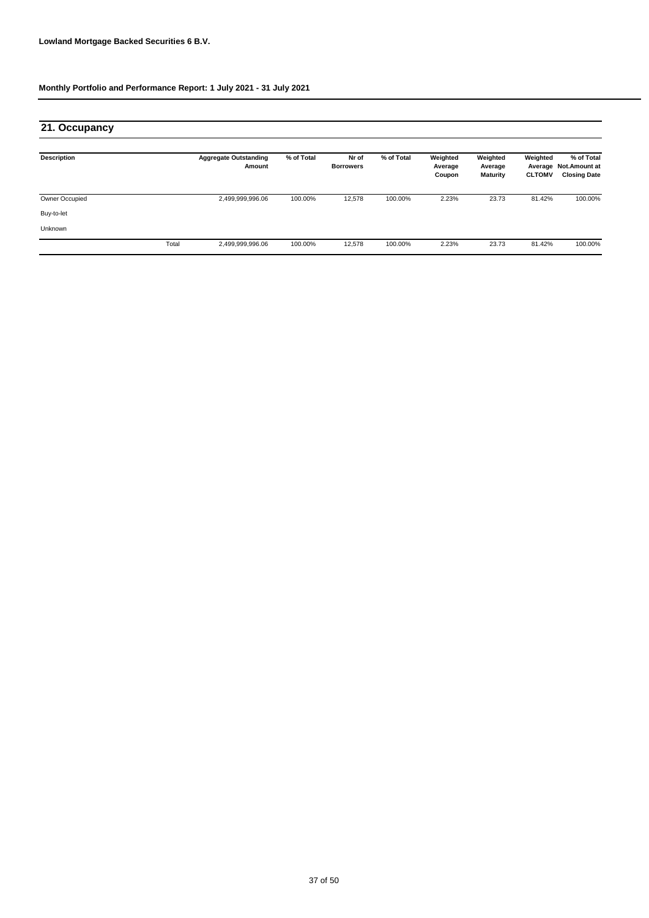# **21. Occupancy**

| <b>Description</b> |       | <b>Aggregate Outstanding</b><br>Amount | % of Total | Nr of<br><b>Borrowers</b> | % of Total | Weighted<br>Average<br>Coupon | Weighted<br>Average<br><b>Maturity</b> | Weighted<br>Average<br><b>CLTOMV</b> | % of Total<br><b>Not.Amount at</b><br><b>Closing Date</b> |
|--------------------|-------|----------------------------------------|------------|---------------------------|------------|-------------------------------|----------------------------------------|--------------------------------------|-----------------------------------------------------------|
| Owner Occupied     |       | 2,499,999,996.06                       | 100.00%    | 12,578                    | 100.00%    | 2.23%                         | 23.73                                  | 81.42%                               | 100.00%                                                   |
| Buy-to-let         |       |                                        |            |                           |            |                               |                                        |                                      |                                                           |
| <b>Unknown</b>     |       |                                        |            |                           |            |                               |                                        |                                      |                                                           |
|                    | Total | 2,499,999,996.06                       | 100.00%    | 12,578                    | 100.00%    | 2.23%                         | 23.73                                  | 81.42%                               | 100.00%                                                   |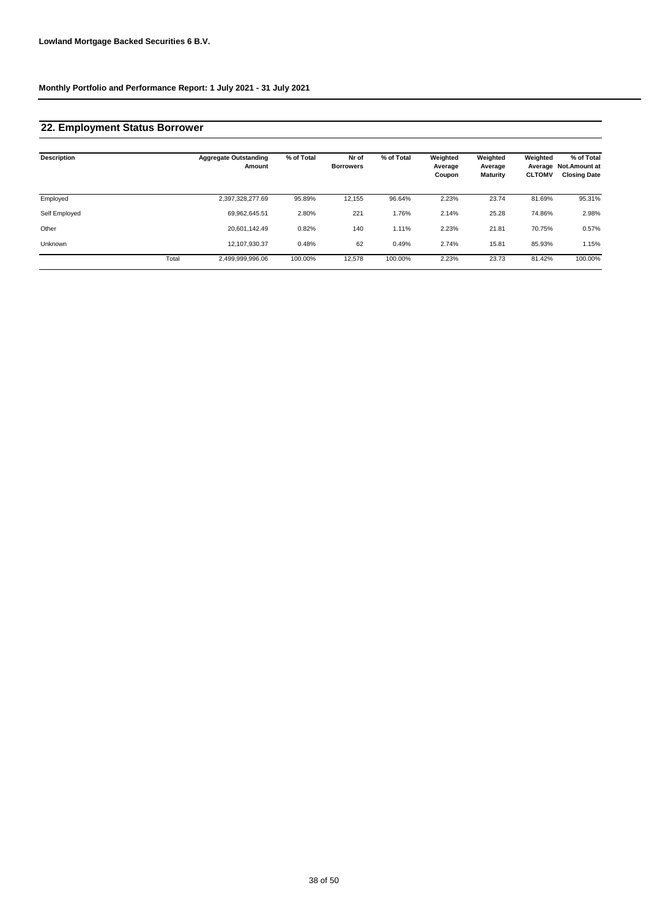# **22. Employment Status Borrower**

| <b>Description</b> |       | <b>Aggregate Outstanding</b><br>Amount | % of Total | Nr of<br><b>Borrowers</b> | % of Total | Weighted<br>Average<br>Coupon | Weighted<br>Average<br><b>Maturity</b> | Weighted<br><b>CLTOMV</b> | % of Total<br>Average Not. Amount at<br><b>Closing Date</b> |
|--------------------|-------|----------------------------------------|------------|---------------------------|------------|-------------------------------|----------------------------------------|---------------------------|-------------------------------------------------------------|
| Employed           |       | 2,397,328,277.69                       | 95.89%     | 12,155                    | 96.64%     | 2.23%                         | 23.74                                  | 81.69%                    | 95.31%                                                      |
| Self Employed      |       | 69.962.645.51                          | 2.80%      | 221                       | 1.76%      | 2.14%                         | 25.28                                  | 74.86%                    | 2.98%                                                       |
| Other              |       | 20.601.142.49                          | 0.82%      | 140                       | 1.11%      | 2.23%                         | 21.81                                  | 70.75%                    | 0.57%                                                       |
| <b>Unknown</b>     |       | 12.107.930.37                          | 0.48%      | 62                        | 0.49%      | 2.74%                         | 15.81                                  | 85.93%                    | 1.15%                                                       |
|                    | Total | 2.499.999.996.06                       | 100.00%    | 12,578                    | 100.00%    | 2.23%                         | 23.73                                  | 81.42%                    | 100.00%                                                     |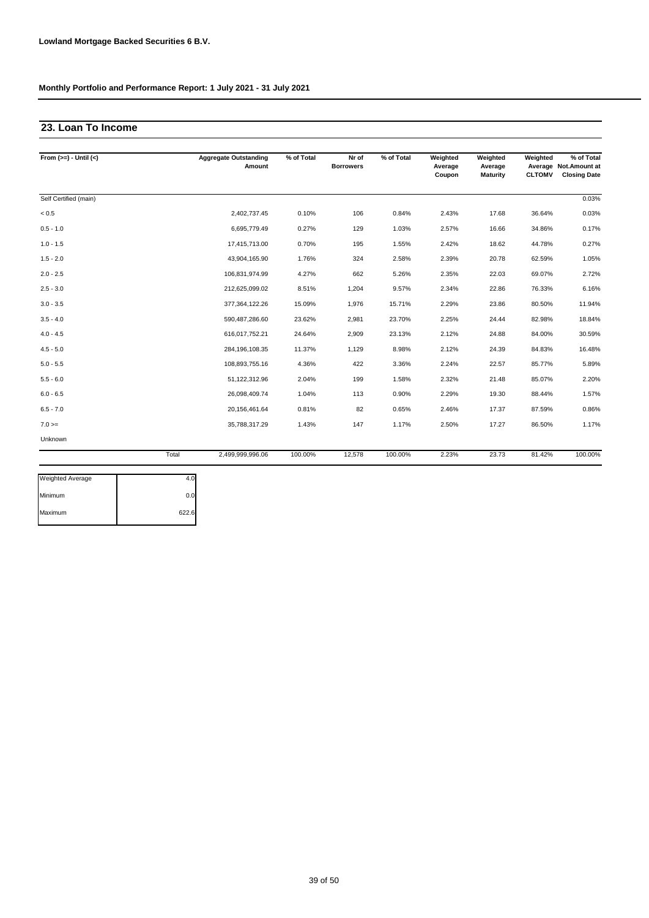## **23. Loan To Income**

| From $(>=) -$ Until $(<)$ |       | <b>Aggregate Outstanding</b><br>Amount | % of Total | Nr of<br><b>Borrowers</b> | % of Total | Weighted<br>Average<br>Coupon | Weighted<br>Average<br><b>Maturity</b> | Weighted<br><b>CLTOMV</b> | % of Total<br>Average Not. Amount at<br><b>Closing Date</b> |
|---------------------------|-------|----------------------------------------|------------|---------------------------|------------|-------------------------------|----------------------------------------|---------------------------|-------------------------------------------------------------|
| Self Certified (main)     |       |                                        |            |                           |            |                               |                                        |                           | 0.03%                                                       |
| < 0.5                     |       | 2,402,737.45                           | 0.10%      | 106                       | 0.84%      | 2.43%                         | 17.68                                  | 36.64%                    | 0.03%                                                       |
| $0.5 - 1.0$               |       | 6,695,779.49                           | 0.27%      | 129                       | 1.03%      | 2.57%                         | 16.66                                  | 34.86%                    | 0.17%                                                       |
| $1.0 - 1.5$               |       | 17,415,713.00                          | 0.70%      | 195                       | 1.55%      | 2.42%                         | 18.62                                  | 44.78%                    | 0.27%                                                       |
| $1.5 - 2.0$               |       | 43,904,165.90                          | 1.76%      | 324                       | 2.58%      | 2.39%                         | 20.78                                  | 62.59%                    | 1.05%                                                       |
| $2.0 - 2.5$               |       | 106,831,974.99                         | 4.27%      | 662                       | 5.26%      | 2.35%                         | 22.03                                  | 69.07%                    | 2.72%                                                       |
| $2.5 - 3.0$               |       | 212,625,099.02                         | 8.51%      | 1,204                     | 9.57%      | 2.34%                         | 22.86                                  | 76.33%                    | 6.16%                                                       |
| $3.0 - 3.5$               |       | 377,364,122.26                         | 15.09%     | 1,976                     | 15.71%     | 2.29%                         | 23.86                                  | 80.50%                    | 11.94%                                                      |
| $3.5 - 4.0$               |       | 590,487,286.60                         | 23.62%     | 2,981                     | 23.70%     | 2.25%                         | 24.44                                  | 82.98%                    | 18.84%                                                      |
| $4.0 - 4.5$               |       | 616,017,752.21                         | 24.64%     | 2,909                     | 23.13%     | 2.12%                         | 24.88                                  | 84.00%                    | 30.59%                                                      |
| $4.5 - 5.0$               |       | 284,196,108.35                         | 11.37%     | 1,129                     | 8.98%      | 2.12%                         | 24.39                                  | 84.83%                    | 16.48%                                                      |
| $5.0 - 5.5$               |       | 108,893,755.16                         | 4.36%      | 422                       | 3.36%      | 2.24%                         | 22.57                                  | 85.77%                    | 5.89%                                                       |
| $5.5 - 6.0$               |       | 51,122,312.96                          | 2.04%      | 199                       | 1.58%      | 2.32%                         | 21.48                                  | 85.07%                    | 2.20%                                                       |
| $6.0 - 6.5$               |       | 26,098,409.74                          | 1.04%      | 113                       | 0.90%      | 2.29%                         | 19.30                                  | 88.44%                    | 1.57%                                                       |
| $6.5 - 7.0$               |       | 20,156,461.64                          | 0.81%      | 82                        | 0.65%      | 2.46%                         | 17.37                                  | 87.59%                    | 0.86%                                                       |
| $7.0 =$                   |       | 35,788,317.29                          | 1.43%      | 147                       | 1.17%      | 2.50%                         | 17.27                                  | 86.50%                    | 1.17%                                                       |
| Unknown                   |       |                                        |            |                           |            |                               |                                        |                           |                                                             |
|                           | Total | 2,499,999,996.06                       | 100.00%    | 12,578                    | 100.00%    | 2.23%                         | 23.73                                  | 81.42%                    | 100.00%                                                     |

| Weighted Average |       |
|------------------|-------|
| Minimum          | 0.0   |
| Maximum          | 622.6 |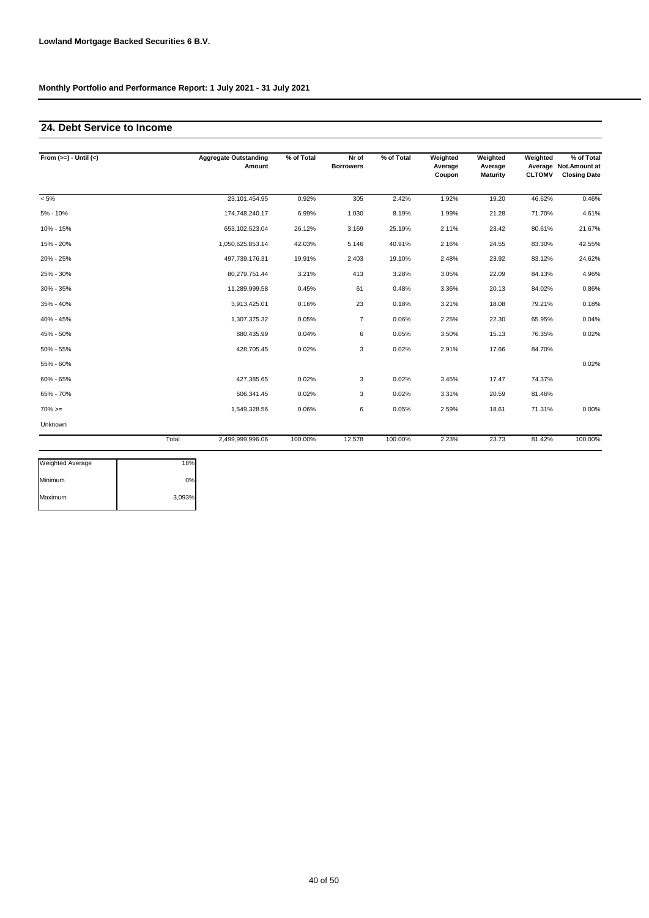## **24. Debt Service to Income**

| From $(>=) -$ Until $(<)$ |       | <b>Aggregate Outstanding</b><br>Amount | % of Total | Nr of<br><b>Borrowers</b> | % of Total | Weighted<br>Average<br>Coupon | Weighted<br>Average<br><b>Maturity</b> | Weighted<br><b>CLTOMV</b> | % of Total<br>Average Not. Amount at<br><b>Closing Date</b> |
|---------------------------|-------|----------------------------------------|------------|---------------------------|------------|-------------------------------|----------------------------------------|---------------------------|-------------------------------------------------------------|
| $< 5\%$                   |       | 23,101,454.95                          | 0.92%      | 305                       | 2.42%      | 1.92%                         | 19.20                                  | 46.62%                    | 0.46%                                                       |
| $5% - 10%$                |       | 174,748,240.17                         | 6.99%      | 1,030                     | 8.19%      | 1.99%                         | 21.28                                  | 71.70%                    | 4.61%                                                       |
| 10% - 15%                 |       | 653,102,523.04                         | 26.12%     | 3,169                     | 25.19%     | 2.11%                         | 23.42                                  | 80.61%                    | 21.67%                                                      |
| 15% - 20%                 |       | 1,050,625,853.14                       | 42.03%     | 5,146                     | 40.91%     | 2.16%                         | 24.55                                  | 83.30%                    | 42.55%                                                      |
| 20% - 25%                 |       | 497,739,176.31                         | 19.91%     | 2,403                     | 19.10%     | 2.48%                         | 23.92                                  | 83.12%                    | 24.62%                                                      |
| 25% - 30%                 |       | 80,279,751.44                          | 3.21%      | 413                       | 3.28%      | 3.05%                         | 22.09                                  | 84.13%                    | 4.96%                                                       |
| 30% - 35%                 |       | 11,289,999.58                          | 0.45%      | 61                        | 0.48%      | 3.36%                         | 20.13                                  | 84.02%                    | 0.86%                                                       |
| 35% - 40%                 |       | 3,913,425.01                           | 0.16%      | 23                        | 0.18%      | 3.21%                         | 18.08                                  | 79.21%                    | 0.18%                                                       |
| 40% - 45%                 |       | 1,307,375.32                           | 0.05%      | $\overline{7}$            | 0.06%      | 2.25%                         | 22.30                                  | 65.95%                    | 0.04%                                                       |
| 45% - 50%                 |       | 880,435.99                             | 0.04%      | 6                         | 0.05%      | 3.50%                         | 15.13                                  | 76.35%                    | 0.02%                                                       |
| 50% - 55%                 |       | 428,705.45                             | 0.02%      | 3                         | 0.02%      | 2.91%                         | 17.66                                  | 84.70%                    |                                                             |
| 55% - 60%                 |       |                                        |            |                           |            |                               |                                        |                           | 0.02%                                                       |
| 60% - 65%                 |       | 427,385.65                             | 0.02%      | 3                         | 0.02%      | 3.45%                         | 17.47                                  | 74.37%                    |                                                             |
| 65% - 70%                 |       | 606,341.45                             | 0.02%      | 3                         | 0.02%      | 3.31%                         | 20.59                                  | 81.46%                    |                                                             |
| $70\%>=$                  |       | 1,549,328.56                           | 0.06%      | 6                         | 0.05%      | 2.59%                         | 18.61                                  | 71.31%                    | 0.00%                                                       |
| Unknown                   |       |                                        |            |                           |            |                               |                                        |                           |                                                             |
|                           | Total | 2,499,999,996.06                       | 100.00%    | 12,578                    | 100.00%    | 2.23%                         | 23.73                                  | 81.42%                    | 100.00%                                                     |

| <b>Weighted Average</b> | 18%    |
|-------------------------|--------|
| Minimum                 | 0%     |
| Maximum                 | 3,093% |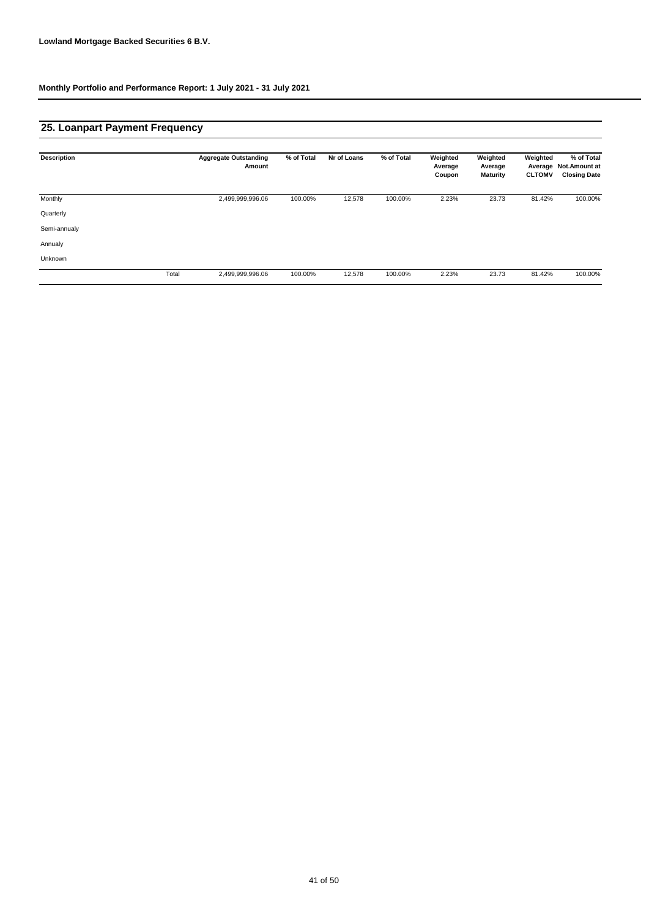## **25. Loanpart Payment Frequency**

| <b>Description</b> |       | <b>Aggregate Outstanding</b><br>Amount | % of Total | Nr of Loans | % of Total | Weighted<br>Average<br>Coupon | Weighted<br>Average<br><b>Maturity</b> | Weighted<br>Average<br><b>CLTOMV</b> | % of Total<br>Not.Amount at<br><b>Closing Date</b> |
|--------------------|-------|----------------------------------------|------------|-------------|------------|-------------------------------|----------------------------------------|--------------------------------------|----------------------------------------------------|
| Monthly            |       | 2,499,999,996.06                       | 100.00%    | 12,578      | 100.00%    | 2.23%                         | 23.73                                  | 81.42%                               | 100.00%                                            |
| Quarterly          |       |                                        |            |             |            |                               |                                        |                                      |                                                    |
| Semi-annualy       |       |                                        |            |             |            |                               |                                        |                                      |                                                    |
| Annualy            |       |                                        |            |             |            |                               |                                        |                                      |                                                    |
| Unknown            |       |                                        |            |             |            |                               |                                        |                                      |                                                    |
|                    | Total | 2,499,999,996.06                       | 100.00%    | 12,578      | 100.00%    | 2.23%                         | 23.73                                  | 81.42%                               | 100.00%                                            |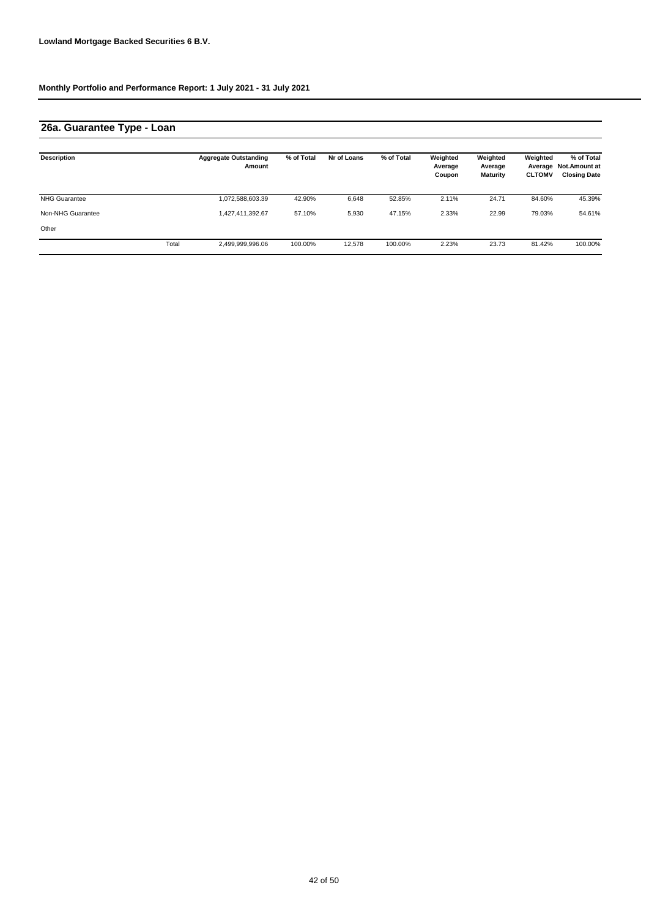# **26a. Guarantee Type - Loan**

| <b>Description</b>   |       | <b>Aggregate Outstanding</b><br>Amount | % of Total | Nr of Loans | % of Total | Weighted<br>Average<br>Coupon | Weighted<br>Average<br><b>Maturity</b> | Weighted<br><b>CLTOMV</b> | % of Total<br>Average Not. Amount at<br><b>Closing Date</b> |
|----------------------|-------|----------------------------------------|------------|-------------|------------|-------------------------------|----------------------------------------|---------------------------|-------------------------------------------------------------|
| <b>NHG Guarantee</b> |       | 1,072,588,603.39                       | 42.90%     | 6.648       | 52.85%     | 2.11%                         | 24.71                                  | 84.60%                    | 45.39%                                                      |
| Non-NHG Guarantee    |       | 1,427,411,392.67                       | 57.10%     | 5,930       | 47.15%     | 2.33%                         | 22.99                                  | 79.03%                    | 54.61%                                                      |
| Other                |       |                                        |            |             |            |                               |                                        |                           |                                                             |
|                      | Total | 2,499,999,996.06                       | 100.00%    | 12.578      | 100.00%    | 2.23%                         | 23.73                                  | 81.42%                    | 100.00%                                                     |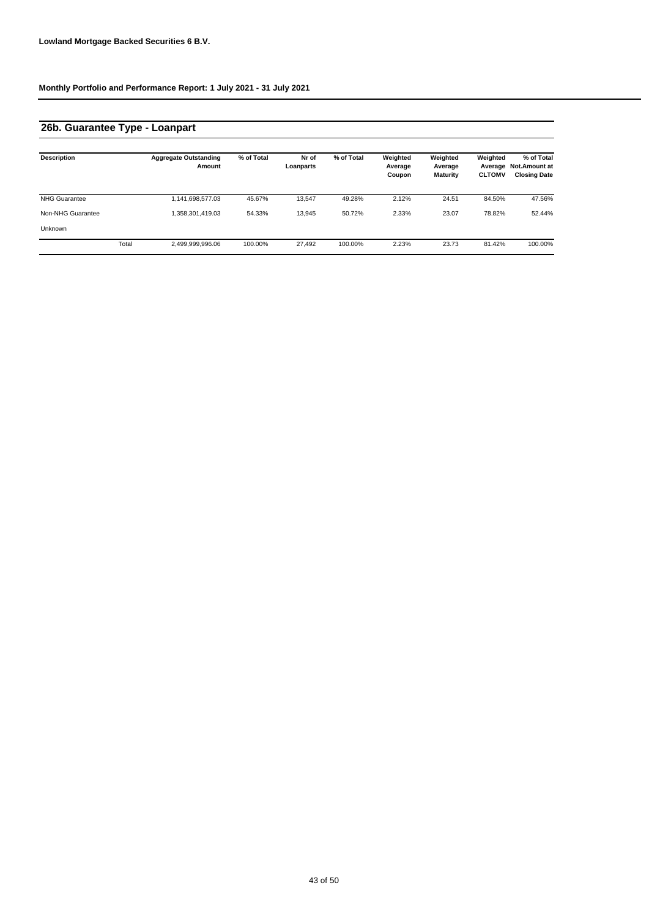# **26b. Guarantee Type - Loanpart**

| <b>Description</b>   |       | <b>Aggregate Outstanding</b><br>Amount | % of Total | Nr of<br>Loanparts | % of Total | Weighted<br>Average<br>Coupon | Weighted<br>Average<br><b>Maturity</b> | Weighted<br>Average<br><b>CLTOMV</b> | % of Total<br><b>Not.Amount at</b><br><b>Closing Date</b> |
|----------------------|-------|----------------------------------------|------------|--------------------|------------|-------------------------------|----------------------------------------|--------------------------------------|-----------------------------------------------------------|
| <b>NHG Guarantee</b> |       | 1,141,698,577.03                       | 45.67%     | 13.547             | 49.28%     | 2.12%                         | 24.51                                  | 84.50%                               | 47.56%                                                    |
| Non-NHG Guarantee    |       | 1,358,301,419.03                       | 54.33%     | 13.945             | 50.72%     | 2.33%                         | 23.07                                  | 78.82%                               | 52.44%                                                    |
| Unknown              |       |                                        |            |                    |            |                               |                                        |                                      |                                                           |
|                      | Total | 2,499,999,996.06                       | 100.00%    | 27,492             | 100.00%    | 2.23%                         | 23.73                                  | 81.42%                               | 100.00%                                                   |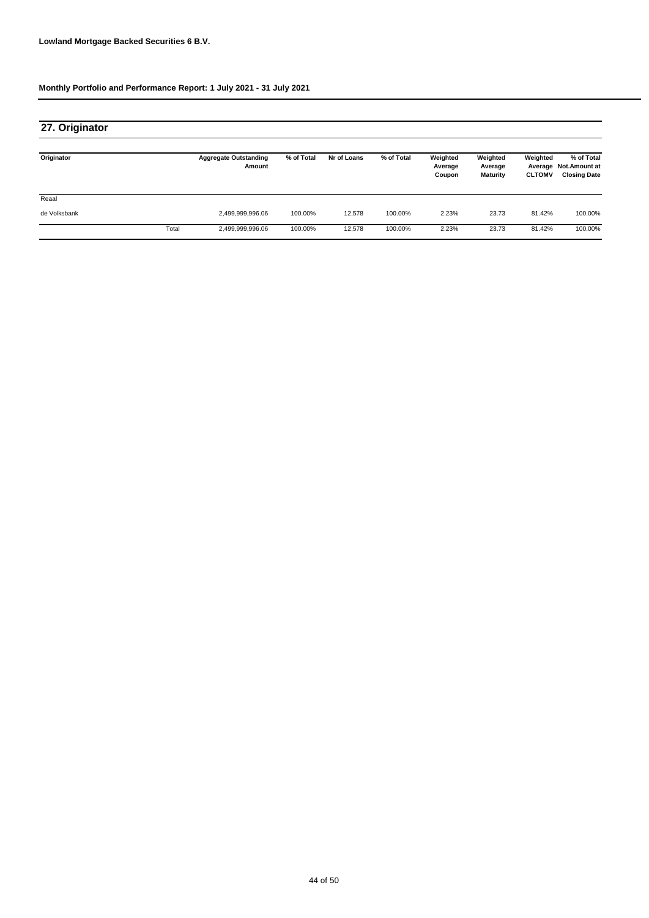| 27. Originator |       |                                        |            |             |            |                               |                                        |                           |                                                             |
|----------------|-------|----------------------------------------|------------|-------------|------------|-------------------------------|----------------------------------------|---------------------------|-------------------------------------------------------------|
| Originator     |       | <b>Aggregate Outstanding</b><br>Amount | % of Total | Nr of Loans | % of Total | Weighted<br>Average<br>Coupon | Weighted<br>Average<br><b>Maturity</b> | Weighted<br><b>CLTOMV</b> | % of Total<br>Average Not. Amount at<br><b>Closing Date</b> |
| Reaal          |       |                                        |            |             |            |                               |                                        |                           |                                                             |
| de Volksbank   |       | 2,499,999,996.06                       | 100.00%    | 12,578      | 100.00%    | 2.23%                         | 23.73                                  | 81.42%                    | 100.00%                                                     |
|                | Total | 2,499,999,996.06                       | 100.00%    | 12,578      | 100.00%    | 2.23%                         | 23.73                                  | 81.42%                    | 100.00%                                                     |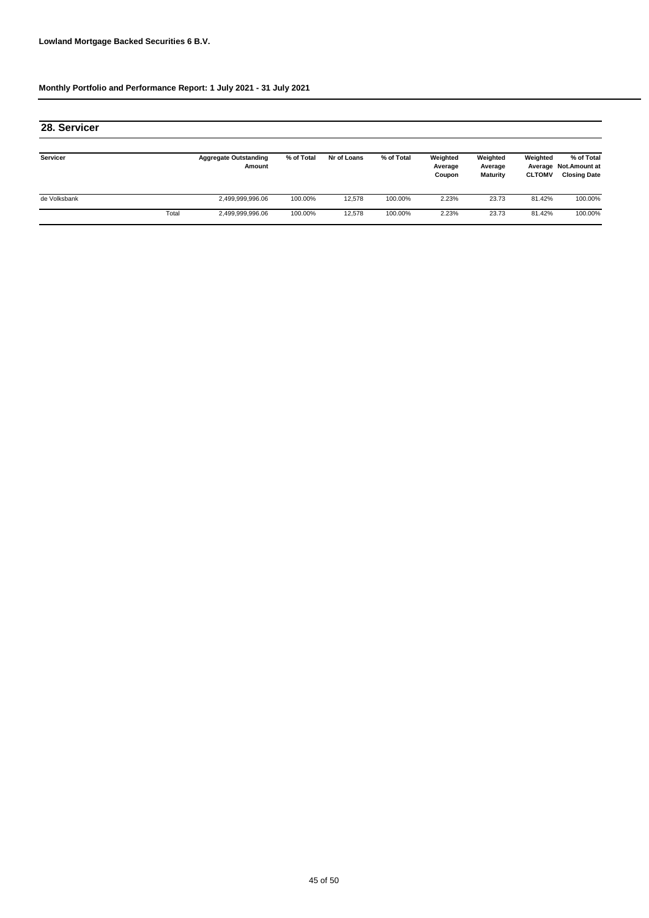| 28. Servicer |       |                                        |            |             |            |                               |                                        |                           |                                                             |
|--------------|-------|----------------------------------------|------------|-------------|------------|-------------------------------|----------------------------------------|---------------------------|-------------------------------------------------------------|
| Servicer     |       | <b>Aggregate Outstanding</b><br>Amount | % of Total | Nr of Loans | % of Total | Weighted<br>Average<br>Coupon | Weighted<br>Average<br><b>Maturity</b> | Weighted<br><b>CLTOMV</b> | % of Total<br>Average Not. Amount at<br><b>Closing Date</b> |
| de Volksbank |       | 2,499,999,996.06                       | 100.00%    | 12.578      | 100.00%    | 2.23%                         | 23.73                                  | 81.42%                    | 100.00%                                                     |
|              | Total | 2,499,999,996.06                       | 100.00%    | 12,578      | 100.00%    | 2.23%                         | 23.73                                  | 81.42%                    | 100.00%                                                     |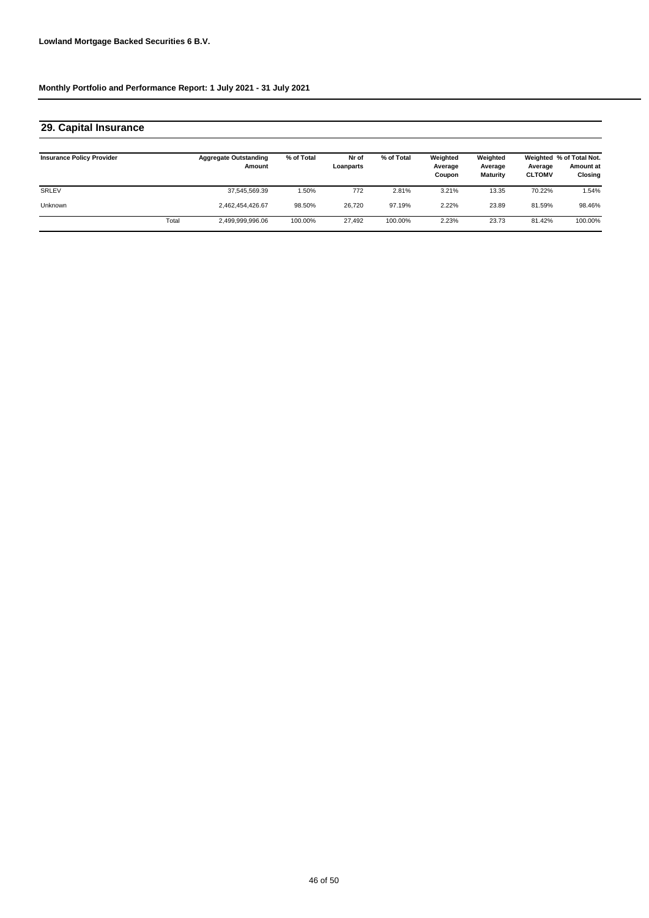# **29. Capital Insurance**

| <b>Insurance Policy Provider</b> |       | <b>Aggregate Outstanding</b><br>Amount | % of Total | Nr of<br>Loanparts | % of Total | Weighted<br>Average<br>Coupon | Weighted<br>Average<br><b>Maturity</b> | Average<br><b>CLTOMV</b> | Weighted % of Total Not.<br><b>Amount at</b><br>Closing |
|----------------------------------|-------|----------------------------------------|------------|--------------------|------------|-------------------------------|----------------------------------------|--------------------------|---------------------------------------------------------|
| SRLEV                            |       | 37,545,569.39                          | $.50\%$    | 772                | 2.81%      | 3.21%                         | 13.35                                  | 70.22%                   | 1.54%                                                   |
| Unknown                          |       | 2,462,454,426.67                       | 98.50%     | 26.720             | 97.19%     | 2.22%                         | 23.89                                  | 81.59%                   | 98.46%                                                  |
|                                  | Total | 2,499,999,996.06                       | 100.00%    | 27.492             | 100.00%    | 2.23%                         | 23.73                                  | 81.42%                   | 100.00%                                                 |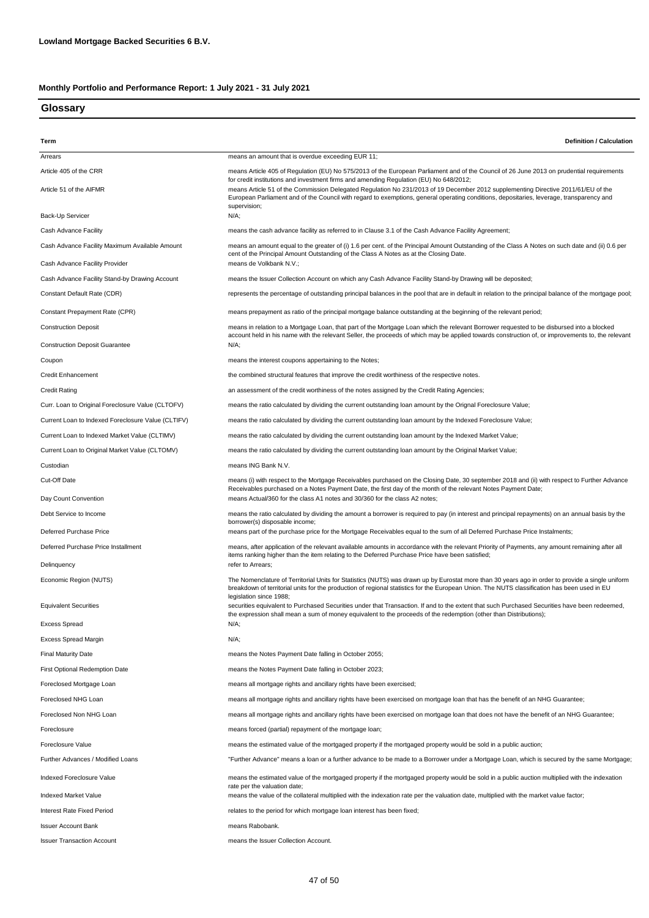### **Glossary**

| Term                                                         | <b>Definition / Calculation</b>                                                                                                                                                                                                                                                                                                                                          |  |  |  |  |  |  |
|--------------------------------------------------------------|--------------------------------------------------------------------------------------------------------------------------------------------------------------------------------------------------------------------------------------------------------------------------------------------------------------------------------------------------------------------------|--|--|--|--|--|--|
| Arrears                                                      | means an amount that is overdue exceeding EUR 11;                                                                                                                                                                                                                                                                                                                        |  |  |  |  |  |  |
| Article 405 of the CRR                                       | means Article 405 of Regulation (EU) No 575/2013 of the European Parliament and of the Council of 26 June 2013 on prudential requirements<br>for credit institutions and investment firms and amending Regulation (EU) No 648/2012;<br>means Article 51 of the Commission Delegated Regulation No 231/2013 of 19 December 2012 supplementing Directive 2011/61/EU of the |  |  |  |  |  |  |
| Article 51 of the AIFMR                                      | European Parliament and of the Council with regard to exemptions, general operating conditions, depositaries, leverage, transparency and<br>supervision;                                                                                                                                                                                                                 |  |  |  |  |  |  |
| Back-Up Servicer                                             | $N/A$ ;                                                                                                                                                                                                                                                                                                                                                                  |  |  |  |  |  |  |
| Cash Advance Facility                                        | means the cash advance facility as referred to in Clause 3.1 of the Cash Advance Facility Agreement;                                                                                                                                                                                                                                                                     |  |  |  |  |  |  |
| Cash Advance Facility Maximum Available Amount               | means an amount equal to the greater of (i) 1.6 per cent. of the Principal Amount Outstanding of the Class A Notes on such date and (ii) 0.6 per<br>cent of the Principal Amount Outstanding of the Class A Notes as at the Closing Date.                                                                                                                                |  |  |  |  |  |  |
| Cash Advance Facility Provider                               | means de Volkbank N.V.;                                                                                                                                                                                                                                                                                                                                                  |  |  |  |  |  |  |
| Cash Advance Facility Stand-by Drawing Account               | means the Issuer Collection Account on which any Cash Advance Facility Stand-by Drawing will be deposited;                                                                                                                                                                                                                                                               |  |  |  |  |  |  |
| Constant Default Rate (CDR)                                  | represents the percentage of outstanding principal balances in the pool that are in default in relation to the principal balance of the mortgage pool;                                                                                                                                                                                                                   |  |  |  |  |  |  |
| Constant Prepayment Rate (CPR)                               | means prepayment as ratio of the principal mortgage balance outstanding at the beginning of the relevant period;                                                                                                                                                                                                                                                         |  |  |  |  |  |  |
| <b>Construction Deposit</b>                                  | means in relation to a Mortgage Loan, that part of the Mortgage Loan which the relevant Borrower requested to be disbursed into a blocked<br>account held in his name with the relevant Seller, the proceeds of which may be applied towards construction of, or improvements to, the relevant                                                                           |  |  |  |  |  |  |
| <b>Construction Deposit Guarantee</b>                        | $N/A$ :                                                                                                                                                                                                                                                                                                                                                                  |  |  |  |  |  |  |
| Coupon                                                       | means the interest coupons appertaining to the Notes;                                                                                                                                                                                                                                                                                                                    |  |  |  |  |  |  |
| <b>Credit Enhancement</b>                                    | the combined structural features that improve the credit worthiness of the respective notes.                                                                                                                                                                                                                                                                             |  |  |  |  |  |  |
| <b>Credit Rating</b>                                         | an assessment of the credit worthiness of the notes assigned by the Credit Rating Agencies;                                                                                                                                                                                                                                                                              |  |  |  |  |  |  |
| Curr. Loan to Original Foreclosure Value (CLTOFV)            | means the ratio calculated by dividing the current outstanding loan amount by the Orignal Foreclosure Value;                                                                                                                                                                                                                                                             |  |  |  |  |  |  |
| Current Loan to Indexed Foreclosure Value (CLTIFV)           | means the ratio calculated by dividing the current outstanding loan amount by the Indexed Foreclosure Value;                                                                                                                                                                                                                                                             |  |  |  |  |  |  |
| Current Loan to Indexed Market Value (CLTIMV)                | means the ratio calculated by dividing the current outstanding loan amount by the Indexed Market Value;                                                                                                                                                                                                                                                                  |  |  |  |  |  |  |
| Current Loan to Original Market Value (CLTOMV)               | means the ratio calculated by dividing the current outstanding loan amount by the Original Market Value;                                                                                                                                                                                                                                                                 |  |  |  |  |  |  |
| Custodian                                                    | means ING Bank N.V.                                                                                                                                                                                                                                                                                                                                                      |  |  |  |  |  |  |
| Cut-Off Date<br>Day Count Convention                         | means (i) with respect to the Mortgage Receivables purchased on the Closing Date, 30 september 2018 and (ii) with respect to Further Advance<br>Receivables purchased on a Notes Payment Date, the first day of the month of the relevant Notes Payment Date;<br>means Actual/360 for the class A1 notes and 30/360 for the class A2 notes;                              |  |  |  |  |  |  |
| Debt Service to Income                                       | means the ratio calculated by dividing the amount a borrower is required to pay (in interest and principal repayments) on an annual basis by the                                                                                                                                                                                                                         |  |  |  |  |  |  |
| Deferred Purchase Price                                      | borrower(s) disposable income;<br>means part of the purchase price for the Mortgage Receivables equal to the sum of all Deferred Purchase Price Instalments;                                                                                                                                                                                                             |  |  |  |  |  |  |
| Deferred Purchase Price Installment                          | means, after application of the relevant available amounts in accordance with the relevant Priority of Payments, any amount remaining after all                                                                                                                                                                                                                          |  |  |  |  |  |  |
| Delinquency                                                  | items ranking higher than the item relating to the Deferred Purchase Price have been satisfied;<br>refer to Arrears;                                                                                                                                                                                                                                                     |  |  |  |  |  |  |
| Economic Region (NUTS)                                       | The Nomenclature of Territorial Units for Statistics (NUTS) was drawn up by Eurostat more than 30 years ago in order to provide a single uniform                                                                                                                                                                                                                         |  |  |  |  |  |  |
| <b>Equivalent Securities</b>                                 | breakdown of territorial units for the production of regional statistics for the European Union. The NUTS classification has been used in EU<br>legislation since 1988;<br>securities equivalent to Purchased Securities under that Transaction. If and to the extent that such Purchased Securities have been redeemed,                                                 |  |  |  |  |  |  |
|                                                              | the expression shall mean a sum of money equivalent to the proceeds of the redemption (other than Distributions);                                                                                                                                                                                                                                                        |  |  |  |  |  |  |
| <b>Excess Spread</b>                                         | $N/A$ ;                                                                                                                                                                                                                                                                                                                                                                  |  |  |  |  |  |  |
| Excess Spread Margin                                         | $N/A$ ;                                                                                                                                                                                                                                                                                                                                                                  |  |  |  |  |  |  |
| Final Maturity Date<br><b>First Optional Redemption Date</b> | means the Notes Payment Date falling in October 2055;<br>means the Notes Payment Date falling in October 2023;                                                                                                                                                                                                                                                           |  |  |  |  |  |  |
| Foreclosed Mortgage Loan                                     | means all mortgage rights and ancillary rights have been exercised;                                                                                                                                                                                                                                                                                                      |  |  |  |  |  |  |
| Foreclosed NHG Loan                                          | means all mortgage rights and ancillary rights have been exercised on mortgage loan that has the benefit of an NHG Guarantee;                                                                                                                                                                                                                                            |  |  |  |  |  |  |
| Foreclosed Non NHG Loan                                      | means all mortgage rights and ancillary rights have been exercised on mortgage loan that does not have the benefit of an NHG Guarantee;                                                                                                                                                                                                                                  |  |  |  |  |  |  |
| Foreclosure                                                  | means forced (partial) repayment of the mortgage loan;                                                                                                                                                                                                                                                                                                                   |  |  |  |  |  |  |
| Foreclosure Value                                            | means the estimated value of the mortgaged property if the mortgaged property would be sold in a public auction;                                                                                                                                                                                                                                                         |  |  |  |  |  |  |
| Further Advances / Modified Loans                            | "Further Advance" means a loan or a further advance to be made to a Borrower under a Mortgage Loan, which is secured by the same Mortgage;                                                                                                                                                                                                                               |  |  |  |  |  |  |
|                                                              |                                                                                                                                                                                                                                                                                                                                                                          |  |  |  |  |  |  |
| Indexed Foreclosure Value                                    | means the estimated value of the mortgaged property if the mortgaged property would be sold in a public auction multiplied with the indexation<br>rate per the valuation date;                                                                                                                                                                                           |  |  |  |  |  |  |
| Indexed Market Value                                         | means the value of the collateral multiplied with the indexation rate per the valuation date, multiplied with the market value factor;                                                                                                                                                                                                                                   |  |  |  |  |  |  |
| Interest Rate Fixed Period                                   | relates to the period for which mortgage loan interest has been fixed;                                                                                                                                                                                                                                                                                                   |  |  |  |  |  |  |
| Issuer Account Bank                                          | means Rabobank.                                                                                                                                                                                                                                                                                                                                                          |  |  |  |  |  |  |
| <b>Issuer Transaction Account</b>                            | means the Issuer Collection Account.                                                                                                                                                                                                                                                                                                                                     |  |  |  |  |  |  |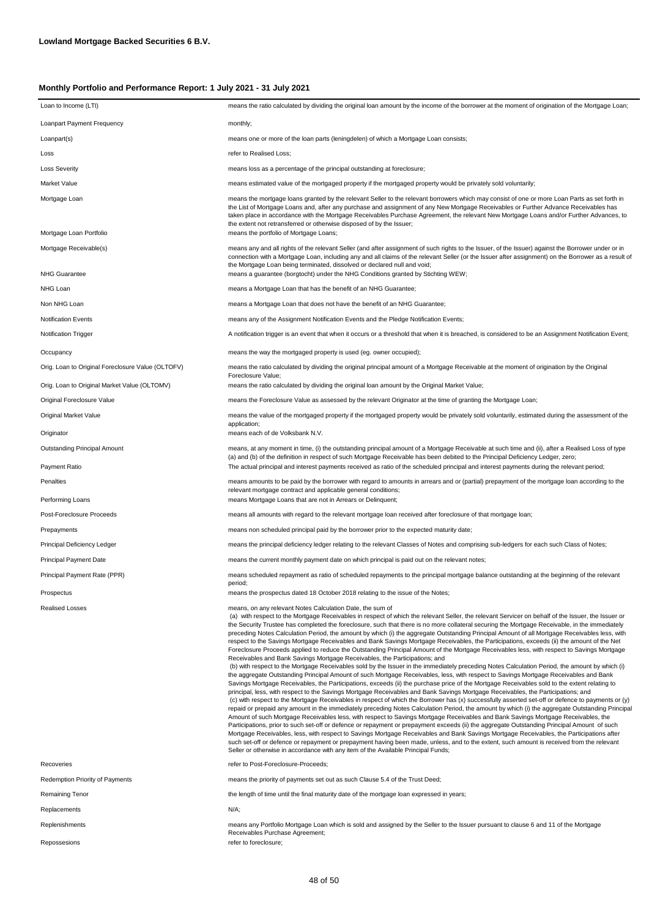| Loan to Income (LTI)                              | means the ratio calculated by dividing the original loan amount by the income of the borrower at the moment of origination of the Mortgage Loan;                                                                                                                                                                                                                                                                                                                                                                                                                                                                                                                                                                                                                                                                                                                                                                                                                                                                                                                                                                                                                                                                                                                                                                                                                                                                                                                                                                                                                                                                                                                                                                                                                                                                                                                                                                                                                                                                                                                                                                                                                                                                                                                                                                                                                                                                                                    |
|---------------------------------------------------|-----------------------------------------------------------------------------------------------------------------------------------------------------------------------------------------------------------------------------------------------------------------------------------------------------------------------------------------------------------------------------------------------------------------------------------------------------------------------------------------------------------------------------------------------------------------------------------------------------------------------------------------------------------------------------------------------------------------------------------------------------------------------------------------------------------------------------------------------------------------------------------------------------------------------------------------------------------------------------------------------------------------------------------------------------------------------------------------------------------------------------------------------------------------------------------------------------------------------------------------------------------------------------------------------------------------------------------------------------------------------------------------------------------------------------------------------------------------------------------------------------------------------------------------------------------------------------------------------------------------------------------------------------------------------------------------------------------------------------------------------------------------------------------------------------------------------------------------------------------------------------------------------------------------------------------------------------------------------------------------------------------------------------------------------------------------------------------------------------------------------------------------------------------------------------------------------------------------------------------------------------------------------------------------------------------------------------------------------------------------------------------------------------------------------------------------------------|
| Loanpart Payment Frequency                        | monthly;                                                                                                                                                                                                                                                                                                                                                                                                                                                                                                                                                                                                                                                                                                                                                                                                                                                                                                                                                                                                                                                                                                                                                                                                                                                                                                                                                                                                                                                                                                                                                                                                                                                                                                                                                                                                                                                                                                                                                                                                                                                                                                                                                                                                                                                                                                                                                                                                                                            |
| Loanpart(s)                                       | means one or more of the loan parts (leningdelen) of which a Mortgage Loan consists;                                                                                                                                                                                                                                                                                                                                                                                                                                                                                                                                                                                                                                                                                                                                                                                                                                                                                                                                                                                                                                                                                                                                                                                                                                                                                                                                                                                                                                                                                                                                                                                                                                                                                                                                                                                                                                                                                                                                                                                                                                                                                                                                                                                                                                                                                                                                                                |
| Loss                                              | refer to Realised Loss:                                                                                                                                                                                                                                                                                                                                                                                                                                                                                                                                                                                                                                                                                                                                                                                                                                                                                                                                                                                                                                                                                                                                                                                                                                                                                                                                                                                                                                                                                                                                                                                                                                                                                                                                                                                                                                                                                                                                                                                                                                                                                                                                                                                                                                                                                                                                                                                                                             |
| <b>Loss Severity</b>                              | means loss as a percentage of the principal outstanding at foreclosure;                                                                                                                                                                                                                                                                                                                                                                                                                                                                                                                                                                                                                                                                                                                                                                                                                                                                                                                                                                                                                                                                                                                                                                                                                                                                                                                                                                                                                                                                                                                                                                                                                                                                                                                                                                                                                                                                                                                                                                                                                                                                                                                                                                                                                                                                                                                                                                             |
| Market Value                                      | means estimated value of the mortgaged property if the mortgaged property would be privately sold voluntarily;                                                                                                                                                                                                                                                                                                                                                                                                                                                                                                                                                                                                                                                                                                                                                                                                                                                                                                                                                                                                                                                                                                                                                                                                                                                                                                                                                                                                                                                                                                                                                                                                                                                                                                                                                                                                                                                                                                                                                                                                                                                                                                                                                                                                                                                                                                                                      |
| Mortgage Loan                                     | means the mortgage loans granted by the relevant Seller to the relevant borrowers which may consist of one or more Loan Parts as set forth in<br>the List of Mortgage Loans and, after any purchase and assignment of any New Mortgage Receivables or Further Advance Receivables has<br>taken place in accordance with the Mortgage Receivables Purchase Agreement, the relevant New Mortgage Loans and/or Further Advances, to<br>the extent not retransferred or otherwise disposed of by the Issuer;                                                                                                                                                                                                                                                                                                                                                                                                                                                                                                                                                                                                                                                                                                                                                                                                                                                                                                                                                                                                                                                                                                                                                                                                                                                                                                                                                                                                                                                                                                                                                                                                                                                                                                                                                                                                                                                                                                                                            |
| Mortgage Loan Portfolio                           | means the portfolio of Mortgage Loans;                                                                                                                                                                                                                                                                                                                                                                                                                                                                                                                                                                                                                                                                                                                                                                                                                                                                                                                                                                                                                                                                                                                                                                                                                                                                                                                                                                                                                                                                                                                                                                                                                                                                                                                                                                                                                                                                                                                                                                                                                                                                                                                                                                                                                                                                                                                                                                                                              |
| Mortgage Receivable(s)                            | means any and all rights of the relevant Seller (and after assignment of such rights to the Issuer, of the Issuer) against the Borrower under or in<br>connection with a Mortgage Loan, including any and all claims of the relevant Seller (or the Issuer after assignment) on the Borrower as a result of<br>the Mortgage Loan being terminated, dissolved or declared null and void;                                                                                                                                                                                                                                                                                                                                                                                                                                                                                                                                                                                                                                                                                                                                                                                                                                                                                                                                                                                                                                                                                                                                                                                                                                                                                                                                                                                                                                                                                                                                                                                                                                                                                                                                                                                                                                                                                                                                                                                                                                                             |
| <b>NHG Guarantee</b>                              | means a guarantee (borgtocht) under the NHG Conditions granted by Stichting WEW;                                                                                                                                                                                                                                                                                                                                                                                                                                                                                                                                                                                                                                                                                                                                                                                                                                                                                                                                                                                                                                                                                                                                                                                                                                                                                                                                                                                                                                                                                                                                                                                                                                                                                                                                                                                                                                                                                                                                                                                                                                                                                                                                                                                                                                                                                                                                                                    |
| NHG Loan                                          | means a Mortgage Loan that has the benefit of an NHG Guarantee;                                                                                                                                                                                                                                                                                                                                                                                                                                                                                                                                                                                                                                                                                                                                                                                                                                                                                                                                                                                                                                                                                                                                                                                                                                                                                                                                                                                                                                                                                                                                                                                                                                                                                                                                                                                                                                                                                                                                                                                                                                                                                                                                                                                                                                                                                                                                                                                     |
| Non NHG Loan                                      | means a Mortgage Loan that does not have the benefit of an NHG Guarantee;                                                                                                                                                                                                                                                                                                                                                                                                                                                                                                                                                                                                                                                                                                                                                                                                                                                                                                                                                                                                                                                                                                                                                                                                                                                                                                                                                                                                                                                                                                                                                                                                                                                                                                                                                                                                                                                                                                                                                                                                                                                                                                                                                                                                                                                                                                                                                                           |
| <b>Notification Events</b>                        | means any of the Assignment Notification Events and the Pledge Notification Events;                                                                                                                                                                                                                                                                                                                                                                                                                                                                                                                                                                                                                                                                                                                                                                                                                                                                                                                                                                                                                                                                                                                                                                                                                                                                                                                                                                                                                                                                                                                                                                                                                                                                                                                                                                                                                                                                                                                                                                                                                                                                                                                                                                                                                                                                                                                                                                 |
| <b>Notification Trigger</b>                       | A notification trigger is an event that when it occurs or a threshold that when it is breached, is considered to be an Assignment Notification Event;                                                                                                                                                                                                                                                                                                                                                                                                                                                                                                                                                                                                                                                                                                                                                                                                                                                                                                                                                                                                                                                                                                                                                                                                                                                                                                                                                                                                                                                                                                                                                                                                                                                                                                                                                                                                                                                                                                                                                                                                                                                                                                                                                                                                                                                                                               |
| Occupancy                                         | means the way the mortgaged property is used (eg. owner occupied);                                                                                                                                                                                                                                                                                                                                                                                                                                                                                                                                                                                                                                                                                                                                                                                                                                                                                                                                                                                                                                                                                                                                                                                                                                                                                                                                                                                                                                                                                                                                                                                                                                                                                                                                                                                                                                                                                                                                                                                                                                                                                                                                                                                                                                                                                                                                                                                  |
| Orig. Loan to Original Foreclosure Value (OLTOFV) | means the ratio calculated by dividing the original principal amount of a Mortgage Receivable at the moment of origination by the Original<br>Foreclosure Value;                                                                                                                                                                                                                                                                                                                                                                                                                                                                                                                                                                                                                                                                                                                                                                                                                                                                                                                                                                                                                                                                                                                                                                                                                                                                                                                                                                                                                                                                                                                                                                                                                                                                                                                                                                                                                                                                                                                                                                                                                                                                                                                                                                                                                                                                                    |
| Orig. Loan to Original Market Value (OLTOMV)      | means the ratio calculated by dividing the original loan amount by the Original Market Value;                                                                                                                                                                                                                                                                                                                                                                                                                                                                                                                                                                                                                                                                                                                                                                                                                                                                                                                                                                                                                                                                                                                                                                                                                                                                                                                                                                                                                                                                                                                                                                                                                                                                                                                                                                                                                                                                                                                                                                                                                                                                                                                                                                                                                                                                                                                                                       |
| Original Foreclosure Value                        | means the Foreclosure Value as assessed by the relevant Originator at the time of granting the Mortgage Loan;                                                                                                                                                                                                                                                                                                                                                                                                                                                                                                                                                                                                                                                                                                                                                                                                                                                                                                                                                                                                                                                                                                                                                                                                                                                                                                                                                                                                                                                                                                                                                                                                                                                                                                                                                                                                                                                                                                                                                                                                                                                                                                                                                                                                                                                                                                                                       |
| Original Market Value                             | means the value of the mortgaged property if the mortgaged property would be privately sold voluntarily, estimated during the assessment of the<br>application;                                                                                                                                                                                                                                                                                                                                                                                                                                                                                                                                                                                                                                                                                                                                                                                                                                                                                                                                                                                                                                                                                                                                                                                                                                                                                                                                                                                                                                                                                                                                                                                                                                                                                                                                                                                                                                                                                                                                                                                                                                                                                                                                                                                                                                                                                     |
| Originator                                        | means each of de Volksbank N.V.                                                                                                                                                                                                                                                                                                                                                                                                                                                                                                                                                                                                                                                                                                                                                                                                                                                                                                                                                                                                                                                                                                                                                                                                                                                                                                                                                                                                                                                                                                                                                                                                                                                                                                                                                                                                                                                                                                                                                                                                                                                                                                                                                                                                                                                                                                                                                                                                                     |
| Outstanding Principal Amount<br>Payment Ratio     | means, at any moment in time, (i) the outstanding principal amount of a Mortgage Receivable at such time and (ii), after a Realised Loss of type<br>(a) and (b) of the definition in respect of such Mortgage Receivable has been debited to the Principal Deficiency Ledger, zero;                                                                                                                                                                                                                                                                                                                                                                                                                                                                                                                                                                                                                                                                                                                                                                                                                                                                                                                                                                                                                                                                                                                                                                                                                                                                                                                                                                                                                                                                                                                                                                                                                                                                                                                                                                                                                                                                                                                                                                                                                                                                                                                                                                 |
| Penalties                                         | The actual principal and interest payments received as ratio of the scheduled principal and interest payments during the relevant period;                                                                                                                                                                                                                                                                                                                                                                                                                                                                                                                                                                                                                                                                                                                                                                                                                                                                                                                                                                                                                                                                                                                                                                                                                                                                                                                                                                                                                                                                                                                                                                                                                                                                                                                                                                                                                                                                                                                                                                                                                                                                                                                                                                                                                                                                                                           |
| Performing Loans                                  | means amounts to be paid by the borrower with regard to amounts in arrears and or (partial) prepayment of the mortgage loan according to the<br>relevant mortgage contract and applicable general conditions;<br>means Mortgage Loans that are not in Arrears or Delinquent;                                                                                                                                                                                                                                                                                                                                                                                                                                                                                                                                                                                                                                                                                                                                                                                                                                                                                                                                                                                                                                                                                                                                                                                                                                                                                                                                                                                                                                                                                                                                                                                                                                                                                                                                                                                                                                                                                                                                                                                                                                                                                                                                                                        |
| Post-Foreclosure Proceeds                         | means all amounts with regard to the relevant mortgage loan received after foreclosure of that mortgage loan;                                                                                                                                                                                                                                                                                                                                                                                                                                                                                                                                                                                                                                                                                                                                                                                                                                                                                                                                                                                                                                                                                                                                                                                                                                                                                                                                                                                                                                                                                                                                                                                                                                                                                                                                                                                                                                                                                                                                                                                                                                                                                                                                                                                                                                                                                                                                       |
| Prepayments                                       | means non scheduled principal paid by the borrower prior to the expected maturity date;                                                                                                                                                                                                                                                                                                                                                                                                                                                                                                                                                                                                                                                                                                                                                                                                                                                                                                                                                                                                                                                                                                                                                                                                                                                                                                                                                                                                                                                                                                                                                                                                                                                                                                                                                                                                                                                                                                                                                                                                                                                                                                                                                                                                                                                                                                                                                             |
| Principal Deficiency Ledger                       | means the principal deficiency ledger relating to the relevant Classes of Notes and comprising sub-ledgers for each such Class of Notes;                                                                                                                                                                                                                                                                                                                                                                                                                                                                                                                                                                                                                                                                                                                                                                                                                                                                                                                                                                                                                                                                                                                                                                                                                                                                                                                                                                                                                                                                                                                                                                                                                                                                                                                                                                                                                                                                                                                                                                                                                                                                                                                                                                                                                                                                                                            |
| Principal Payment Date                            | means the current monthly payment date on which principal is paid out on the relevant notes;                                                                                                                                                                                                                                                                                                                                                                                                                                                                                                                                                                                                                                                                                                                                                                                                                                                                                                                                                                                                                                                                                                                                                                                                                                                                                                                                                                                                                                                                                                                                                                                                                                                                                                                                                                                                                                                                                                                                                                                                                                                                                                                                                                                                                                                                                                                                                        |
| Principal Payment Rate (PPR)                      | means scheduled repayment as ratio of scheduled repayments to the principal mortgage balance outstanding at the beginning of the relevant<br>period;                                                                                                                                                                                                                                                                                                                                                                                                                                                                                                                                                                                                                                                                                                                                                                                                                                                                                                                                                                                                                                                                                                                                                                                                                                                                                                                                                                                                                                                                                                                                                                                                                                                                                                                                                                                                                                                                                                                                                                                                                                                                                                                                                                                                                                                                                                |
| Prospectus                                        | means the prospectus dated 18 October 2018 relating to the issue of the Notes;                                                                                                                                                                                                                                                                                                                                                                                                                                                                                                                                                                                                                                                                                                                                                                                                                                                                                                                                                                                                                                                                                                                                                                                                                                                                                                                                                                                                                                                                                                                                                                                                                                                                                                                                                                                                                                                                                                                                                                                                                                                                                                                                                                                                                                                                                                                                                                      |
| Realised Losses                                   | means, on any relevant Notes Calculation Date, the sum of<br>(a) with respect to the Mortgage Receivables in respect of which the relevant Seller, the relevant Servicer on behalf of the Issuer, the Issuer or<br>the Security Trustee has completed the foreclosure, such that there is no more collateral securing the Mortgage Receivable, in the immediately<br>preceding Notes Calculation Period, the amount by which (i) the aggregate Outstanding Principal Amount of all Mortgage Receivables less, with<br>respect to the Savings Mortgage Receivables and Bank Savings Mortgage Receivables, the Participations, exceeds (ii) the amount of the Net<br>Foreclosure Proceeds applied to reduce the Outstanding Principal Amount of the Mortgage Receivables less, with respect to Savings Mortgage<br>Receivables and Bank Savings Mortgage Receivables, the Participations; and<br>(b) with respect to the Mortgage Receivables sold by the Issuer in the immediately preceding Notes Calculation Period, the amount by which (i)<br>the aggregate Outstanding Principal Amount of such Mortgage Receivables, less, with respect to Savings Mortgage Receivables and Bank<br>Savings Mortgage Receivables, the Participations, exceeds (ii) the purchase price of the Mortgage Receivables sold to the extent relating to<br>principal, less, with respect to the Savings Mortgage Receivables and Bank Savings Mortgage Receivables, the Participations; and<br>(c) with respect to the Mortgage Receivables in respect of which the Borrower has (x) successfully asserted set-off or defence to payments or (y)<br>repaid or prepaid any amount in the immediately preceding Notes Calculation Period, the amount by which (i) the aggregate Outstanding Principal<br>Amount of such Mortgage Receivables less, with respect to Savings Mortgage Receivables and Bank Savings Mortgage Receivables, the<br>Participations, prior to such set-off or defence or repayment or prepayment exceeds (ii) the aggregate Outstanding Principal Amount of such<br>Mortgage Receivables, less, with respect to Savings Mortgage Receivables and Bank Savings Mortgage Receivables, the Participations after<br>such set-off or defence or repayment or prepayment having been made, unless, and to the extent, such amount is received from the relevant<br>Seller or otherwise in accordance with any item of the Available Principal Funds; |
| Recoveries                                        | refer to Post-Foreclosure-Proceeds;                                                                                                                                                                                                                                                                                                                                                                                                                                                                                                                                                                                                                                                                                                                                                                                                                                                                                                                                                                                                                                                                                                                                                                                                                                                                                                                                                                                                                                                                                                                                                                                                                                                                                                                                                                                                                                                                                                                                                                                                                                                                                                                                                                                                                                                                                                                                                                                                                 |
| <b>Redemption Priority of Payments</b>            | means the priority of payments set out as such Clause 5.4 of the Trust Deed;                                                                                                                                                                                                                                                                                                                                                                                                                                                                                                                                                                                                                                                                                                                                                                                                                                                                                                                                                                                                                                                                                                                                                                                                                                                                                                                                                                                                                                                                                                                                                                                                                                                                                                                                                                                                                                                                                                                                                                                                                                                                                                                                                                                                                                                                                                                                                                        |
| Remaining Tenor                                   | the length of time until the final maturity date of the mortgage loan expressed in years;                                                                                                                                                                                                                                                                                                                                                                                                                                                                                                                                                                                                                                                                                                                                                                                                                                                                                                                                                                                                                                                                                                                                                                                                                                                                                                                                                                                                                                                                                                                                                                                                                                                                                                                                                                                                                                                                                                                                                                                                                                                                                                                                                                                                                                                                                                                                                           |
| Replacements                                      | $N/A$ ;                                                                                                                                                                                                                                                                                                                                                                                                                                                                                                                                                                                                                                                                                                                                                                                                                                                                                                                                                                                                                                                                                                                                                                                                                                                                                                                                                                                                                                                                                                                                                                                                                                                                                                                                                                                                                                                                                                                                                                                                                                                                                                                                                                                                                                                                                                                                                                                                                                             |
| Replenishments                                    | means any Portfolio Mortgage Loan which is sold and assigned by the Seller to the Issuer pursuant to clause 6 and 11 of the Mortgage<br>Receivables Purchase Agreement;                                                                                                                                                                                                                                                                                                                                                                                                                                                                                                                                                                                                                                                                                                                                                                                                                                                                                                                                                                                                                                                                                                                                                                                                                                                                                                                                                                                                                                                                                                                                                                                                                                                                                                                                                                                                                                                                                                                                                                                                                                                                                                                                                                                                                                                                             |

Repossesions

refer to foreclosure;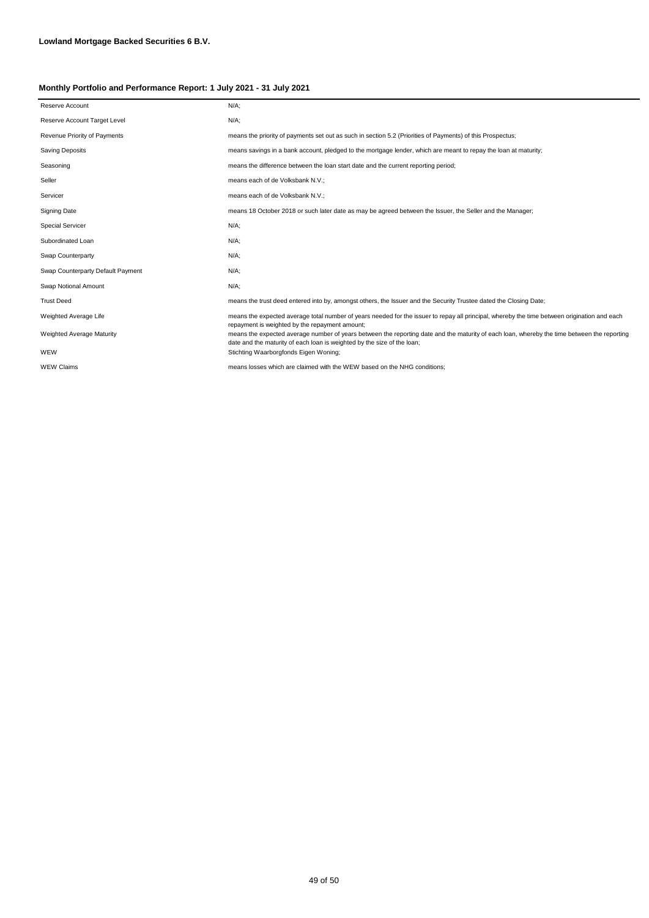| Reserve Account                   | $N/A$ ;                                                                                                                                                                                                                |
|-----------------------------------|------------------------------------------------------------------------------------------------------------------------------------------------------------------------------------------------------------------------|
| Reserve Account Target Level      | $N/A$ ;                                                                                                                                                                                                                |
| Revenue Priority of Payments      | means the priority of payments set out as such in section 5.2 (Priorities of Payments) of this Prospectus;                                                                                                             |
| <b>Saving Deposits</b>            | means savings in a bank account, pledged to the mortgage lender, which are meant to repay the loan at maturity;                                                                                                        |
| Seasoning                         | means the difference between the loan start date and the current reporting period;                                                                                                                                     |
| Seller                            | means each of de Volksbank N.V.;                                                                                                                                                                                       |
| Servicer                          | means each of de Volksbank N.V.;                                                                                                                                                                                       |
| Signing Date                      | means 18 October 2018 or such later date as may be agreed between the Issuer, the Seller and the Manager;                                                                                                              |
| <b>Special Servicer</b>           | $N/A$ ;                                                                                                                                                                                                                |
| Subordinated Loan                 | $N/A$ ;                                                                                                                                                                                                                |
| Swap Counterparty                 | $N/A$ ;                                                                                                                                                                                                                |
| Swap Counterparty Default Payment | $N/A$ ;                                                                                                                                                                                                                |
| Swap Notional Amount              | $N/A$ ;                                                                                                                                                                                                                |
| <b>Trust Deed</b>                 | means the trust deed entered into by, amongst others, the Issuer and the Security Trustee dated the Closing Date;                                                                                                      |
| Weighted Average Life             | means the expected average total number of years needed for the issuer to repay all principal, whereby the time between origination and each<br>repayment is weighted by the repayment amount;                         |
| <b>Weighted Average Maturity</b>  | means the expected average number of years between the reporting date and the maturity of each loan, whereby the time between the reporting<br>date and the maturity of each loan is weighted by the size of the loan; |
| WEW                               | Stichting Waarborgfonds Eigen Woning;                                                                                                                                                                                  |
| <b>WEW Claims</b>                 | means losses which are claimed with the WEW based on the NHG conditions:                                                                                                                                               |